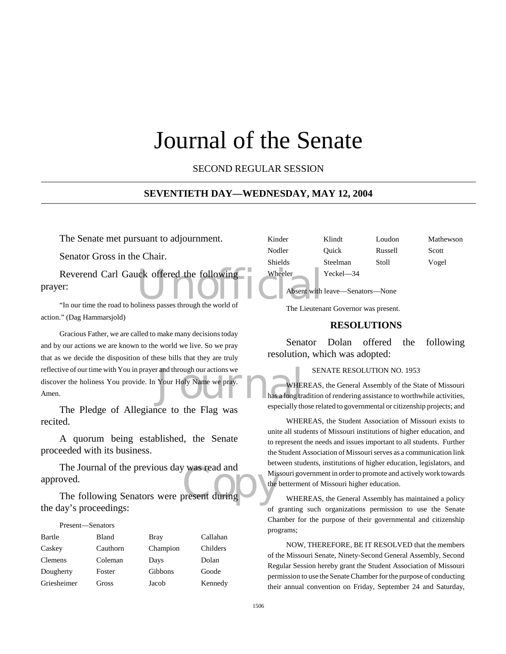# Journal of the Senate

SECOND REGULAR SESSION

#### **SEVENTIETH DAY—WEDNESDAY, MAY 12, 2004**

The Senate met pursuant to adjournment.

Senator Gross in the Chair.

Reverend Carl Gauck offered the following<br>
The University of the Mark of Absent with<br>
The our time the road to holiness passes through the world of prayer:

"In our time the road to holiness passes through the world of action." (Dag Hammarsjold)

r and through our actions we<br>
Your Holy Name we pray.<br>
has a long transmitted that a smacially the Gracious Father, we are called to make many decisions today and by our actions we are known to the world we live. So we pray that as we decide the disposition of these bills that they are truly reflective of our time with You in prayer and through our actions we discover the holiness You provide. In Your Holy Name we pray. Amen.

The Pledge of Allegiance to the Flag was recited.

A quorum being established, the Senate proceeded with its business.

The Journal of the previous day was read and<br>
oved.<br>
The following Senators were present during The Journal of the previous day was read and approved.

the day's proceedings:

# Present—Senators

| Bartle      | Bland    | <b>Bray</b> | Callahan |
|-------------|----------|-------------|----------|
| Caskey      | Cauthorn | Champion    | Childers |
| Clemens     | Coleman  | Days        | Dolan    |
| Dougherty   | Foster   | Gibbons     | Goode    |
| Griesheimer | Gross    | Jacob       | Kennedy  |

| Kinder  | Klindt                          | Loudon  | Mathewson |
|---------|---------------------------------|---------|-----------|
| Nodler  | Ouick                           | Russell | Scott     |
| Shields | Steelman                        | Stoll   | Vogel     |
| Wheeler | Yeckel-34                       |         |           |
|         | Absent with leave-Senators-None |         |           |

The Lieutenant Governor was present.

#### **RESOLUTIONS**

Senator Dolan offered the following resolution, which was adopted:

#### SENATE RESOLUTION NO. 1953

WHEREAS, the General Assembly of the State of Missouri has a long tradition of rendering assistance to worthwhile activities, especially those related to governmental or citizenship projects; and

WHEREAS, the Student Association of Missouri exists to unite all students of Missouri institutions of higher education, and to represent the needs and issues important to all students. Further the Student Association of Missouri serves as a communication link between students, institutions of higher education, legislators, and Missouri government in order to promote and actively work towards the betterment of Missouri higher education.

WHEREAS, the General Assembly has maintained a policy of granting such organizations permission to use the Senate Chamber for the purpose of their governmental and citizenship programs;

NOW, THEREFORE, BE IT RESOLVED that the members of the Missouri Senate, Ninety-Second General Assembly, Second Regular Session hereby grant the Student Association of Missouri permission to use the Senate Chamber for the purpose of conducting their annual convention on Friday, September 24 and Saturday,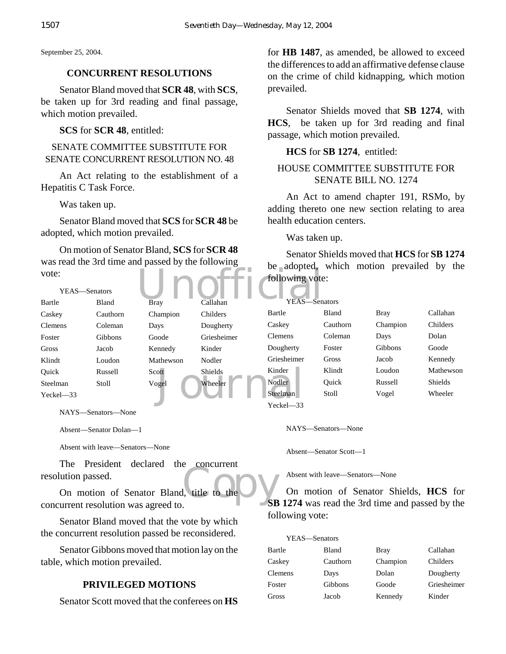September 25, 2004.

## **CONCURRENT RESOLUTIONS**

Senator Bland moved that **SCR 48**, with **SCS**, be taken up for 3rd reading and final passage, which motion prevailed.

**SCS** for **SCR 48**, entitled:

SENATE COMMITTEE SUBSTITUTE FOR SENATE CONCURRENT RESOLUTION NO. 48

An Act relating to the establishment of a Hepatitis C Task Force.

Was taken up.

Senator Bland moved that **SCS** for **SCR 48** be adopted, which motion prevailed.

On motion of Senator Bland, **SCS** for **SCR 48** was read the 3rd time and passed by the following vote:

for **HB 1487**, as amended, be allowed to exceed the differences to add an affirmative defense clause on the crime of child kidnapping, which motion prevailed.

Senator Shields moved that **SB 1274**, with **HCS**, be taken up for 3rd reading and final passage, which motion prevailed.

# **HCS** for **SB 1274**, entitled:

# HOUSE COMMITTEE SUBSTITUTE FOR SENATE BILL NO. 1274

An Act to amend chapter 191, RSMo, by adding thereto one new section relating to area health education centers.

Was taken up.

Senator Shields moved that **HCS** for **SB 1274** be adopted, which motion prevailed by the following vote:

| vote:         | YEAS—Senators |                    |             | following vote: |          | be adopted, which motion prevalied by the |           |
|---------------|---------------|--------------------|-------------|-----------------|----------|-------------------------------------------|-----------|
| Bartle        | Bland         | <b>Bray</b>        | Callahan    | YEAS-Senators   |          |                                           |           |
| Caskey        | Cauthorn      | Champion           | Childers    | Bartle          | Bland    | <b>Bray</b>                               | Callahan  |
| Clemens       | Coleman       | Days               | Dougherty   | Caskey          | Cauthorn | Champion                                  | Childers  |
| Foster        | Gibbons       | Goode              | Griesheimer | <b>Clemens</b>  | Coleman  | Days                                      | Dolan     |
| Gross         | Jacob         | Kennedy            | Kinder      | Dougherty       | Foster   | Gibbons                                   | Goode     |
| Klindt        | Loudon        | Mathewson          | Nodler      | Griesheimer     | Gross    | Jacob                                     | Kennedy   |
| Ouick         | Russell       | Scott <sup>-</sup> | Shields     | Kinder          | Klindt   | Loudon                                    | Mathewson |
| Steelman      | Stoll         | Vogel              | Wheeler     | Nodler          | Ouick    | Russell                                   | Shields   |
| $Yeckel - 33$ |               |                    |             | Steelman        | Stoll    | Vogel                                     | Wheeler   |
|               |               |                    |             | Yeckel-33       |          |                                           |           |

NAYS—Senators—None

Absent—Senator Dolan—1

Absent with leave—Senators—None

The President declared the concurrent resolution passed.

 $L$ , title to the  $\bigcirc$  SB On motion of Senator Bland, title to the concurrent resolution was agreed to.

Senator Bland moved that the vote by which the concurrent resolution passed be reconsidered.

Senator Gibbons moved that motion lay on the table, which motion prevailed.

# **PRIVILEGED MOTIONS**

Senator Scott moved that the conferees on **HS**

NAYS—Senators—None

Absent—Senator Scott—1

Absent with leave—Senators—None

On motion of Senator Shields, **HCS** for **SB 1274** was read the 3rd time and passed by the following vote:

| YEAS—Senators  |                |             |             |
|----------------|----------------|-------------|-------------|
| Bartle         | <b>Bland</b>   | <b>Bray</b> | Callahan    |
| Caskey         | Cauthorn       | Champion    | Childers    |
| <b>Clemens</b> | Days           | Dolan       | Dougherty   |
| Foster         | <b>Gibbons</b> | Goode       | Griesheimer |
| Gross          | Jacob          | Kennedy     | Kinder      |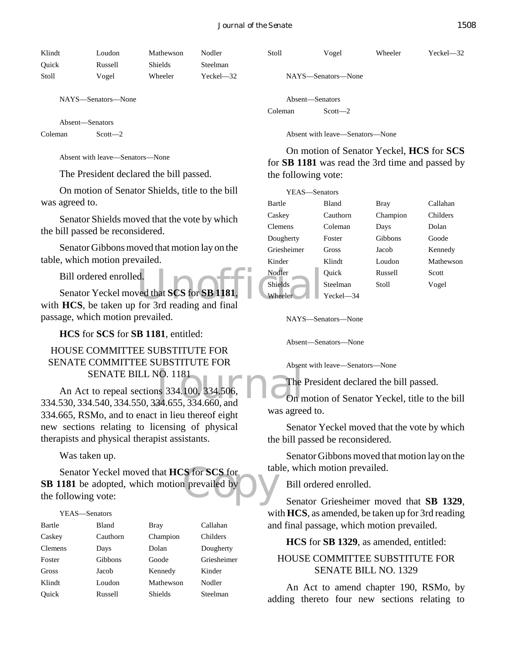| Klindt | Loudon  | Mathewson      | Nodler        |
|--------|---------|----------------|---------------|
| Ouick  | Russell | <b>Shields</b> | Steelman      |
| Stoll  | Vogel   | Wheeler        | $Yeckel - 32$ |

NAYS—Senators—None

Absent—Senators

Coleman Scott—2

Absent with leave—Senators—None

The President declared the bill passed.

On motion of Senator Shields, title to the bill was agreed to.

Senator Shields moved that the vote by which the bill passed be reconsidered.

Senator Gibbons moved that motion lay on the table, which motion prevailed.

Bill ordered enrolled.

d.<br>
ved that SCS for SB 1181.<br>
for 3rd reading and final Senator Yeckel moved that **SCS** for **SB 1181**, with **HCS**, be taken up for 3rd reading and final passage, which motion prevailed.

**HCS** for **SCS** for **SB 1181**, entitled:

# HOUSE COMMITTEE SUBSTITUTE FOR SENATE COMMITTEE SUBSTITUTE FOR SENATE BILL NO. 1181

SENATE BILL NO. 1181<br>
An Act to repeal sections 334.100, 334.506, The<br>
334.530, 334.540, 334.550, 334.655, 334.660, and On n An Act to repeal sections 334.100, 334.506, 334.665, RSMo, and to enact in lieu thereof eight new sections relating to licensing of physical therapists and physical therapist assistants.

Was taken up.

Senator Yeckel moved that **HCS** for **SCS** for<br>
181 be adopted, which motion prevailed by<br>
ollowing vote: **SB 1181** be adopted, which motion prevailed by the following vote:

#### YEAS—Senators

| Bartle         | Bland    | <b>Bray</b>    | Callahan    |
|----------------|----------|----------------|-------------|
| Caskey         | Cauthorn | Champion       | Childers    |
| <b>Clemens</b> | Days     | Dolan          | Dougherty   |
| Foster         | Gibbons  | Goode          | Griesheimer |
| Gross          | Jacob    | Kennedy        | Kinder      |
| Klindt         | Loudon   | Mathewson      | Nodler      |
| Ouick          | Russell  | <b>Shields</b> | Steelman    |

|                 | NAYS—Senators—None |
|-----------------|--------------------|
| Absent—Senators |                    |
| Coleman         | $Scott - 2$        |

Absent with leave—Senators—None

On motion of Senator Yeckel, **HCS** for **SCS** for **SB 1181** was read the 3rd time and passed by the following vote:

Stoll Vogel Wheeler Yeckel—32

| YEAS-Senators  |              |          |           |
|----------------|--------------|----------|-----------|
| Bartle         | <b>Bland</b> | Bray     | Callahan  |
| Caskey         | Cauthorn     | Champion | Childers  |
| <b>Clemens</b> | Coleman      | Days     | Dolan     |
| Dougherty      | Foster       | Gibbons  | Goode     |
| Griesheimer    | Gross        | Jacob    | Kennedy   |
| Kinder         | Klindt       | Loudon   | Mathewson |
| Nodler         | Ouick        | Russell  | Scott     |
| <b>Shields</b> | Steelman     | Stoll    | Vogel     |
| Wheeler        | Yeckel—34    |          |           |

NAYS—Senators—None

Absent—Senators—None

Absent with leave—Senators—None

The President declared the bill passed.

On motion of Senator Yeckel, title to the bill was agreed to.

Senator Yeckel moved that the vote by which the bill passed be reconsidered.

Senator Gibbons moved that motion lay on the table, which motion prevailed.

Bill ordered enrolled.

Senator Griesheimer moved that **SB 1329**, with **HCS**, as amended, be taken up for 3rd reading and final passage, which motion prevailed.

**HCS** for **SB 1329**, as amended, entitled:

## HOUSE COMMITTEE SUBSTITUTE FOR SENATE BILL NO. 1329

An Act to amend chapter 190, RSMo, by adding thereto four new sections relating to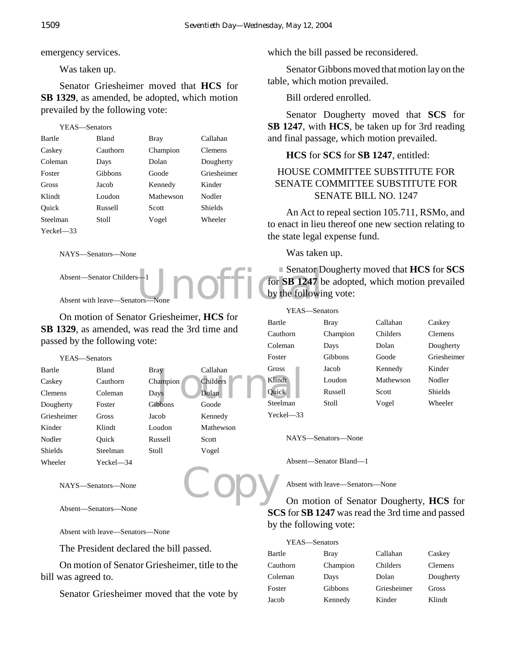emergency services.

Was taken up.

Senator Griesheimer moved that **HCS** for **SB 1329**, as amended, be adopted, which motion prevailed by the following vote:

```
YEAS—Senators
```

| <b>Bartle</b>  | Bland    | <b>Bray</b> | Callahan       |
|----------------|----------|-------------|----------------|
| Caskey         | Cauthorn | Champion    | Clemens        |
| Coleman        | Days     | Dolan       | Dougherty      |
| Foster         | Gibbons  | Goode       | Griesheimer    |
| Gross          | Jacob    | Kennedy     | Kinder         |
| Klindt         | Loudon   | Mathewson   | Nodler         |
| Ouick          | Russell  | Scott       | <b>Shields</b> |
| Steelman       | Stoll    | Vogel       | Wheeler        |
| $Yeckel$ $-33$ |          |             |                |

NAYS—Senators—None

Absent—Senator Childers—1

Absent with leave-Senators

On motion of Senator Griesheimer, **HCS** for **SB 1329**, as amended, was read the 3rd time and passed by the following vote:

> Bray Callahan Champion Childers

Gibbons Goode Jacob Kennedy Loudon Mathewson

| YEAS-Senators  |                |          |        |
|----------------|----------------|----------|--------|
| Bartle         | <b>Bland</b>   | Bray     | Callar |
| Caskey         | Cauthorn       | Champion | Childe |
| Clemens        | Coleman        | Days     | Dolan  |
| Dougherty      | Foster         | Gibbons  | Goode  |
| Griesheimer    | Gross          | Jacob    | Kenne  |
| Kinder         | Klindt         | Loudon   | Mathe  |
| Nodler         | Ouick          | Russell  | Scott  |
| <b>Shields</b> | Steelman       | Stoll    | Vogel  |
| Wheeler        | $Yeckel$ $-34$ |          |        |

NAYS—Senators—None

Absent—Senators—None

Absent with leave—Senators—None

The President declared the bill passed.

On motion of Senator Griesheimer, title to the bill was agreed to.

Senator Griesheimer moved that the vote by

which the bill passed be reconsidered.

Senator Gibbons moved that motion lay on the table, which motion prevailed.

Bill ordered enrolled.

Senator Dougherty moved that **SCS** for **SB 1247**, with **HCS**, be taken up for 3rd reading and final passage, which motion prevailed.

# **HCS** for **SCS** for **SB 1247**, entitled:

# HOUSE COMMITTEE SUBSTITUTE FOR SENATE COMMITTEE SUBSTITUTE FOR SENATE BILL NO. 1247

An Act to repeal section 105.711, RSMo, and to enact in lieu thereof one new section relating to the state legal expense fund.

Was taken up.

Senator D<br>One Door Senator D<br>by the following Senator Dougherty moved that **HCS** for **SCS** for **SB 1247** be adopted, which motion prevailed by the following vote:

|                                             |                 | YEAS—Senators |             |           |                |
|---------------------------------------------|-----------------|---------------|-------------|-----------|----------------|
| riesheimer, HCS for<br>ead the 3rd time and |                 | Bartle        | <b>Bray</b> | Callahan  | Caskey         |
|                                             |                 | Cauthorn      | Champion    | Childers  | <b>Clemens</b> |
|                                             |                 | Coleman       | Days        | Dolan     | Dougherty      |
|                                             |                 | Foster        | Gibbons     | Goode     | Griesheimer    |
| ay                                          | Callahan        | Gross         | Jacob       | Kennedy   | Kinder         |
| ampion                                      | <b>Childers</b> | Klindt        | Loudon      | Mathewson | Nodler         |
| ıys                                         | Dolan           | <b>Ouick</b>  | Russell     | Scott     | <b>Shields</b> |
| bbons                                       | Goode           | Steelman      | Stoll       | Vogel     | Wheeler        |
| roh.                                        | Kennedv         | Yeckel—33     |             |           |                |

NAYS—Senators—None

Absent—Senator Bland—1

Absent with leave—Senators—None

Copy On motion of Senator Dougherty, **HCS** for **SCS** for **SB 1247** was read the 3rd time and passed by the following vote:

| YEAS—Senators |          |             |                |
|---------------|----------|-------------|----------------|
| Bartle        | Bray     | Callahan    | Caskey         |
| Cauthorn      | Champion | Childers    | <b>Clemens</b> |
| Coleman       | Days     | Dolan       | Dougherty      |
| Foster        | Gibbons  | Griesheimer | Gross          |
| Jacob         | Kennedy  | Kinder      | Klindt         |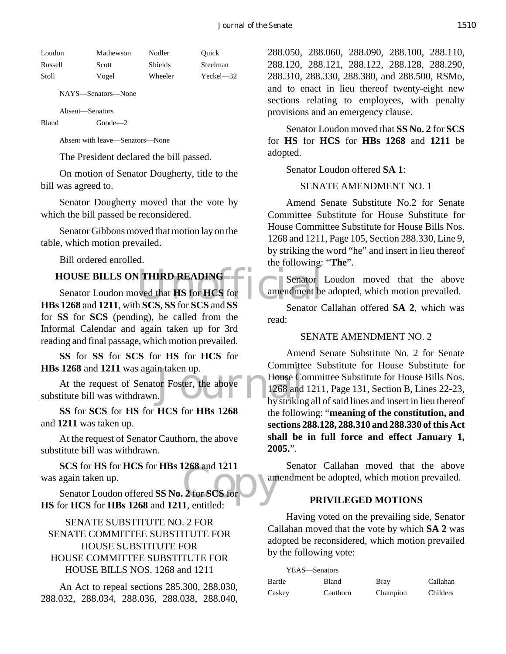| Loudon  | Mathewson | Nodler  | Ouick         |
|---------|-----------|---------|---------------|
| Russell | Scott     | Shields | Steelman      |
| Stoll   | Vogel     | Wheeler | $Yeckel - 32$ |

NAYS—Senators—None

Absent—Senators

Bland Goode—2

Absent with leave—Senators—None

The President declared the bill passed.

On motion of Senator Dougherty, title to the bill was agreed to.

Senator Dougherty moved that the vote by which the bill passed be reconsidered.

Senator Gibbons moved that motion lay on the table, which motion prevailed.

Bill ordered enrolled.

# **HOUSE BILLS ON THIRD READING**

VALUATION READING<br>
Example 1997 Senator<br>
Example 1997 Senator<br>
Senator<br>
Senator<br>
Senator<br>
Senator<br>
Senator<br>
Senator<br>
Senator<br>
Senator<br>
Senator<br>
Senator<br>
Senator<br>
Senator<br>
Senator<br>
Senator<br>
Senator<br>
Senator<br>
Senator<br>
Senato Senator Loudon moved that **HS** for **HCS** for **HBs 1268** and **1211**, with **SCS**, **SS** for **SCS** and **SS** for **SS** for **SCS** (pending), be called from the Informal Calendar and again taken up for 3rd reading and final passage, which motion prevailed.

**SS** for **SS** for **SCS** for **HS** for **HCS** for **HBs 1268** and **1211** was again taken up.

n taken up.<br>
or Foster, the above 1268 and<br>
by strikin At the request of Senator Foster, the above substitute bill was withdrawn.

**SS** for **SCS** for **HS** for **HCS** for **HBs 1268** and **1211** was taken up.

At the request of Senator Cauthorn, the above substitute bill was withdrawn.

 $\frac{268 \text{ and } 1211}{2 \text{ for } \text{SCS for}}$ **SCS** for **HS** for **HCS** for **HBs 1268** and **1211** was again taken up.

Senator Loudon offered **SS No. 2** for **SCS** for **HS** for **HCS** for **HBs 1268** and **1211**, entitled:

SENATE SUBSTITUTE NO. 2 FOR SENATE COMMITTEE SUBSTITUTE FOR HOUSE SUBSTITUTE FOR HOUSE COMMITTEE SUBSTITUTE FOR HOUSE BILLS NOS. 1268 and 1211

An Act to repeal sections 285.300, 288.030, 288.032, 288.034, 288.036, 288.038, 288.040,

288.050, 288.060, 288.090, 288.100, 288.110, 288.120, 288.121, 288.122, 288.128, 288.290, 288.310, 288.330, 288.380, and 288.500, RSMo, and to enact in lieu thereof twenty-eight new sections relating to employees, with penalty provisions and an emergency clause.

Senator Loudon moved that **SS No. 2** for **SCS** for **HS** for **HCS** for **HBs 1268** and **1211** be adopted.

Senator Loudon offered **SA 1**:

SENATE AMENDMENT NO. 1

Amend Senate Substitute No.2 for Senate Committee Substitute for House Substitute for House Committee Substitute for House Bills Nos. 1268 and 1211, Page 105, Section 288.330, Line 9, by striking the word "he" and insert in lieu thereof the following: "**The**".

Senator Loudon moved that the above amendment be adopted, which motion prevailed.

Senator Callahan offered **SA 2**, which was read:

#### SENATE AMENDMENT NO. 2

Amend Senate Substitute No. 2 for Senate Committee Substitute for House Substitute for House Committee Substitute for House Bills Nos. 1268 and 1211, Page 131, Section B, Lines 22-23, by striking all of said lines and insert in lieu thereof the following: "**meaning of the constitution, and sections 288.128, 288.310 and 288.330 of this Act shall be in full force and effect January 1, 2005.**".

Senator Callahan moved that the above amendment be adopted, which motion prevailed.

#### **PRIVILEGED MOTIONS**

Having voted on the prevailing side, Senator Callahan moved that the vote by which **SA 2** was adopted be reconsidered, which motion prevailed by the following vote:

YEAS—Senators Bartle Bland Bray Callahan Caskey Cauthorn Champion Childers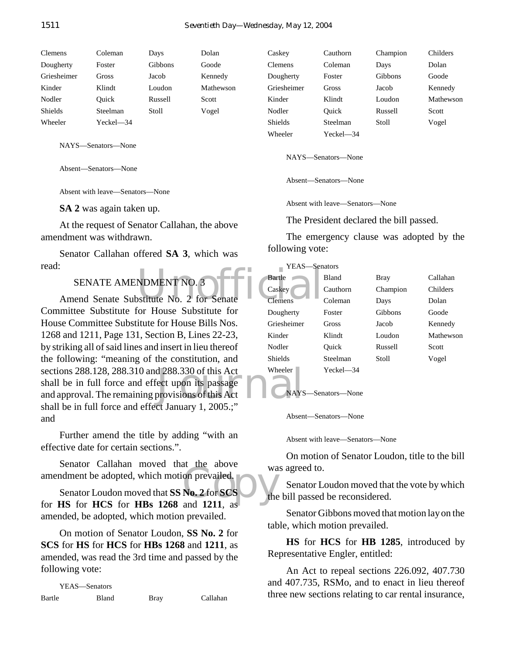| <b>Clemens</b> | Coleman   | Days           | Dolan     | Caskey         | Cauthorn          | Champion | Childers  |
|----------------|-----------|----------------|-----------|----------------|-------------------|----------|-----------|
| Dougherty      | Foster    | <b>Gibbons</b> | Goode     | Clemens        | Coleman           | Days     | Dolan     |
| Griesheimer    | Gross     | Jacob          | Kennedy   | Dougherty      | Foster            | Gibbons  | Goode     |
| Kinder         | Klindt    | Loudon         | Mathewson | Griesheimer    | Gross             | Jacob    | Kennedy   |
| Nodler         | Ouick     | Russell        | Scott     | Kinder         | Klindt            | Loudon   | Mathewson |
| Shields        | Steelman  | Stoll          | Vogel     | Nodler         | Ouick             | Russell  | Scott     |
| Wheeler        | Yeckel-34 |                |           | <b>Shields</b> | Steelman          | Stoll    | Vogel     |
|                |           |                |           | $1171 - 1 -$   | $V = -1 - 1 - 24$ |          |           |

NAYS—Senators—None

Absent—Senators—None

Absent with leave—Senators—None

**SA 2** was again taken up.

At the request of Senator Callahan, the above amendment was withdrawn.

Senator Callahan offered **SA 3**, which was read:

SENATE AMENDMENT NO. 3

d 288.330 of this Act Wheeler<br>
ect upon its passage<br>
provisions of this Act NAYS Amend Senate Substitute No. 2 for Senate Committee Substitute for House Substitute for House Committee Substitute for House Bills Nos. 1268 and 1211, Page 131, Section B, Lines 22-23, by striking all of said lines and insert in lieu thereof the following: "meaning of the constitution, and sections 288.128, 288.310 and 288.330 of this Act shall be in full force and effect upon its passage and approval. The remaining provisions of this Act shall be in full force and effect January 1, 2005.;" and

Further amend the title by adding "with an effective date for certain sections.".

Senator Callahan moved that the above

Senator Canadan Inovect that the above<br>
Senator Loudon moved that SS No. 2 for SCS<br>
for HS for HCS for HRs 1268 and 1211 as Senator Loudon moved that **SS No. 2** for **SCS** for **HS** for **HCS** for **HBs 1268** and **1211**, as amended, be adopted, which motion prevailed.

On motion of Senator Loudon, **SS No. 2** for **SCS** for **HS** for **HCS** for **HBs 1268** and **1211**, as amended, was read the 3rd time and passed by the following vote:

| YEAS—Senators |       |             |          |
|---------------|-------|-------------|----------|
| Bartle        | Bland | <b>Bray</b> | Callahan |

| Griesheimer | Gross              | Jacob   | Kennedy |
|-------------|--------------------|---------|---------|
| Kinder      | Klindt             | Loudon  | Mathews |
| Nodler      | Ouick              | Russell | Scott   |
| Shields     | Steelman           | Stoll   | Vogel   |
| Wheeler     | $Yeckel$ $-34$     |         |         |
|             |                    |         |         |
|             | NAYS—Senators—None |         |         |

Absent—Senators—None

Absent with leave—Senators—None

The President declared the bill passed.

The emergency clause was adopted by the following vote:

|                               | YEAS-Senators        |                    |             |           |
|-------------------------------|----------------------|--------------------|-------------|-----------|
| NDMENT NO. 3                  | Bartle               | <b>Bland</b>       | <b>Bray</b> | Callahan  |
|                               | Caskey               | Cauthorn           | Champion    | Childers  |
| ostitute No. 2 for Senate     | <b>Clemens</b>       | Coleman            | Days        | Dolan     |
| for House Substitute for      | Dougherty            | Foster             | Gibbons     | Goode     |
| itute for House Bills Nos.    | Griesheimer          | Gross              | Jacob       | Kennedy   |
| 1, Section B, Lines 22-23,    | Kinder               | Klindt             | Loudon      | Mathewson |
| es and insert in lieu thereof | Nodler               | Ouick              | Russell     | Scott     |
| g of the constitution, and    | <b>Shields</b>       | Steelman           | Stoll       | Vogel     |
| 0 and 288.330 of this Act     | Wheeler <sup>-</sup> | Yeckel-34          |             |           |
| d effect upon its passage     |                      |                    |             |           |
| ning provisions of this Act   |                      | NAYS-Senators-None |             |           |

Absent—Senators—None

Absent with leave—Senators—None

On motion of Senator Loudon, title to the bill was agreed to.

Senator Loudon moved that the vote by which the bill passed be reconsidered.

Senator Gibbons moved that motion lay on the table, which motion prevailed.

**HS** for **HCS** for **HB 1285**, introduced by Representative Engler, entitled:

An Act to repeal sections 226.092, 407.730 and 407.735, RSMo, and to enact in lieu thereof three new sections relating to car rental insurance,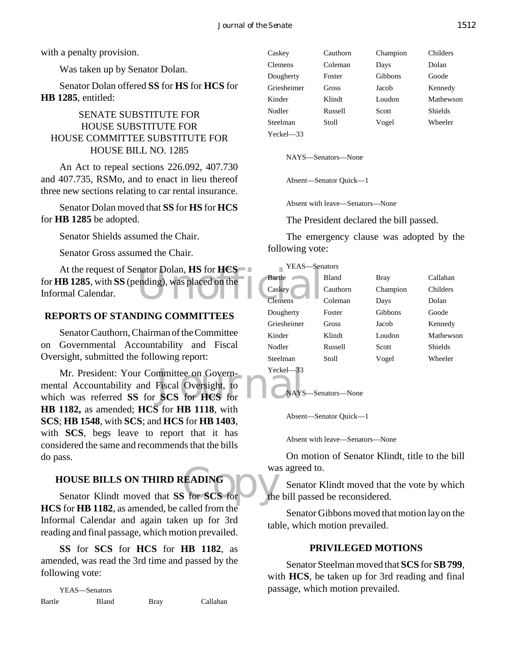with a penalty provision.

Was taken up by Senator Dolan.

Senator Dolan offered **SS** for **HS** for **HCS** for **HB 1285**, entitled:

# SENATE SUBSTITUTE FOR HOUSE SUBSTITUTE FOR HOUSE COMMITTEE SUBSTITUTE FOR HOUSE BILL NO. 1285

An Act to repeal sections 226.092, 407.730 and 407.735, RSMo, and to enact in lieu thereof three new sections relating to car rental insurance.

Senator Dolan moved that **SS** for **HS** for **HCS** for **HB 1285** be adopted.

Senator Shields assumed the Chair.

Senator Gross assumed the Chair.

nator Dolan, HS for HCS<br>ending), was placed on the Caskey At the request of Senator Dolan, **HS** for **HCS** for **HB 1285**, with **SS** (pending), was placed on the Informal Calendar.

## **REPORTS OF STANDING COMMITTEES**

Senator Cauthorn, Chairman of the Committee on Governmental Accountability and Fiscal Oversight, submitted the following report:

Mr. President: Your Committee on Govern-<br>mental Accountability and Fiscal Oversight, to<br>which was referred SS for SCS for HCS for Mr. President: Your Committee on Governmental Accountability and Fiscal Oversight, to **HB 1182,** as amended; **HCS** for **HB 1118**, with **SCS**; **HB 1548**, with **SCS**; and **HCS** for **HB 1403**, with **SCS**, begs leave to report that it has considered the same and recommends that the bills do pass.

# **HOUSE BILLS ON THIRD READING**

WE BILLS ON THIRD READING<br>
Senator Klindt moved that **SS** for **SCS** for the **HCS** for **HB 1182**, as amended, be called from the Informal Calendar and again taken up for 3rd reading and final passage, which motion prevailed.

**SS** for **SCS** for **HCS** for **HB 1182**, as amended, was read the 3rd time and passed by the following vote:

YEAS—Senators Bartle Bland Bray Callahan Caskey Cauthorn Champion Childers Clemens Coleman Days Dolan Dougherty Foster Gibbons Goode Griesheimer Gross Jacob Kennedy Kinder Klindt Loudon Mathewson Nodler Russell Scott Shields Steelman Stoll Vogel Wheeler Yeckel—33

NAYS—Senators—None

Absent—Senator Quick—1

Absent with leave—Senators—None

The President declared the bill passed.

The emergency clause was adopted by the following vote:

| YEAS-Senators  |          |          |           |  |
|----------------|----------|----------|-----------|--|
| Bartle         | Bland    | Bray     | Callahan  |  |
| Caskey         | Cauthorn | Champion | Childers  |  |
| <b>Clemens</b> | Coleman  | Days     | Dolan     |  |
| Dougherty      | Foster   | Gibbons  | Goode     |  |
| Griesheimer    | Gross    | Jacob    | Kennedy   |  |
| Kinder         | Klindt   | Loudon   | Mathewson |  |
| Nodler         | Russell  | Scott    | Shields   |  |
| Steelman       | Stoll    | Vogel    | Wheeler   |  |
| $Yeckel$ $-33$ |          |          |           |  |

# NAYS—Senators—None

Absent—Senator Quick—1

Absent with leave—Senators—None

On motion of Senator Klindt, title to the bill was agreed to.

Senator Klindt moved that the vote by which the bill passed be reconsidered.

Senator Gibbons moved that motion lay on the table, which motion prevailed.

#### **PRIVILEGED MOTIONS**

Senator Steelman moved that **SCS** for **SB 799**, with **HCS**, be taken up for 3rd reading and final passage, which motion prevailed.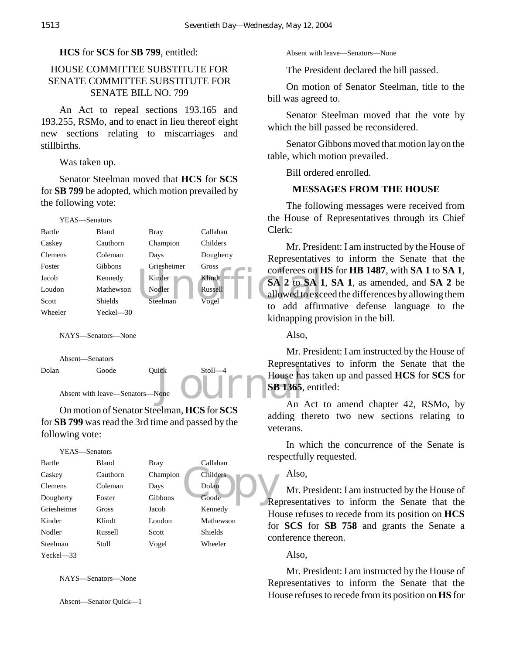#### **HCS** for **SCS** for **SB 799**, entitled:

# HOUSE COMMITTEE SUBSTITUTE FOR SENATE COMMITTEE SUBSTITUTE FOR SENATE BILL NO. 799

An Act to repeal sections 193.165 and 193.255, RSMo, and to enact in lieu thereof eight new sections relating to miscarriages and stillbirths.

Was taken up.

Senator Steelman moved that **HCS** for **SCS** for **SB 799** be adopted, which motion prevailed by the following vote:



NAYS—Senators—None





On motion of Senator Steelman, **HCS** for **SCS** for **SB 799** was read the 3rd time and passed by the following vote:

#### YEAS—Senators

| Bartle         | Bland    | <b>Bray</b> | Callahan       | ⊥ບບ             |
|----------------|----------|-------------|----------------|-----------------|
| Caskey         | Cauthorn | Champion    | Childers       |                 |
| <b>Clemens</b> | Coleman  | Days        | Dolan          |                 |
| Dougherty      | Foster   | Gibbons     | Goode          | Re              |
| Griesheimer    | Gross    | Jacob       | Kennedy        | Ho              |
| Kinder         | Klindt   | Loudon      | Mathewson      | for             |
| Nodler         | Russell  | Scott       | <b>Shields</b> | CO <sub>1</sub> |
| Steelman       | Stoll    | Vogel       | Wheeler        |                 |
| $Yeckel - 33$  |          |             |                |                 |

NAYS—Senators—None

Absent—Senator Quick—1

Absent with leave—Senators—None

The President declared the bill passed.

On motion of Senator Steelman, title to the bill was agreed to.

Senator Steelman moved that the vote by which the bill passed be reconsidered.

Senator Gibbons moved that motion lay on the table, which motion prevailed.

Bill ordered enrolled.

## **MESSAGES FROM THE HOUSE**

The following messages were received from the House of Representatives through its Chief Clerk:

Mr. President: I am instructed by the House of Representatives to inform the Senate that the conferees on **HS** for **HB 1487**, with **SA 1** to **SA 1**, **SA 2** to **SA 1**, **SA 1**, as amended, and **SA 2** be allowed to exceed the differences by allowing them to add affirmative defense language to the kidnapping provision in the bill.

Also,

Mr. President: I am instructed by the House of Representatives to inform the Senate that the House has taken up and passed **HCS** for **SCS** for **SB 1365**, entitled:

An Act to amend chapter 42, RSMo, by adding thereto two new sections relating to veterans.

In which the concurrence of the Senate is respectfully requested.

Also,

Mr. President: I am instructed by the House of Representatives to inform the Senate that the House refuses to recede from its position on **HCS** for **SCS** for **SB 758** and grants the Senate a conference thereon.

Also,

Mr. President: I am instructed by the House of Representatives to inform the Senate that the House refuses to recede from its position on **HS** for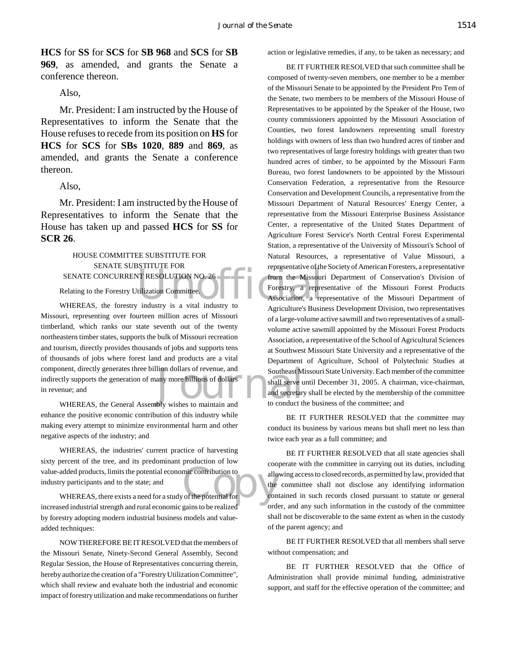**HCS** for **SS** for **SCS** for **SB 968** and **SCS** for **SB 969**, as amended, and grants the Senate a conference thereon.

#### Also,

Mr. President: I am instructed by the House of Representatives to inform the Senate that the House refuses to recede from its position on **HS** for **HCS** for **SCS** for **SBs 1020**, **889** and **869**, as amended, and grants the Senate a conference thereon.

#### Also,

Mr. President: I am instructed by the House of Representatives to inform the Senate that the House has taken up and passed **HCS** for **SS** for **SCR 26**.

# HOUSE COMMITTEE SUBSTITUTE FOR SENATE SUBSTITUTE FOR SENATE CONCURRENT RESOLUTION NO. 26

Relating to the Forestry Utilization Committee.

lion dollars of revenue, and<br>any more billions of dollars<br>shall serve u<br>and secretary<br>bly wishes to maintain and<br>to conduct the WHEREAS, the forestry industry is a vital industry to Missouri, representing over fourteen million acres of Missouri timberland, which ranks our state seventh out of the twenty northeastern timber states, supports the bulk of Missouri recreation and tourism, directly provides thousands of jobs and supports tens of thousands of jobs where forest land and products are a vital component, directly generates three billion dollars of revenue, and indirectly supports the generation of many more billions of dollars in revenue; and

WHEREAS, the General Assembly wishes to maintain and enhance the positive economic contribution of this industry while making every attempt to minimize environmental harm and other negative aspects of the industry; and

value-added products, limits the potential economic contribution to<br>
industry participants and to the state; and<br>
WHEREAS, there exists a need for a study of the potential for WHEREAS, the industries' current practice of harvesting sixty percent of the tree, and its predominant production of low industry participants and to the state; and

WHEREAS, there exists a need for a study of the potential for increased industrial strength and rural economic gains to be realized by forestry adopting modern industrial business models and valueadded techniques:

NOW THEREFORE BE IT RESOLVED that the members of the Missouri Senate, Ninety-Second General Assembly, Second Regular Session, the House of Representatives concurring therein, hereby authorize the creation of a "Forestry Utilization Committee", which shall review and evaluate both the industrial and economic impact of forestry utilization and make recommendations on further action or legislative remedies, if any, to be taken as necessary; and

FORT RESOLUTION NO. 26<br>
TRESOLUTION NO. 26<br>
tilization Committee.<br>
The Missouridinal Structure of the Missouridinal Process of the Missouridinal Process of the Missouridinal Process of the Missouridinal Process of the Miss BE IT FURTHER RESOLVED that such committee shall be composed of twenty-seven members, one member to be a member of the Missouri Senate to be appointed by the President Pro Tem of the Senate, two members to be members of the Missouri House of Representatives to be appointed by the Speaker of the House, two county commissioners appointed by the Missouri Association of Counties, two forest landowners representing small forestry holdings with owners of less than two hundred acres of timber and two representatives of large forestry holdings with greater than two hundred acres of timber, to be appointed by the Missouri Farm Bureau, two forest landowners to be appointed by the Missouri Conservation Federation, a representative from the Resource Conservation and Development Councils, a representative from the Missouri Department of Natural Resources' Energy Center, a representative from the Missouri Enterprise Business Assistance Center, a representative of the United States Department of Agriculture Forest Service's North Central Forest Experimental Station, a representative of the University of Missouri's School of Natural Resources, a representative of Value Missouri, a representative of the Society of American Foresters, a representative from the Missouri Department of Conservation's Division of Forestry, a representative of the Missouri Forest Products Association, a representative of the Missouri Department of Agriculture's Business Development Division, two representatives of a large-volume active sawmill and two representatives of a smallvolume active sawmill appointed by the Missouri Forest Products Association, a representative of the School of Agricultural Sciences at Southwest Missouri State University and a representative of the Department of Agriculture, School of Polytechnic Studies at Southeast Missouri State University. Each member of the committee shall serve until December 31, 2005. A chairman, vice-chairman, and secretary shall be elected by the membership of the committee to conduct the business of the committee; and

> BE IT FURTHER RESOLVED that the committee may conduct its business by various means but shall meet no less than twice each year as a full committee; and

> BE IT FURTHER RESOLVED that all state agencies shall cooperate with the committee in carrying out its duties, including allowing access to closed records, as permitted by law, provided that the committee shall not disclose any identifying information contained in such records closed pursuant to statute or general order, and any such information in the custody of the committee shall not be discoverable to the same extent as when in the custody of the parent agency; and

> BE IT FURTHER RESOLVED that all members shall serve without compensation; and

> BE IT FURTHER RESOLVED that the Office of Administration shall provide minimal funding, administrative support, and staff for the effective operation of the committee; and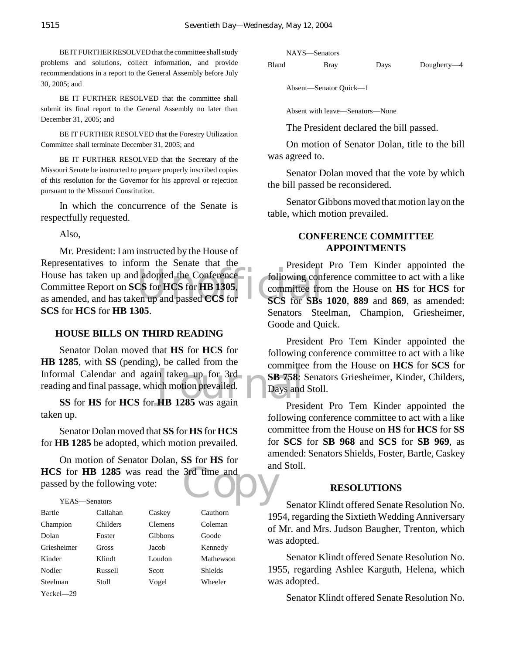BE IT FURTHER RESOLVED that the committee shall study problems and solutions, collect information, and provide recommendations in a report to the General Assembly before July 30, 2005; and

BE IT FURTHER RESOLVED that the committee shall submit its final report to the General Assembly no later than December 31, 2005; and

BE IT FURTHER RESOLVED that the Forestry Utilization Committee shall terminate December 31, 2005; and

BE IT FURTHER RESOLVED that the Secretary of the Missouri Senate be instructed to prepare properly inscribed copies of this resolution for the Governor for his approval or rejection pursuant to the Missouri Constitution.

In which the concurrence of the Senate is respectfully requested.

Also,

House has taken up and adopted the Conference<br>
Committee Report on SCS for HCS for HB 1305,<br>
as amended, and has taken up and passed CCS for<br>
SCS for SBs Mr. President: I am instructed by the House of Representatives to inform the Senate that the Committee Report on **SCS** for **HCS** for **HB 1305**, as amended, and has taken up and passed **CCS** for **SCS** for **HCS** for **HB 1305**.

#### **HOUSE BILLS ON THIRD READING**

m taken up for 3rd<br>
ich motion prevailed.<br> **HB 1285** was again Senator Dolan moved that **HS** for **HCS** for **HB 1285**, with **SS** (pending), be called from the Informal Calendar and again taken up for 3rd reading and final passage, which motion prevailed.

**SS** for **HS** for **HCS** for **HB 1285** was again taken up.

Senator Dolan moved that **SS** for **HS** for **HCS** for **HB 1285** be adopted, which motion prevailed.

**HCS** for **HB 1285** was read the 3rd time and passed by the following vote:<br>YEAS—Senators On motion of Senator Dolan, **SS** for **HS** for passed by the following vote:

#### YEAS—Senators

| Bartle      | Callahan | Caskey         | Cauthorn       |
|-------------|----------|----------------|----------------|
| Champion    | Childers | <b>Clemens</b> | Coleman        |
| Dolan       | Foster   | Gibbons        | Goode          |
| Griesheimer | Gross    | Jacob          | Kennedy        |
| Kinder      | Klindt   | Loudon         | Mathewson      |
| Nodler      | Russell  | Scott          | <b>Shields</b> |
| Steelman    | Stoll    | Vogel          | Wheeler        |
| Yeckel—29   |          |                |                |

NAYS—Senators

Bland Bray Days Dougherty—4

Absent—Senator Quick—1

Absent with leave—Senators—None

The President declared the bill passed.

On motion of Senator Dolan, title to the bill was agreed to.

Senator Dolan moved that the vote by which the bill passed be reconsidered.

Senator Gibbons moved that motion lay on the table, which motion prevailed.

## **CONFERENCE COMMITTEE APPOINTMENTS**

President Pro Tem Kinder appointed the following conference committee to act with a like committee from the House on **HS** for **HCS** for **SCS** for **SBs 1020**, **889** and **869**, as amended: Senators Steelman, Champion, Griesheimer, Goode and Quick.

President Pro Tem Kinder appointed the following conference committee to act with a like committee from the House on **HCS** for **SCS** for **SB 758**: Senators Griesheimer, Kinder, Childers, Days and Stoll.

President Pro Tem Kinder appointed the following conference committee to act with a like committee from the House on **HS** for **HCS** for **SS** for **SCS** for **SB 968** and **SCS** for **SB 969**, as amended: Senators Shields, Foster, Bartle, Caskey and Stoll.

#### **RESOLUTIONS**

Senator Klindt offered Senate Resolution No. 1954, regarding the Sixtieth Wedding Anniversary of Mr. and Mrs. Judson Baugher, Trenton, which was adopted.

Senator Klindt offered Senate Resolution No. 1955, regarding Ashlee Karguth, Helena, which was adopted.

Senator Klindt offered Senate Resolution No.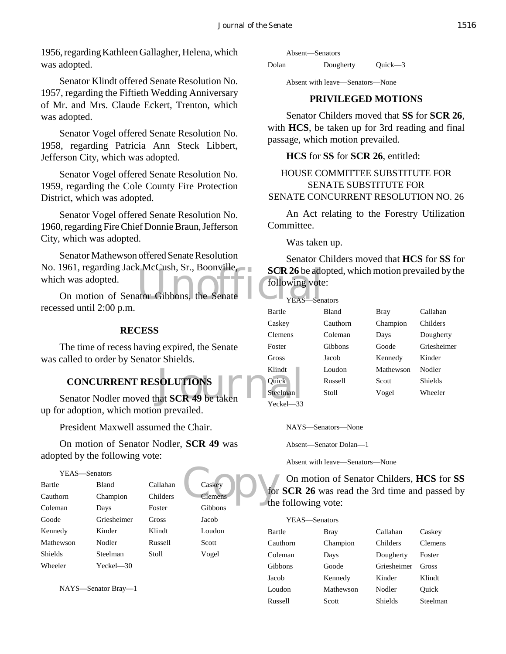1956, regarding Kathleen Gallagher, Helena, which was adopted.

Senator Klindt offered Senate Resolution No. 1957, regarding the Fiftieth Wedding Anniversary of Mr. and Mrs. Claude Eckert, Trenton, which was adopted.

Senator Vogel offered Senate Resolution No. 1958, regarding Patricia Ann Steck Libbert, Jefferson City, which was adopted.

Senator Vogel offered Senate Resolution No. 1959, regarding the Cole County Fire Protection District, which was adopted.

Senator Vogel offered Senate Resolution No. 1960, regarding Fire Chief Donnie Braun, Jefferson City, which was adopted.

SCR 26 be add<br>ator Gibbons, the Senate Theory Teas-Sen Senator Mathewson offered Senate Resolution No. 1961, regarding Jack McCush, Sr., Boonville, which was adopted.

On motion of Senator Gibbons, the recessed until 2:00 p.m.

#### **RECESS**

The time of recess having expired, the Senate was called to order by Senator Shields.

# **CONCURRENT RESOLUTIONS**

Klindt<br>
Senator Nodler moved that **SCR 49** be taken<br>
Teckel—33 up for adoption, which motion prevailed.

President Maxwell assumed the Chair.

On motion of Senator Nodler, **SCR 49** was adopted by the following vote:

## Caskey<br>Clemens Courthe YEAS—Senators Bartle Bland Callahan Caskey Cauthorn Champion Childers Clemen Coleman Days Foster Gibbons Goode Griesheimer Gross Jacob Kennedy Kinder Klindt Loudon Mathewson Nodler Russell Scott Shields Steelman Stoll Vogel Wheeler Yeckel—30

NAYS—Senator Bray—1

Absent—Senators

Dolan Dougherty Quick—3

Absent with leave—Senators—None

#### **PRIVILEGED MOTIONS**

Senator Childers moved that **SS** for **SCR 26**, with **HCS**, be taken up for 3rd reading and final passage, which motion prevailed.

#### **HCS** for **SS** for **SCR 26**, entitled:

#### HOUSE COMMITTEE SUBSTITUTE FOR SENATE SUBSTITUTE FOR SENATE CONCURRENT RESOLUTION NO. 26

An Act relating to the Forestry Utilization Committee.

Was taken up.

Senator Childers moved that **HCS** for **SS** for **SCR 26** be adopted, which motion prevailed by the following vote:

| YEAS-Senators |          |           |                |
|---------------|----------|-----------|----------------|
| Bartle        | Bland    | Bray      | Callahan       |
| Caskey        | Cauthorn | Champion  | Childers       |
| Clemens       | Coleman  | Days      | Dougherty      |
| Foster        | Gibbons  | Goode     | Griesheimer    |
| Gross         | Jacob    | Kennedy   | Kinder         |
| Klindt        | Loudon   | Mathewson | Nodler         |
| Ouick         | Russell  | Scott     | <b>Shields</b> |
| Steelman      | Stoll    | Vogel     | Wheeler        |

Yeckel—33

NAYS—Senators—None

Absent—Senator Dolan—1

Absent with leave—Senators—None

On motion of Senator Childers, **HCS** for **SS** for **SCR 26** was read the 3rd time and passed by the following vote:

| YEAS—Senators |           |             |          |
|---------------|-----------|-------------|----------|
| Bartle        | Bray      | Callahan    | Caskey   |
| Cauthorn      | Champion  | Childers    | Clemens  |
| Coleman       | Days      | Dougherty   | Foster   |
| Gibbons       | Goode     | Griesheimer | Gross    |
| Jacob         | Kennedy   | Kinder      | Klindt   |
| Loudon        | Mathewson | Nodler      | Ouick    |
| Russell       | Scott     | Shields     | Steelman |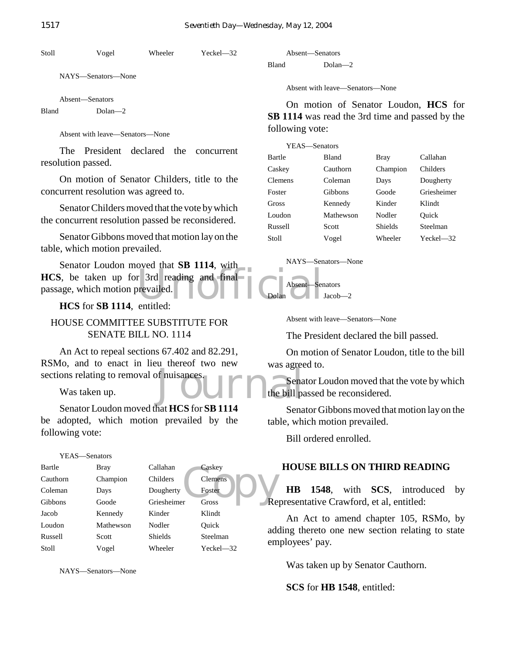Stoll Vogel Wheeler Yeckel—32

NAYS—Senators—None

Absent—Senators Bland Dolan—2

Absent with leave—Senators—None

The President declared the concurrent resolution passed.

On motion of Senator Childers, title to the concurrent resolution was agreed to.

Senator Childers moved that the vote by which the concurrent resolution passed be reconsidered.

Senator Gibbons moved that motion lay on the table, which motion prevailed.

HCS, be taken up for 3rd reading and final<br>passage, which motion prevailed.<br>HCS for SR 1114 entitled: Senator Loudon moved that **SB 1114**, with passage, which motion prevailed.

**HCS** for **SB 1114**, entitled:

HOUSE COMMITTEE SUBSTITUTE FOR SENATE BILL NO. 1114

Mas agreed<br>of nuisances.<br>Journal of the bill past of the bill past of the bill past of the bill past of the bill past of the bill past An Act to repeal sections 67.402 and 82.291, RSMo, and to enact in lieu thereof two new sections relating to removal of nuisances.

Was taken up.

Senator Loudon moved that **HCS** for **SB 1114** be adopted, which motion prevailed by the following vote:

#### YEAS—Senators

| Bartle   | <b>Bray</b> | Callahan       | Caskey         |  |
|----------|-------------|----------------|----------------|--|
| Cauthorn | Champion    | Childers       | Clemens        |  |
| Coleman  | Days        | Dougherty      | Foster         |  |
| Gibbons  | Goode       | Griesheimer    | Re<br>Gross    |  |
| Jacob    | Kennedy     | Kinder         | Klindt         |  |
| Loudon   | Mathewson   | Nodler         | Ouick<br>ad    |  |
| Russell  | Scott       | <b>Shields</b> | Steelman<br>em |  |
| Stoll    | Vogel       | Wheeler        | $Yeckel - 32$  |  |
|          |             |                |                |  |

NAYS—Senators—None

|       | Absent—Senators |
|-------|-----------------|
| Bland | $Dolan - 2$     |

Absent with leave—Senators—None

On motion of Senator Loudon, **HCS** for **SB 1114** was read the 3rd time and passed by the following vote:

| YEAS—Senators |           |          |             |
|---------------|-----------|----------|-------------|
| Bartle        | Bland     | Bray     | Callahan    |
| Caskey        | Cauthorn  | Champion | Childers    |
| Clemens       | Coleman   | Days     | Dougherty   |
| Foster        | Gibbons   | Goode    | Griesheimer |
| Gross         | Kennedy   | Kinder   | Klindt      |
| Loudon        | Mathewson | Nodler   | Ouick       |
| Russell       | Scott     | Shields  | Steelman    |
| Stoll         | Vogel     | Wheeler  | Yeckel—32   |
|               |           |          |             |



Absent—Senators  $Jacob-2$ 

Absent with leave—Senators—None

The President declared the bill passed.

On motion of Senator Loudon, title to the bill was agreed to.

Senator Loudon moved that the vote by which the bill passed be reconsidered.

Senator Gibbons moved that motion lay on the table, which motion prevailed.

Bill ordered enrolled.

## **HOUSE BILLS ON THIRD READING**

**HB 1548**, with **SCS**, introduced by Representative Crawford, et al, entitled:

An Act to amend chapter 105, RSMo, by adding thereto one new section relating to state employees' pay.

Was taken up by Senator Cauthorn.

**SCS** for **HB 1548**, entitled: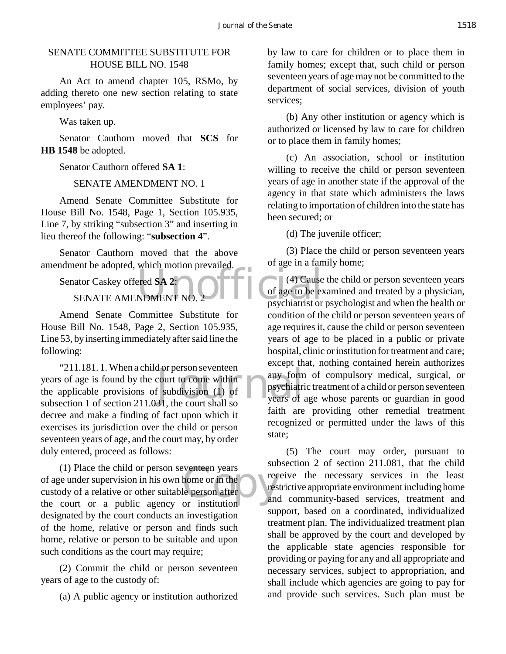## SENATE COMMITTEE SUBSTITUTE FOR HOUSE BILL NO. 1548

An Act to amend chapter 105, RSMo, by adding thereto one new section relating to state employees' pay.

Was taken up.

Senator Cauthorn moved that **SCS** for **HB 1548** be adopted.

Senator Cauthorn offered **SA 1**:

SENATE AMENDMENT NO. 1

Amend Senate Committee Substitute for House Bill No. 1548, Page 1, Section 105.935, Line 7, by striking "subsection 3" and inserting in lieu thereof the following: "**subsection 4**".

Senator Cauthorn moved that the above amendment be adopted, which motion prevailed.

Senator Caskey offered **SA 2**:

SENATE AMENDMENT NO. 2

Amend Senate Committee Substitute for House Bill No. 1548, Page 2, Section 105.935, Line 53, by inserting immediately after said line the following:

d or person seventeen<br>
court to come within<br>
f subdivision (1) of<br>
31, the court shall so<br>
The vears of "211.181. 1. When a child or person seventeen years of age is found by the court to come within the applicable provisions of subdivision (1) of subsection 1 of section 211.031, the court shall so decree and make a finding of fact upon which it exercises its jurisdiction over the child or person seventeen years of age, and the court may, by order duly entered, proceed as follows:

Exercise or in the the person after the the person after the theorem and the theorem in the theorem and the theorem and the theorem and the theorem and the theorem and the theorem and the theorem and the theorem and the th (1) Place the child or person seventeen years of age under supervision in his own home or in the custody of a relative or other suitable person after the court or a public agency or institution designated by the court conducts an investigation of the home, relative or person and finds such home, relative or person to be suitable and upon such conditions as the court may require;

(2) Commit the child or person seventeen years of age to the custody of:

(a) A public agency or institution authorized

by law to care for children or to place them in family homes; except that, such child or person seventeen years of age may not be committed to the department of social services, division of youth services;

(b) Any other institution or agency which is authorized or licensed by law to care for children or to place them in family homes;

(c) An association, school or institution willing to receive the child or person seventeen years of age in another state if the approval of the agency in that state which administers the laws relating to importation of children into the state has been secured; or

(d) The juvenile officer;

(3) Place the child or person seventeen years of age in a family home;

ered SA 2:<br>NDMENT NO. 2 (4) Cause the child or person seventeen years of age to be examined and treated by a physician, psychiatrist or psychologist and when the health or condition of the child or person seventeen years of age requires it, cause the child or person seventeen years of age to be placed in a public or private hospital, clinic or institution for treatment and care; except that, nothing contained herein authorizes any form of compulsory medical, surgical, or psychiatric treatment of a child or person seventeen years of age whose parents or guardian in good faith are providing other remedial treatment recognized or permitted under the laws of this state;

> (5) The court may order, pursuant to subsection 2 of section 211.081, that the child receive the necessary services in the least restrictive appropriate environment including home and community-based services, treatment and support, based on a coordinated, individualized treatment plan. The individualized treatment plan shall be approved by the court and developed by the applicable state agencies responsible for providing or paying for any and all appropriate and necessary services, subject to appropriation, and shall include which agencies are going to pay for and provide such services. Such plan must be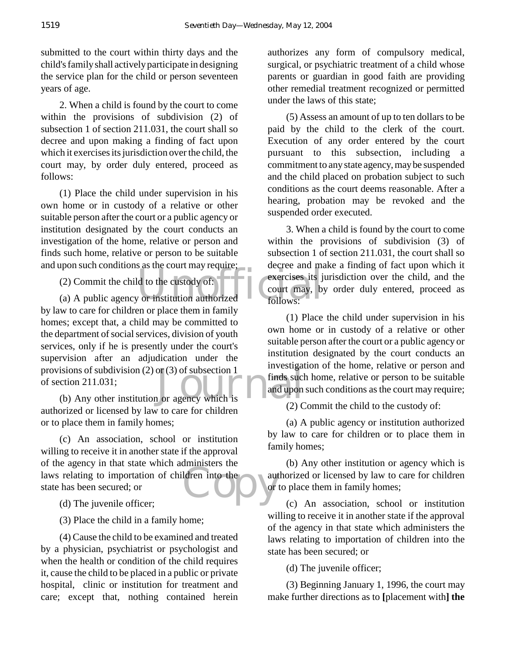submitted to the court within thirty days and the child's family shall actively participate in designing the service plan for the child or person seventeen years of age.

2. When a child is found by the court to come within the provisions of subdivision (2) of subsection 1 of section 211.031, the court shall so decree and upon making a finding of fact upon which it exercises its jurisdiction over the child, the court may, by order duly entered, proceed as follows:

(1) Place the child under supervision in his own home or in custody of a relative or other suitable person after the court or a public agency or institution designated by the court conducts an investigation of the home, relative or person and finds such home, relative or person to be suitable and upon such conditions as the court may require;

(2) Commit the child to the custody of:

(2) Commit the child to the custody of:<br>
(a) A public agency or institution authorized follows: isions of subdivision (2) or (3) of subsection 1<br>
ction 211.031;<br>
(b) Any other institution or agency which is by law to care for children or place them in family homes; except that, a child may be committed to the department of social services, division of youth services, only if he is presently under the court's supervision after an adjudication under the provisions of subdivision (2) or (3) of subsection 1 of section 211.031;

authorized or licensed by law to care for children or to place them in family homes;

For the agency in that state which dammissers the<br>
laws relating to importation of children into the<br>
state has been secured; or<br>
(d) The invenile officer: (c) An association, school or institution willing to receive it in another state if the approval of the agency in that state which administers the state has been secured; or

(d) The juvenile officer;

(3) Place the child in a family home;

(4) Cause the child to be examined and treated by a physician, psychiatrist or psychologist and when the health or condition of the child requires it, cause the child to be placed in a public or private hospital, clinic or institution for treatment and care; except that, nothing contained herein

authorizes any form of compulsory medical, surgical, or psychiatric treatment of a child whose parents or guardian in good faith are providing other remedial treatment recognized or permitted under the laws of this state;

(5) Assess an amount of up to ten dollars to be paid by the child to the clerk of the court. Execution of any order entered by the court pursuant to this subsection, including a commitment to any state agency, may be suspended and the child placed on probation subject to such conditions as the court deems reasonable. After a hearing, probation may be revoked and the suspended order executed.

3. When a child is found by the court to come within the provisions of subdivision (3) of subsection 1 of section 211.031, the court shall so decree and make a finding of fact upon which it exercises its jurisdiction over the child, and the court may, by order duly entered, proceed as follows:

(1) Place the child under supervision in his own home or in custody of a relative or other suitable person after the court or a public agency or institution designated by the court conducts an investigation of the home, relative or person and finds such home, relative or person to be suitable and upon such conditions as the court may require;

(2) Commit the child to the custody of:

(a) A public agency or institution authorized by law to care for children or to place them in family homes;

(b) Any other institution or agency which is authorized or licensed by law to care for children or to place them in family homes;

(c) An association, school or institution willing to receive it in another state if the approval of the agency in that state which administers the laws relating to importation of children into the state has been secured; or

(d) The juvenile officer;

(3) Beginning January 1, 1996, the court may make further directions as to **[**placement with**] the**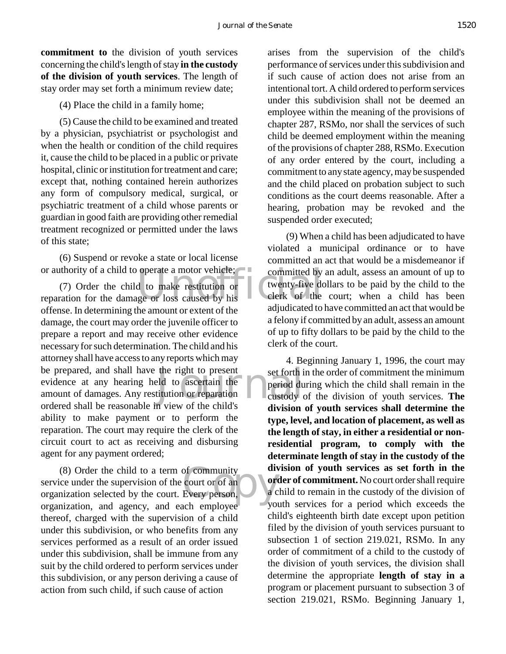**commitment to** the division of youth services concerning the child's length of stay **in the custody of the division of youth services**. The length of stay order may set forth a minimum review date;

(4) Place the child in a family home;

(5) Cause the child to be examined and treated by a physician, psychiatrist or psychologist and when the health or condition of the child requires it, cause the child to be placed in a public or private hospital, clinic or institution for treatment and care; except that, nothing contained herein authorizes any form of compulsory medical, surgical, or psychiatric treatment of a child whose parents or guardian in good faith are providing other remedial treatment recognized or permitted under the laws of this state;

(6) Suspend or revoke a state or local license or authority of a child to operate a motor vehicle;

or authority of a child to operate a motor vehicle;<br>
(7) Order the child to make restitution or<br>
reparation for the damage or loss caused by his the right to present<br>
led to ascertain the period du<br>
titution or reparation<br>
m view of the child's (7) Order the child to make restitution or offense. In determining the amount or extent of the damage, the court may order the juvenile officer to prepare a report and may receive other evidence necessary for such determination. The child and his attorney shall have access to any reports which may be prepared, and shall have the right to present evidence at any hearing held to ascertain the amount of damages. Any restitution or reparation ordered shall be reasonable in view of the child's ability to make payment or to perform the reparation. The court may require the clerk of the circuit court to act as receiving and disbursing agent for any payment ordered;

of community<br>
court or of an<br>
Every person,<br>
est employee volumes (8) Order the child to a term of community service under the supervision of the court or of an organization selected by the court. Every person, organization, and agency, and each employee thereof, charged with the supervision of a child under this subdivision, or who benefits from any services performed as a result of an order issued under this subdivision, shall be immune from any suit by the child ordered to perform services under this subdivision, or any person deriving a cause of action from such child, if such cause of action

arises from the supervision of the child's performance of services under this subdivision and if such cause of action does not arise from an intentional tort. A child ordered to perform services under this subdivision shall not be deemed an employee within the meaning of the provisions of chapter 287, RSMo, nor shall the services of such child be deemed employment within the meaning of the provisions of chapter 288, RSMo. Execution of any order entered by the court, including a commitment to any state agency, may be suspended and the child placed on probation subject to such conditions as the court deems reasonable. After a hearing, probation may be revoked and the suspended order executed;

(9) When a child has been adjudicated to have violated a municipal ordinance or to have committed an act that would be a misdemeanor if committed by an adult, assess an amount of up to twenty-five dollars to be paid by the child to the clerk of the court; when a child has been adjudicated to have committed an act that would be a felony if committed by an adult, assess an amount of up to fifty dollars to be paid by the child to the clerk of the court.

4. Beginning January 1, 1996, the court may set forth in the order of commitment the minimum period during which the child shall remain in the custody of the division of youth services. **The division of youth services shall determine the type, level, and location of placement, as well as the length of stay, in either a residential or nonresidential program, to comply with the determinate length of stay in the custody of the division of youth services as set forth in the order of commitment.** No court order shall require a child to remain in the custody of the division of youth services for a period which exceeds the child's eighteenth birth date except upon petition filed by the division of youth services pursuant to subsection 1 of section 219.021, RSMo. In any order of commitment of a child to the custody of the division of youth services, the division shall determine the appropriate **length of stay in a** program or placement pursuant to subsection 3 of section 219.021, RSMo. Beginning January 1,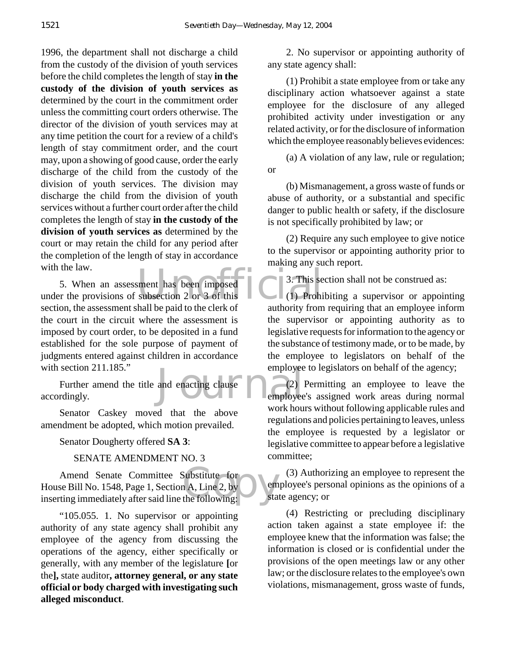1996, the department shall not discharge a child from the custody of the division of youth services before the child completes the length of stay **in the custody of the division of youth services as** determined by the court in the commitment order unless the committing court orders otherwise. The director of the division of youth services may at any time petition the court for a review of a child's length of stay commitment order, and the court may, upon a showing of good cause, order the early discharge of the child from the custody of the division of youth services. The division may discharge the child from the division of youth services without a further court order after the child completes the length of stay **in the custody of the division of youth services as** determined by the court or may retain the child for any period after the completion of the length of stay in accordance with the law.

With the law.<br>
5. When an assessment has been imposed<br>
under the provisions of subsection 2 or 3 of this<br>
section the essessment shall be neid to the elector for a subsective from 5. When an assessment has been imposed section, the assessment shall be paid to the clerk of the court in the circuit where the assessment is imposed by court order, to be deposited in a fund established for the sole purpose of payment of judgments entered against children in accordance with section 211.185."

employee<br>and enacting clause (2)<br>employee Further amend the title and enacting clause accordingly.

Senator Caskey moved that the above amendment be adopted, which motion prevailed.

Senator Dougherty offered **SA 3**:

## SENATE AMENDMENT NO. 3

Amend Senate Committee Substitute for<br>
House Bill No. 1548, Page 1, Section A, Line 2, by<br>
inserting immediately after said line the following: Amend Senate Committee Substitute for House Bill No. 1548, Page 1, Section A, Line 2, by

"105.055. 1. No supervisor or appointing authority of any state agency shall prohibit any employee of the agency from discussing the operations of the agency, either specifically or generally, with any member of the legislature **[**or the**],** state auditor**, attorney general, or any state official or body charged with investigating such alleged misconduct**.

2. No supervisor or appointing authority of any state agency shall:

(1) Prohibit a state employee from or take any disciplinary action whatsoever against a state employee for the disclosure of any alleged prohibited activity under investigation or any related activity, or for the disclosure of information which the employee reasonably believes evidences:

(a) A violation of any law, rule or regulation; or

(b) Mismanagement, a gross waste of funds or abuse of authority, or a substantial and specific danger to public health or safety, if the disclosure is not specifically prohibited by law; or

(2) Require any such employee to give notice to the supervisor or appointing authority prior to making any such report.

3. This section shall not be construed as:

(1) Prohibiting a supervisor or appointing authority from requiring that an employee inform the supervisor or appointing authority as to legislative requests for information to the agency or the substance of testimony made, or to be made, by the employee to legislators on behalf of the employee to legislators on behalf of the agency;

(2) Permitting an employee to leave the employee's assigned work areas during normal work hours without following applicable rules and regulations and policies pertaining to leaves, unless the employee is requested by a legislator or legislative committee to appear before a legislative committee;

(3) Authorizing an employee to represent the employee's personal opinions as the opinions of a state agency; or

(4) Restricting or precluding disciplinary action taken against a state employee if: the employee knew that the information was false; the information is closed or is confidential under the provisions of the open meetings law or any other law; or the disclosure relates to the employee's own violations, mismanagement, gross waste of funds,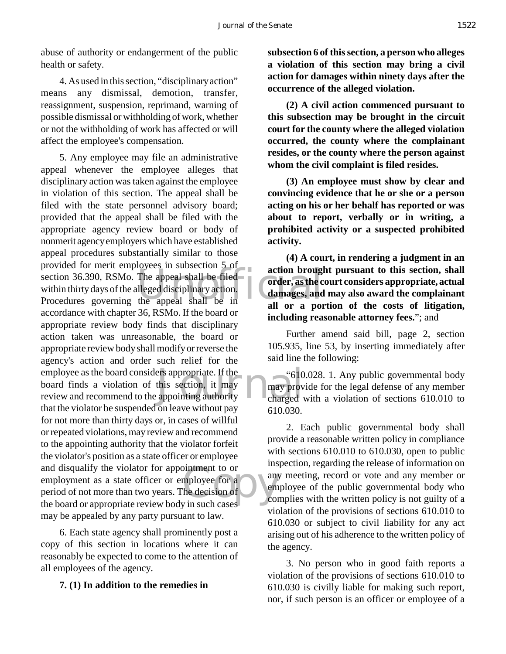abuse of authority or endangerment of the public health or safety.

4. As used in this section, "disciplinary action" means any dismissal, demotion, transfer, reassignment, suspension, reprimand, warning of possible dismissal or withholding of work, whether or not the withholding of work has affected or will affect the employee's compensation.

provided for merit employees in subsection 3 or action brough<br>section 36.390, RSMo. The appeal shall be filed order, as the c<br>within thirty days of the alleged disciplinary action.<br>Procedures governing the appeal shall be ers appropriate. If the "610"<br>this section, it may may prove<br>appointing authority charged  $\begin{array}{c}\n\text{independent to or} \\
\text{implyve for a} \\
\text{the decision of} \\
\downarrow \text{in such cases}\n\end{array}$ 5. Any employee may file an administrative appeal whenever the employee alleges that disciplinary action was taken against the employee in violation of this section. The appeal shall be filed with the state personnel advisory board; provided that the appeal shall be filed with the appropriate agency review board or body of nonmerit agency employers which have established appeal procedures substantially similar to those provided for merit employees in subsection 5 of section 36.390, RSMo. The appeal shall be filed within thirty days of the alleged disciplinary action. accordance with chapter 36, RSMo. If the board or appropriate review body finds that disciplinary action taken was unreasonable, the board or appropriate review body shall modify or reverse the agency's action and order such relief for the employee as the board considers appropriate. If the board finds a violation of this section, it may review and recommend to the appointing authority that the violator be suspended on leave without pay for not more than thirty days or, in cases of willful or repeated violations, may review and recommend to the appointing authority that the violator forfeit the violator's position as a state officer or employee and disqualify the violator for appointment to or employment as a state officer or employee for a period of not more than two years. The decision of the board or appropriate review body in such cases may be appealed by any party pursuant to law.

6. Each state agency shall prominently post a copy of this section in locations where it can reasonably be expected to come to the attention of all employees of the agency.

#### **7. (1) In addition to the remedies in**

**subsection 6 of this section, a person who alleges a violation of this section may bring a civil action for damages within ninety days after the occurrence of the alleged violation.**

**(2) A civil action commenced pursuant to this subsection may be brought in the circuit court for the county where the alleged violation occurred, the county where the complainant resides, or the county where the person against whom the civil complaint is filed resides.**

**(3) An employee must show by clear and convincing evidence that he or she or a person acting on his or her behalf has reported or was about to report, verbally or in writing, a prohibited activity or a suspected prohibited activity.**

**(4) A court, in rendering a judgment in an action brought pursuant to this section, shall order, as the court considers appropriate, actual damages, and may also award the complainant all or a portion of the costs of litigation, including reasonable attorney fees.**"; and

Further amend said bill, page 2, section 105.935, line 53, by inserting immediately after said line the following:

"610.028. 1. Any public governmental body may provide for the legal defense of any member charged with a violation of sections 610.010 to 610.030.

2. Each public governmental body shall provide a reasonable written policy in compliance with sections 610.010 to 610.030, open to public inspection, regarding the release of information on any meeting, record or vote and any member or employee of the public governmental body who complies with the written policy is not guilty of a violation of the provisions of sections 610.010 to 610.030 or subject to civil liability for any act arising out of his adherence to the written policy of the agency.

3. No person who in good faith reports a violation of the provisions of sections 610.010 to 610.030 is civilly liable for making such report, nor, if such person is an officer or employee of a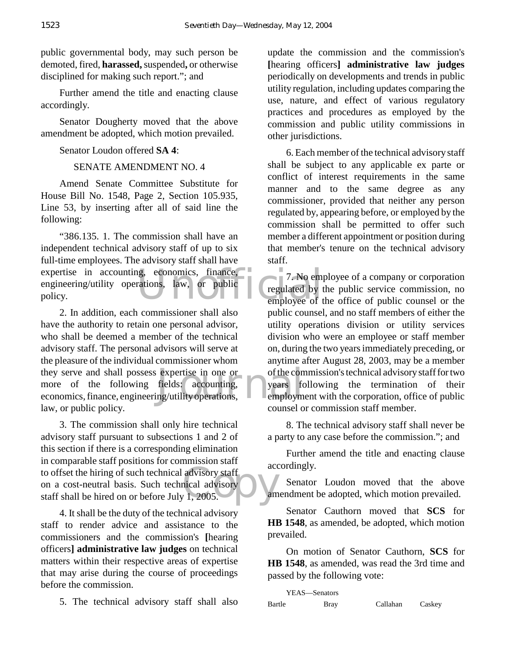public governmental body, may such person be demoted, fired, **harassed,** suspended**,** or otherwise disciplined for making such report."; and

Further amend the title and enacting clause accordingly.

Senator Dougherty moved that the above amendment be adopted, which motion prevailed.

Senator Loudon offered **SA 4**:

# SENATE AMENDMENT NO. 4

Amend Senate Committee Substitute for House Bill No. 1548, Page 2, Section 105.935, Line 53, by inserting after all of said line the following:

expertise in accounting, economics, finance, 7. No employee of the policy. "386.135. 1. The commission shall have an independent technical advisory staff of up to six full-time employees. The advisory staff shall have engineering/utility operations, law, or public policy.

expertise in one or<br>fields: accounting, years for<br>ng/utility operations, employm 2. In addition, each commissioner shall also have the authority to retain one personal advisor, who shall be deemed a member of the technical advisory staff. The personal advisors will serve at the pleasure of the individual commissioner whom they serve and shall possess expertise in one or more of the following fields: accounting, economics, finance, engineering/utility operations, law, or public policy.

to offset the hiring of such technical advisory staff<br>
on a cost-neutral basis. Such technical advisory<br>
staff shall be hired on or before July 1, 2005. 3. The commission shall only hire technical advisory staff pursuant to subsections 1 and 2 of this section if there is a corresponding elimination in comparable staff positions for commission staff on a cost-neutral basis. Such technical advisory staff shall be hired on or before July 1, 2005.

4. It shall be the duty of the technical advisory staff to render advice and assistance to the commissioners and the commission's **[**hearing officers**] administrative law judges** on technical matters within their respective areas of expertise that may arise during the course of proceedings before the commission.

5. The technical advisory staff shall also

update the commission and the commission's **[**hearing officers**] administrative law judges** periodically on developments and trends in public utility regulation, including updates comparing the use, nature, and effect of various regulatory practices and procedures as employed by the commission and public utility commissions in other jurisdictions.

6. Each member of the technical advisory staff shall be subject to any applicable ex parte or conflict of interest requirements in the same manner and to the same degree as any commissioner, provided that neither any person regulated by, appearing before, or employed by the commission shall be permitted to offer such member a different appointment or position during that member's tenure on the technical advisory staff.

 $\degree$ 7. No employee of a company or corporation regulated by the public service commission, no employee of the office of public counsel or the public counsel, and no staff members of either the utility operations division or utility services division who were an employee or staff member on, during the two years immediately preceding, or anytime after August 28, 2003, may be a member of the commission's technical advisory staff for two years following the termination of their employment with the corporation, office of public counsel or commission staff member.

8. The technical advisory staff shall never be a party to any case before the commission."; and

Further amend the title and enacting clause accordingly.

Senator Loudon moved that the above amendment be adopted, which motion prevailed.

Senator Cauthorn moved that **SCS** for **HB 1548**, as amended, be adopted, which motion prevailed.

On motion of Senator Cauthorn, **SCS** for **HB 1548**, as amended, was read the 3rd time and passed by the following vote:

|        | YEAS—Senators |          |        |
|--------|---------------|----------|--------|
| Bartle | Bray          | Callahan | Caskey |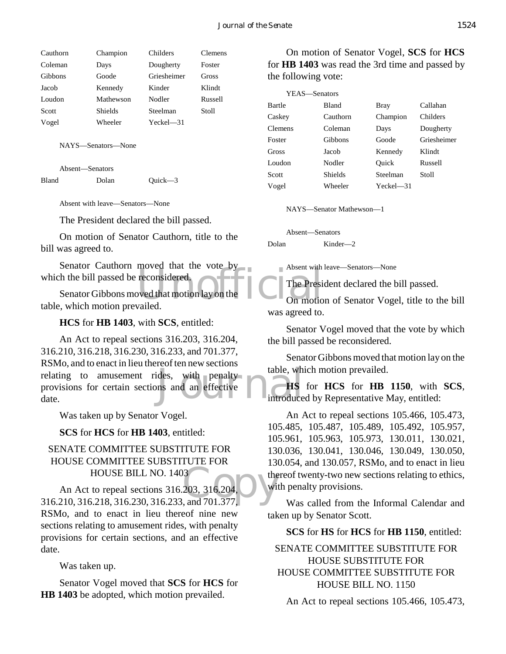| Cauthorn | Champion       | Childers    | Clemens |
|----------|----------------|-------------|---------|
| Coleman  | Days           | Dougherty   | Foster  |
| Gibbons  | Goode          | Griesheimer | Gross   |
| Jacob    | Kennedy        | Kinder      | Klindt  |
| Loudon   | Mathewson      | Nodler      | Russell |
| Scott    | <b>Shields</b> | Steelman    | Stoll   |
| Vogel    | Wheeler        | $Yech = 31$ |         |

NAYS—Senators—None

Absent—Senators Bland Dolan Quick—3

Absent with leave—Senators—None

The President declared the bill passed.

On motion of Senator Cauthorn, title to the bill was agreed to.

Senator Cauthorn moved that the vote by which the bill passed be reconsidered.

moved that the vote by<br>reconsidered.<br>we that motion lay on the laws on motion on motion Senator Gibbons moved that motion lay on the table, which motion prevailed.

**HCS** for **HB** 1403, with **SCS**, entitled:

table, which with penalty<br>ns and an effective introduce An Act to repeal sections 316.203, 316.204, 316.210, 316.218, 316.230, 316.233, and 701.377, RSMo, and to enact in lieu thereof ten new sections relating to amusement rides, with penalty provisions for certain sections and an effective date.

Was taken up by Senator Vogel.

**SCS** for **HCS** for **HB 1403**, entitled:

## SENATE COMMITTEE SUBSTITUTE FOR HOUSE COMMITTEE SUBSTITUTE FOR HOUSE BILL NO. 1403

HOUSE BILL NO. 1403<br>
An Act to repeal sections 316.203, 316.204,<br>
316.210, 316.218, 316.230, 316.233, and 701.377, An Act to repeal sections 316.203, 316.204, RSMo, and to enact in lieu thereof nine new sections relating to amusement rides, with penalty provisions for certain sections, and an effective date.

Was taken up.

Senator Vogel moved that **SCS** for **HCS** for **HB 1403** be adopted, which motion prevailed.

On motion of Senator Vogel, **SCS** for **HCS** for **HB 1403** was read the 3rd time and passed by the following vote:

| YEAS—Senators  |                |           |             |
|----------------|----------------|-----------|-------------|
| Bartle         | <b>Bland</b>   | Bray      | Callahan    |
| Caskey         | Cauthorn       | Champion  | Childers    |
| <b>Clemens</b> | Coleman        | Days      | Dougherty   |
| Foster         | Gibbons        | Goode     | Griesheimer |
| Gross          | Jacob          | Kennedy   | Klindt      |
| Loudon         | Nodler         | Ouick     | Russell     |
| Scott          | <b>Shields</b> | Steelman  | Stoll       |
| Vogel          | Wheeler        | Yeckel—31 |             |

NAYS—Senator Mathewson—1

Absent—Senators Dolan Kinder—2

Absent with leave—Senators—None

The President declared the bill passed.

On motion of Senator Vogel, title to the bill was agreed to.

Senator Vogel moved that the vote by which the bill passed be reconsidered.

Senator Gibbons moved that motion lay on the table, which motion prevailed.

**HS** for **HCS** for **HB 1150**, with **SCS**, introduced by Representative May, entitled:

An Act to repeal sections 105.466, 105.473, 105.485, 105.487, 105.489, 105.492, 105.957, 105.961, 105.963, 105.973, 130.011, 130.021, 130.036, 130.041, 130.046, 130.049, 130.050, 130.054, and 130.057, RSMo, and to enact in lieu thereof twenty-two new sections relating to ethics, with penalty provisions.

Was called from the Informal Calendar and taken up by Senator Scott.

#### **SCS** for **HS** for **HCS** for **HB 1150**, entitled:

# SENATE COMMITTEE SUBSTITUTE FOR HOUSE SUBSTITUTE FOR HOUSE COMMITTEE SUBSTITUTE FOR HOUSE BILL NO. 1150

An Act to repeal sections 105.466, 105.473,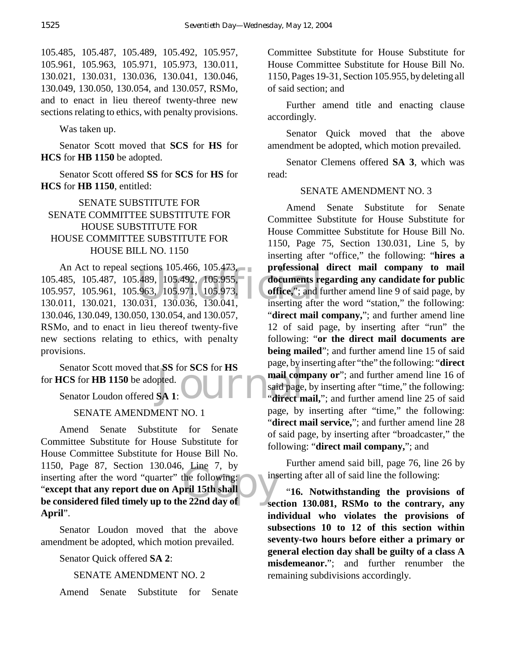105.485, 105.487, 105.489, 105.492, 105.957, 105.961, 105.963, 105.971, 105.973, 130.011, 130.021, 130.031, 130.036, 130.041, 130.046, 130.049, 130.050, 130.054, and 130.057, RSMo, and to enact in lieu thereof twenty-three new sections relating to ethics, with penalty provisions.

Was taken up.

Senator Scott moved that **SCS** for **HS** for **HCS** for **HB 1150** be adopted.

Senator Scott offered **SS** for **SCS** for **HS** for **HCS** for **HB 1150**, entitled:

# SENATE SUBSTITUTE FOR SENATE COMMITTEE SUBSTITUTE FOR HOUSE SUBSTITUTE FOR HOUSE COMMITTEE SUBSTITUTE FOR HOUSE BILL NO. 1150

ections 105.466, 105.473,<br>
.489, 105.492, 105.955,<br>
.963, 105.971, 105.973,<br>
.031, 130.036, 130.041, inserting after An Act to repeal sections 105.466, 105.473, 105.485, 105.487, 105.489, 105.492, 105.955, 105.957, 105.961, 105.963, 105.971, 105.973, 130.011, 130.021, 130.031, 130.036, 130.041, 130.046, 130.049, 130.050, 130.054, and 130.057, RSMo, and to enact in lieu thereof twenty-five new sections relating to ethics, with penalty provisions.

EX S for SCS for HS<br>pted.<br>SA 1: COMPUTER Said page<br>direct n Senator Scott moved that **SS** for **SCS** for **HS** for **HCS** for **HB 1150** be adopted.

Senator Loudon offered **SA 1**:

## SENATE AMENDMENT NO. 1

Filou, Page 87, Section 150.046, Line 7, by<br>
inserting after the word "quarter" the following:<br>
"except that any report due on April 15th shall<br>
be considered filed timely up to the 22nd day of Amend Senate Substitute for Senate Committee Substitute for House Substitute for House Committee Substitute for House Bill No. 1150, Page 87, Section 130.046, Line 7, by inserting after the word "quarter" the following: "**except that any report due on April 15th shall April**".

Senator Loudon moved that the above amendment be adopted, which motion prevailed.

Senator Quick offered **SA 2**:

## SENATE AMENDMENT NO. 2

Amend Senate Substitute for Senate

Committee Substitute for House Substitute for House Committee Substitute for House Bill No. 1150, Pages 19-31, Section 105.955, by deleting all of said section; and

Further amend title and enacting clause accordingly.

Senator Quick moved that the above amendment be adopted, which motion prevailed.

Senator Clemens offered **SA 3**, which was read:

## SENATE AMENDMENT NO. 3

Amend Senate Substitute for Senate Committee Substitute for House Substitute for House Committee Substitute for House Bill No. 1150, Page 75, Section 130.031, Line 5, by inserting after "office," the following: "**hires a professional direct mail company to mail documents regarding any candidate for public office,**"; and further amend line 9 of said page, by inserting after the word "station," the following: "**direct mail company,**"; and further amend line 12 of said page, by inserting after "run" the following: "**or the direct mail documents are being mailed**"; and further amend line 15 of said page, by inserting after "the" the following: "**direct** mail company or"; and further amend line 16 of said page, by inserting after "time," the following: "**direct mail,**"; and further amend line 25 of said page, by inserting after "time," the following: "**direct mail service,**"; and further amend line 28 of said page, by inserting after "broadcaster," the following: "**direct mail company,**"; and

Further amend said bill, page 76, line 26 by inserting after all of said line the following:

"**16. Notwithstanding the provisions of section 130.081, RSMo to the contrary, any individual who violates the provisions of subsections 10 to 12 of this section within seventy-two hours before either a primary or general election day shall be guilty of a class A misdemeanor.**"; and further renumber the remaining subdivisions accordingly.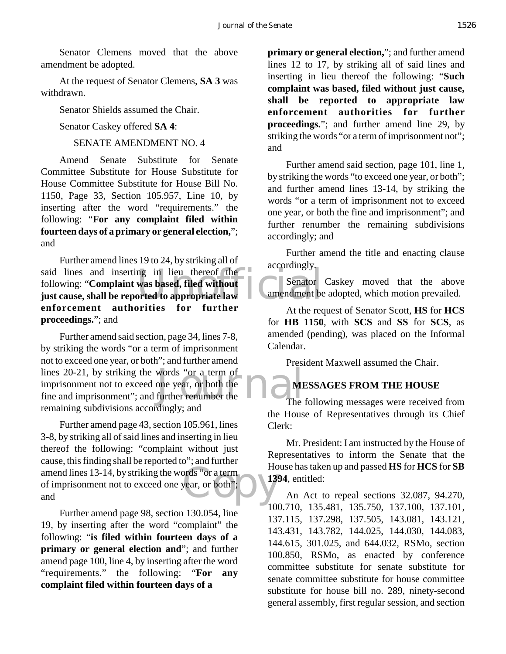Senator Clemens moved that the above amendment be adopted.

At the request of Senator Clemens, **SA 3** was withdrawn.

Senator Shields assumed the Chair.

Senator Caskey offered **SA 4**:

SENATE AMENDMENT NO. 4

Amend Senate Substitute for Senate Committee Substitute for House Substitute for House Committee Substitute for House Bill No. 1150, Page 33, Section 105.957, Line 10, by inserting after the word "requirements." the following: "**For any complaint filed within fourteen days of a primary or general election,**"; and

said lines and inserting in lieu thereof the<br>
following: "Complaint was based, filed without<br>
just cause, shall be reported to appropriate law<br>
amendment be Further amend lines 19 to 24, by striking all of following: "**Complaint was based, filed without just cause, shall be reported to appropriate law enforcement authorities for further proceedings.**"; and

lines 20-21, by striking the words "or a term of<br>
imprisonment not to exceed one year, or both the<br>
fine and imprisonment"; and further renumber the<br>
The Further amend said section, page 34, lines 7-8, by striking the words "or a term of imprisonment not to exceed one year, or both"; and further amend lines 20-21, by striking the words "or a term of imprisonment not to exceed one year, or both the remaining subdivisions accordingly; and

prds "or a term<br>year, or both";<br> Further amend page 43, section 105.961, lines 3-8, by striking all of said lines and inserting in lieu thereof the following: "complaint without just cause, this finding shall be reported to"; and further amend lines 13-14, by striking the words "or a term of imprisonment not to exceed one year, or both"; and

Further amend page 98, section 130.054, line 19, by inserting after the word "complaint" the following: "**is filed within fourteen days of a primary or general election and**"; and further amend page 100, line 4, by inserting after the word "requirements." the following: "**For any complaint filed within fourteen days of a** 

**primary or general election,**"; and further amend lines 12 to 17, by striking all of said lines and inserting in lieu thereof the following: "**Such complaint was based, filed without just cause, shall be reported to appropriate law enforcement authorities for further proceedings.**"; and further amend line 29, by striking the words "or a term of imprisonment not"; and

Further amend said section, page 101, line 1, by striking the words "to exceed one year, or both"; and further amend lines 13-14, by striking the words "or a term of imprisonment not to exceed one year, or both the fine and imprisonment"; and further renumber the remaining subdivisions accordingly; and

Further amend the title and enacting clause accordingly.

Senator Caskey moved that the above amendment be adopted, which motion prevailed.

At the request of Senator Scott, **HS** for **HCS** for **HB 1150**, with **SCS** and **SS** for **SCS**, as amended (pending), was placed on the Informal Calendar.

President Maxwell assumed the Chair.

# **MESSAGES FROM THE HOUSE**

The following messages were received from the House of Representatives through its Chief Clerk:

Mr. President: I am instructed by the House of Representatives to inform the Senate that the House has taken up and passed **HS** for **HCS** for **SB 1394**, entitled:

An Act to repeal sections 32.087, 94.270, 100.710, 135.481, 135.750, 137.100, 137.101, 137.115, 137.298, 137.505, 143.081, 143.121, 143.431, 143.782, 144.025, 144.030, 144.083, 144.615, 301.025, and 644.032, RSMo, section 100.850, RSMo, as enacted by conference committee substitute for senate substitute for senate committee substitute for house committee substitute for house bill no. 289, ninety-second general assembly, first regular session, and section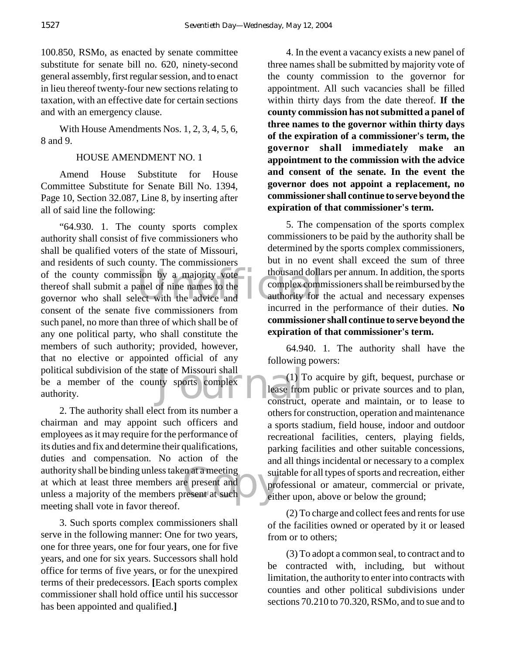100.850, RSMo, as enacted by senate committee substitute for senate bill no. 620, ninety-second general assembly, first regular session, and to enact in lieu thereof twenty-four new sections relating to taxation, with an effective date for certain sections and with an emergency clause.

With House Amendments Nos. 1, 2, 3, 4, 5, 6, 8 and 9.

## HOUSE AMENDMENT NO. 1

Amend House Substitute for House Committee Substitute for Senate Bill No. 1394, Page 10, Section 32.087, Line 8, by inserting after all of said line the following:

of the county commission by a majority vote thousand dollar<br>
thereof shall submit a panel of nine names to the<br>
governor who shall select with the advice and<br>
incurred in the ate of Missouri shall<br>hty sports complex<br>construct. "64.930. 1. The county sports complex authority shall consist of five commissioners who shall be qualified voters of the state of Missouri, and residents of such county. The commissioners thereof shall submit a panel of nine names to the governor who shall select with the advice and consent of the senate five commissioners from such panel, no more than three of which shall be of any one political party, who shall constitute the members of such authority; provided, however, that no elective or appointed official of any political subdivision of the state of Missouri shall be a member of the county sports complex authority.

en at a meeting<br>
re present and<br>
resent at such<br>
eith<br>
eith 2. The authority shall elect from its number a chairman and may appoint such officers and employees as it may require for the performance of its duties and fix and determine their qualifications, duties and compensation. No action of the authority shall be binding unless taken at a meeting at which at least three members are present and unless a majority of the members present at such meeting shall vote in favor thereof.

3. Such sports complex commissioners shall serve in the following manner: One for two years, one for three years, one for four years, one for five years, and one for six years. Successors shall hold office for terms of five years, or for the unexpired terms of their predecessors. **[**Each sports complex commissioner shall hold office until his successor has been appointed and qualified.**]**

4. In the event a vacancy exists a new panel of three names shall be submitted by majority vote of the county commission to the governor for appointment. All such vacancies shall be filled within thirty days from the date thereof. **If the county commission has not submitted a panel of three names to the governor within thirty days of the expiration of a commissioner's term, the governor shall immediately make an appointment to the commission with the advice and consent of the senate. In the event the governor does not appoint a replacement, no commissioner shall continue to serve beyond the expiration of that commissioner's term.**

5. The compensation of the sports complex commissioners to be paid by the authority shall be determined by the sports complex commissioners, but in no event shall exceed the sum of three thousand dollars per annum. In addition, the sports complex commissioners shall be reimbursed by the authority for the actual and necessary expenses incurred in the performance of their duties. **No commissioner shall continue to serve beyond the expiration of that commissioner's term.**

64.940. 1. The authority shall have the following powers:

(1) To acquire by gift, bequest, purchase or lease from public or private sources and to plan, construct, operate and maintain, or to lease to others for construction, operation and maintenance a sports stadium, field house, indoor and outdoor recreational facilities, centers, playing fields, parking facilities and other suitable concessions, and all things incidental or necessary to a complex suitable for all types of sports and recreation, either professional or amateur, commercial or private, either upon, above or below the ground;

(2) To charge and collect fees and rents for use of the facilities owned or operated by it or leased from or to others;

(3) To adopt a common seal, to contract and to be contracted with, including, but without limitation, the authority to enter into contracts with counties and other political subdivisions under sections 70.210 to 70.320, RSMo, and to sue and to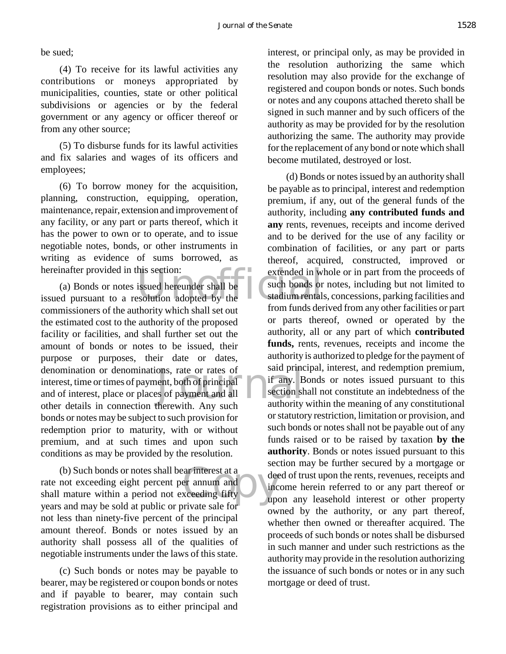be sued;

(4) To receive for its lawful activities any contributions or moneys appropriated by municipalities, counties, state or other political subdivisions or agencies or by the federal government or any agency or officer thereof or from any other source;

(5) To disburse funds for its lawful activities and fix salaries and wages of its officers and employees;

(6) To borrow money for the acquisition, planning, construction, equipping, operation, maintenance, repair, extension and improvement of any facility, or any part or parts thereof, which it has the power to own or to operate, and to issue negotiable notes, bonds, or other instruments in writing as evidence of sums borrowed, as hereinafter provided in this section:

hereinafter provided in this section:<br>
(a) Bonds or notes issued hereunder shall be<br>
issued pursuant to a resolution adopted by the<br>
from funds data ons, rate or rates of<br>
ent, both of principal<br>
Section skeptched and all<br>
therewith Any such authority (a) Bonds or notes issued hereunder shall be commissioners of the authority which shall set out the estimated cost to the authority of the proposed facility or facilities, and shall further set out the amount of bonds or notes to be issued, their purpose or purposes, their date or dates, denomination or denominations, rate or rates of interest, time or times of payment, both of principal and of interest, place or places of payment and all other details in connection therewith. Any such bonds or notes may be subject to such provision for redemption prior to maturity, with or without premium, and at such times and upon such conditions as may be provided by the resolution.

(b) Such bonds or notes shall bear interest at a<br>
rate not exceeding eight percent per annum and<br>
shall mature within a period not exceeding fifty (b) Such bonds or notes shall bear interest at a rate not exceeding eight percent per annum and years and may be sold at public or private sale for not less than ninety-five percent of the principal amount thereof. Bonds or notes issued by an authority shall possess all of the qualities of negotiable instruments under the laws of this state.

(c) Such bonds or notes may be payable to bearer, may be registered or coupon bonds or notes and if payable to bearer, may contain such registration provisions as to either principal and

interest, or principal only, as may be provided in the resolution authorizing the same which resolution may also provide for the exchange of registered and coupon bonds or notes. Such bonds or notes and any coupons attached thereto shall be signed in such manner and by such officers of the authority as may be provided for by the resolution authorizing the same. The authority may provide for the replacement of any bond or note which shall become mutilated, destroyed or lost.

(d) Bonds or notes issued by an authority shall be payable as to principal, interest and redemption premium, if any, out of the general funds of the authority, including **any contributed funds and any** rents, revenues, receipts and income derived and to be derived for the use of any facility or combination of facilities, or any part or parts thereof, acquired, constructed, improved or extended in whole or in part from the proceeds of such bonds or notes, including but not limited to stadium rentals, concessions, parking facilities and from funds derived from any other facilities or part or parts thereof, owned or operated by the authority, all or any part of which **contributed funds,** rents, revenues, receipts and income the authority is authorized to pledge for the payment of said principal, interest, and redemption premium, if any. Bonds or notes issued pursuant to this section shall not constitute an indebtedness of the authority within the meaning of any constitutional or statutory restriction, limitation or provision, and such bonds or notes shall not be payable out of any funds raised or to be raised by taxation **by the authority**. Bonds or notes issued pursuant to this section may be further secured by a mortgage or deed of trust upon the rents, revenues, receipts and income herein referred to or any part thereof or upon any leasehold interest or other property owned by the authority, or any part thereof, whether then owned or thereafter acquired. The proceeds of such bonds or notes shall be disbursed in such manner and under such restrictions as the authority may provide in the resolution authorizing the issuance of such bonds or notes or in any such mortgage or deed of trust.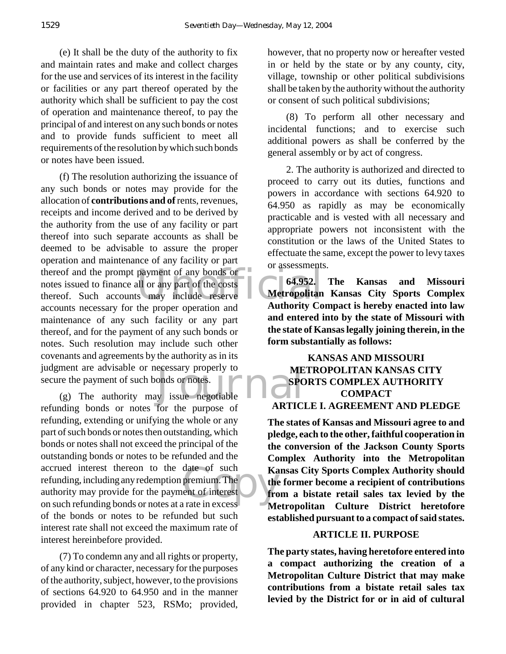(e) It shall be the duty of the authority to fix and maintain rates and make and collect charges for the use and services of its interest in the facility or facilities or any part thereof operated by the authority which shall be sufficient to pay the cost of operation and maintenance thereof, to pay the principal of and interest on any such bonds or notes and to provide funds sufficient to meet all requirements of the resolution by which such bonds or notes have been issued.

thereof and the prompt payment of any bonds or<br>
notes issued to finance all or any part of the costs<br>
thereof. Such accounts may include reserve **Metropolitan** ment are advisable or necessary properly to<br>
The payment of such bonds or notes.<br>
(g) The authority may issue negotiable (f) The resolution authorizing the issuance of any such bonds or notes may provide for the allocation of **contributions and of** rents, revenues, receipts and income derived and to be derived by the authority from the use of any facility or part thereof into such separate accounts as shall be deemed to be advisable to assure the proper operation and maintenance of any facility or part notes issued to finance all or any part of the costs thereof. Such accounts may include reserve accounts necessary for the proper operation and maintenance of any such facility or any part thereof, and for the payment of any such bonds or notes. Such resolution may include such other covenants and agreements by the authority as in its judgment are advisable or necessary properly to secure the payment of such bonds or notes.

date of such<br>
premium The<br>
ent of interest<br>
prate in excess refunding bonds or notes for the purpose of refunding, extending or unifying the whole or any part of such bonds or notes then outstanding, which bonds or notes shall not exceed the principal of the outstanding bonds or notes to be refunded and the accrued interest thereon to the date of such refunding, including any redemption premium. The authority may provide for the payment of interest on such refunding bonds or notes at a rate in excess of the bonds or notes to be refunded but such interest rate shall not exceed the maximum rate of interest hereinbefore provided.

(7) To condemn any and all rights or property, of any kind or character, necessary for the purposes of the authority, subject, however, to the provisions of sections 64.920 to 64.950 and in the manner provided in chapter 523, RSMo; provided, however, that no property now or hereafter vested in or held by the state or by any county, city, village, township or other political subdivisions shall be taken by the authority without the authority or consent of such political subdivisions;

(8) To perform all other necessary and incidental functions; and to exercise such additional powers as shall be conferred by the general assembly or by act of congress.

2. The authority is authorized and directed to proceed to carry out its duties, functions and powers in accordance with sections 64.920 to 64.950 as rapidly as may be economically practicable and is vested with all necessary and appropriate powers not inconsistent with the constitution or the laws of the United States to effectuate the same, except the power to levy taxes or assessments.

**64.952. The Kansas and Missouri Metropolitan Kansas City Sports Complex Authority Compact is hereby enacted into law and entered into by the state of Missouri with the state of Kansas legally joining therein, in the form substantially as follows:**

## **KANSAS AND MISSOURI METROPOLITAN KANSAS CITY SPORTS COMPLEX AUTHORITY COMPACT ARTICLE I. AGREEMENT AND PLEDGE**

**The states of Kansas and Missouri agree to and pledge, each to the other, faithful cooperation in the conversion of the Jackson County Sports Complex Authority into the Metropolitan Kansas City Sports Complex Authority should the former become a recipient of contributions from a bistate retail sales tax levied by the Metropolitan Culture District heretofore established pursuant to a compact of said states.**

#### **ARTICLE II. PURPOSE**

**The party states, having heretofore entered into a compact authorizing the creation of a Metropolitan Culture District that may make contributions from a bistate retail sales tax levied by the District for or in aid of cultural**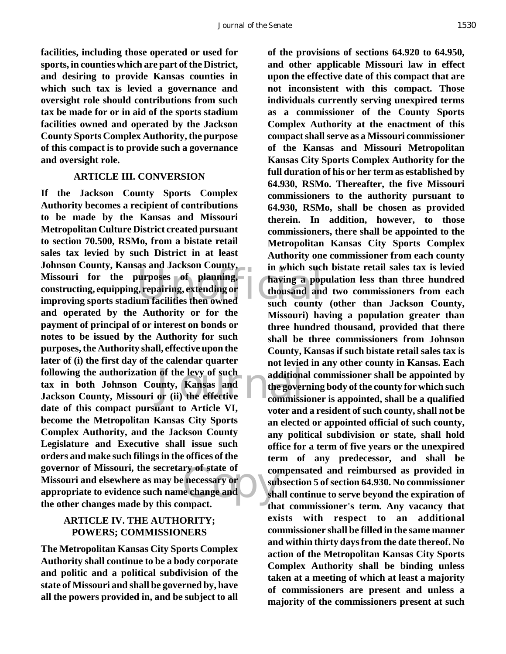**facilities, including those operated or used for sports, in counties which are part of the District, and desiring to provide Kansas counties in which such tax is levied a governance and oversight role should contributions from such tax be made for or in aid of the sports stadium facilities owned and operated by the Jackson County Sports Complex Authority, the purpose of this compact is to provide such a governance and oversight role.**

#### **ARTICLE III. CONVERSION**

Missouri for the purposes of planning,<br>
constructing, equipping, repairing, extending or<br>
improving sports stadium facilities then owned<br>
such county of the levy of such<br>unty, Kansas and<br>or (ii) the effective<br>commissi ry of state of<br>
e necessary or subseted and<br>
monaction of the shape of the shape and<br>
the shape of the shape of the shape of the shape of the shape of the shape of the shape of the shape of the shape of the shape of the sh **If the Jackson County Sports Complex Authority becomes a recipient of contributions to be made by the Kansas and Missouri Metropolitan Culture District created pursuant to section 70.500, RSMo, from a bistate retail sales tax levied by such District in at least Johnson County, Kansas and Jackson County, constructing, equipping, repairing, extending or improving sports stadium facilities then owned and operated by the Authority or for the payment of principal of or interest on bonds or notes to be issued by the Authority for such purposes, the Authority shall, effective upon the later of (i) the first day of the calendar quarter following the authorization of the levy of such tax in both Johnson County, Kansas and Jackson County, Missouri or (ii) the effective date of this compact pursuant to Article VI, become the Metropolitan Kansas City Sports Complex Authority, and the Jackson County Legislature and Executive shall issue such orders and make such filings in the offices of the governor of Missouri, the secretary of state of Missouri and elsewhere as may be necessary or appropriate to evidence such name change and the other changes made by this compact.**

## **ARTICLE IV. THE AUTHORITY; POWERS; COMMISSIONERS**

**The Metropolitan Kansas City Sports Complex Authority shall continue to be a body corporate and politic and a political subdivision of the state of Missouri and shall be governed by, have all the powers provided in, and be subject to all**

**of the provisions of sections 64.920 to 64.950, and other applicable Missouri law in effect upon the effective date of this compact that are not inconsistent with this compact. Those individuals currently serving unexpired terms as a commissioner of the County Sports Complex Authority at the enactment of this compact shall serve as a Missouri commissioner of the Kansas and Missouri Metropolitan Kansas City Sports Complex Authority for the full duration of his or her term as established by 64.930, RSMo. Thereafter, the five Missouri commissioners to the authority pursuant to 64.930, RSMo, shall be chosen as provided therein. In addition, however, to those commissioners, there shall be appointed to the Metropolitan Kansas City Sports Complex Authority one commissioner from each county in which such bistate retail sales tax is levied having a population less than three hundred thousand and two commissioners from each such county (other than Jackson County, Missouri) having a population greater than three hundred thousand, provided that there shall be three commissioners from Johnson County, Kansas if such bistate retail sales tax is not levied in any other county in Kansas. Each additional commissioner shall be appointed by the governing body of the county for which such commissioner is appointed, shall be a qualified voter and a resident of such county, shall not be an elected or appointed official of such county, any political subdivision or state, shall hold office for a term of five years or the unexpired term of any predecessor, and shall be compensated and reimbursed as provided in subsection 5 of section 64.930. No commissioner shall continue to serve beyond the expiration of that commissioner's term. Any vacancy that exists with respect to an additional commissioner shall be filled in the same manner and within thirty days from the date thereof. No action of the Metropolitan Kansas City Sports Complex Authority shall be binding unless taken at a meeting of which at least a majority of commissioners are present and unless a majority of the commissioners present at such**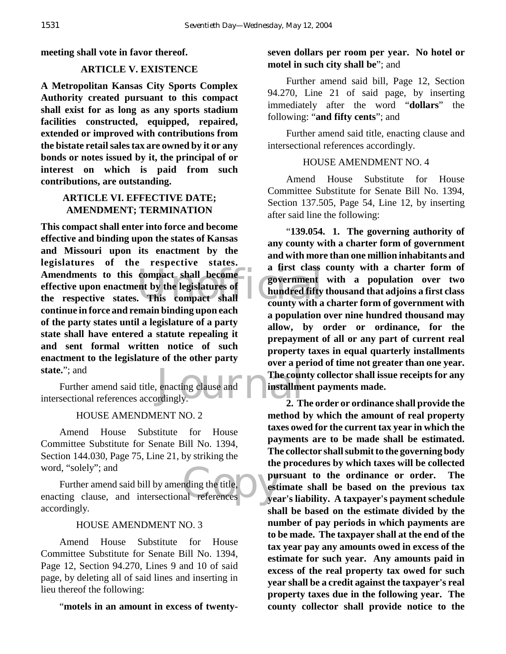**meeting shall vote in favor thereof.**

## **ARTICLE V. EXISTENCE**

**A Metropolitan Kansas City Sports Complex Authority created pursuant to this compact shall exist for as long as any sports stadium facilities constructed, equipped, repaired, extended or improved with contributions from the bistate retail sales tax are owned by it or any bonds or notes issued by it, the principal of or interest on which is paid from such contributions, are outstanding.**

## **ARTICLE VI. EFFECTIVE DATE; AMENDMENT; TERMINATION**

Amendments to this compact shall become<br>
effective upon enactment by the legislatures of<br>
the respective states. This compact shall<br>
the county with a **This compact shall enter into force and become effective and binding upon the states of Kansas and Missouri upon its enactment by the legislatures of the respective states. Amendments to this compact shall become effective upon enactment by the legislatures of continue in force and remain binding upon each of the party states until a legislature of a party state shall have entered a statute repealing it and sent formal written notice of such enactment to the legislature of the other party state.**"; and

The count<br>
enacting clause and<br>
The countingly.<br>
The countingly.<br>
2. T Further amend said title, enacting clause and intersectional references accordingly.

## HOUSE AMENDMENT NO. 2

Amend House Substitute for House Committee Substitute for Senate Bill No. 1394, Section 144.030, Page 75, Line 21, by striking the word, "solely"; and

word, "solely"; and<br>
Further amend said bill by amending the title,<br>
enacting clause, and intersectional references Further amend said bill by amending the title, accordingly.

## HOUSE AMENDMENT NO. 3

Amend House Substitute for House Committee Substitute for Senate Bill No. 1394, Page 12, Section 94.270, Lines 9 and 10 of said page, by deleting all of said lines and inserting in lieu thereof the following:

"**motels in an amount in excess of twenty-**

## **seven dollars per room per year. No hotel or motel in such city shall be**"; and

Further amend said bill, Page 12, Section 94.270, Line 21 of said page, by inserting immediately after the word "**dollars**" the following: "**and fifty cents**"; and

Further amend said title, enacting clause and intersectional references accordingly.

#### HOUSE AMENDMENT NO. 4

Amend House Substitute for House Committee Substitute for Senate Bill No. 1394, Section 137.505, Page 54, Line 12, by inserting after said line the following:

"**139.054. 1. The governing authority of any county with a charter form of government and with more than one million inhabitants and a first class county with a charter form of government with a population over two hundred fifty thousand that adjoins a first class county with a charter form of government with a population over nine hundred thousand may allow, by order or ordinance, for the prepayment of all or any part of current real property taxes in equal quarterly installments over a period of time not greater than one year. The county collector shall issue receipts for any installment payments made.**

**2. The order or ordinance shall provide the method by which the amount of real property taxes owed for the current tax year in which the payments are to be made shall be estimated. The collector shall submit to the governing body the procedures by which taxes will be collected pursuant to the ordinance or order. The estimate shall be based on the previous tax year's liability. A taxpayer's payment schedule shall be based on the estimate divided by the number of pay periods in which payments are to be made. The taxpayer shall at the end of the tax year pay any amounts owed in excess of the estimate for such year. Any amounts paid in excess of the real property tax owed for such year shall be a credit against the taxpayer's real property taxes due in the following year. The county collector shall provide notice to the**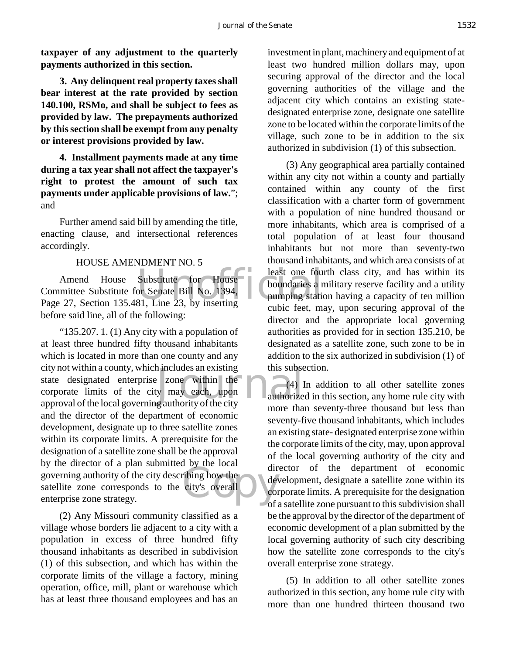**taxpayer of any adjustment to the quarterly payments authorized in this section.**

**3. Any delinquent real property taxes shall bear interest at the rate provided by section 140.100, RSMo, and shall be subject to fees as provided by law. The prepayments authorized by this section shall be exempt from any penalty or interest provisions provided by law.**

**4. Installment payments made at any time during a tax year shall not affect the taxpayer's right to protest the amount of such tax payments under applicable provisions of law.**"; and

Further amend said bill by amending the title, enacting clause, and intersectional references accordingly.

#### HOUSE AMENDMENT NO. 5

Substitute for House<br>or Senate Bill No. 1394,<br>81, Line 23, by inserting<br>which fost m Amend House Substitute for House Committee Substitute for Senate Bill No. 1394, Page 27, Section 135.481, Line 23, by inserting before said line, all of the following:

 $\begin{array}{ll}\n\text{1} \text{ includes an existing} & \text{this subset}\n\end{array}$ <br>
y may each, upon<br>
g authority of the city The state of the city's overall "135.207. 1. (1) Any city with a population of at least three hundred fifty thousand inhabitants which is located in more than one county and any city not within a county, which includes an existing state designated enterprise zone within the corporate limits of the city may each, upon approval of the local governing authority of the city and the director of the department of economic development, designate up to three satellite zones within its corporate limits. A prerequisite for the designation of a satellite zone shall be the approval by the director of a plan submitted by the local governing authority of the city describing how the satellite zone corresponds to the city's overall enterprise zone strategy.

(2) Any Missouri community classified as a village whose borders lie adjacent to a city with a population in excess of three hundred fifty thousand inhabitants as described in subdivision (1) of this subsection, and which has within the corporate limits of the village a factory, mining operation, office, mill, plant or warehouse which has at least three thousand employees and has an

investment in plant, machinery and equipment of at least two hundred million dollars may, upon securing approval of the director and the local governing authorities of the village and the adjacent city which contains an existing statedesignated enterprise zone, designate one satellite zone to be located within the corporate limits of the village, such zone to be in addition to the six authorized in subdivision (1) of this subsection.

(3) Any geographical area partially contained within any city not within a county and partially contained within any county of the first classification with a charter form of government with a population of nine hundred thousand or more inhabitants, which area is comprised of a total population of at least four thousand inhabitants but not more than seventy-two thousand inhabitants, and which area consists of at least one fourth class city, and has within its boundaries a military reserve facility and a utility pumping station having a capacity of ten million cubic feet, may, upon securing approval of the director and the appropriate local governing authorities as provided for in section 135.210, be designated as a satellite zone, such zone to be in addition to the six authorized in subdivision (1) of this subsection.

(4) In addition to all other satellite zones authorized in this section, any home rule city with more than seventy-three thousand but less than seventy-five thousand inhabitants, which includes an existing state- designated enterprise zone within the corporate limits of the city, may, upon approval of the local governing authority of the city and director of the department of economic development, designate a satellite zone within its corporate limits. A prerequisite for the designation of a satellite zone pursuant to this subdivision shall be the approval by the director of the department of economic development of a plan submitted by the local governing authority of such city describing how the satellite zone corresponds to the city's overall enterprise zone strategy.

(5) In addition to all other satellite zones authorized in this section, any home rule city with more than one hundred thirteen thousand two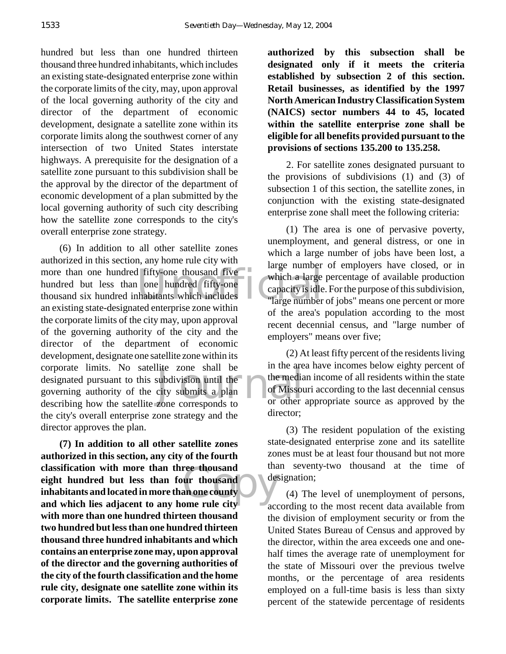hundred but less than one hundred thirteen thousand three hundred inhabitants, which includes an existing state-designated enterprise zone within the corporate limits of the city, may, upon approval of the local governing authority of the city and director of the department of economic development, designate a satellite zone within its corporate limits along the southwest corner of any intersection of two United States interstate highways. A prerequisite for the designation of a satellite zone pursuant to this subdivision shall be the approval by the director of the department of economic development of a plan submitted by the local governing authority of such city describing how the satellite zone corresponds to the city's overall enterprise zone strategy.

more than one hundred fifty-one thousand five<br>
hundred but less than one hundred fifty-one<br>
thousand six hundred inhabitants which includes<br>
an ouiting that designated orthonories are within In the zone shall be<br>subdivision until the the media<br>city submits a plan<br>zone corresponds to or other (6) In addition to all other satellite zones authorized in this section, any home rule city with hundred but less than one hundred fifty-one thousand six hundred inhabitants which includes an existing state-designated enterprise zone within the corporate limits of the city may, upon approval of the governing authority of the city and the director of the department of economic development, designate one satellite zone within its corporate limits. No satellite zone shall be designated pursuant to this subdivision until the governing authority of the city submits a plan describing how the satellite zone corresponds to the city's overall enterprise zone strategy and the director approves the plan.

ree thousand<br>
ur thousand<br>
an one county<br>
ome rule city **(7) In addition to all other satellite zones authorized in this section, any city of the fourth classification with more than three thousand eight hundred but less than four thousand inhabitants and located in more than one county and which lies adjacent to any home rule city with more than one hundred thirteen thousand two hundred but less than one hundred thirteen thousand three hundred inhabitants and which contains an enterprise zone may, upon approval of the director and the governing authorities of the city of the fourth classification and the home rule city, designate one satellite zone within its corporate limits. The satellite enterprise zone**

**authorized by this subsection shall be designated only if it meets the criteria established by subsection 2 of this section. Retail businesses, as identified by the 1997 North American Industry Classification System (NAICS) sector numbers 44 to 45, located within the satellite enterprise zone shall be eligible for all benefits provided pursuant to the provisions of sections 135.200 to 135.258.**

2. For satellite zones designated pursuant to the provisions of subdivisions (1) and (3) of subsection 1 of this section, the satellite zones, in conjunction with the existing state-designated enterprise zone shall meet the following criteria:

(1) The area is one of pervasive poverty, unemployment, and general distress, or one in which a large number of jobs have been lost, a large number of employers have closed, or in which a large percentage of available production capacity is idle. For the purpose of this subdivision, large number of jobs" means one percent or more of the area's population according to the most recent decennial census, and "large number of employers" means over five;

(2) At least fifty percent of the residents living in the area have incomes below eighty percent of the median income of all residents within the state of Missouri according to the last decennial census or other appropriate source as approved by the director;

(3) The resident population of the existing state-designated enterprise zone and its satellite zones must be at least four thousand but not more than seventy-two thousand at the time of designation;

(4) The level of unemployment of persons, according to the most recent data available from the division of employment security or from the United States Bureau of Census and approved by the director, within the area exceeds one and onehalf times the average rate of unemployment for the state of Missouri over the previous twelve months, or the percentage of area residents employed on a full-time basis is less than sixty percent of the statewide percentage of residents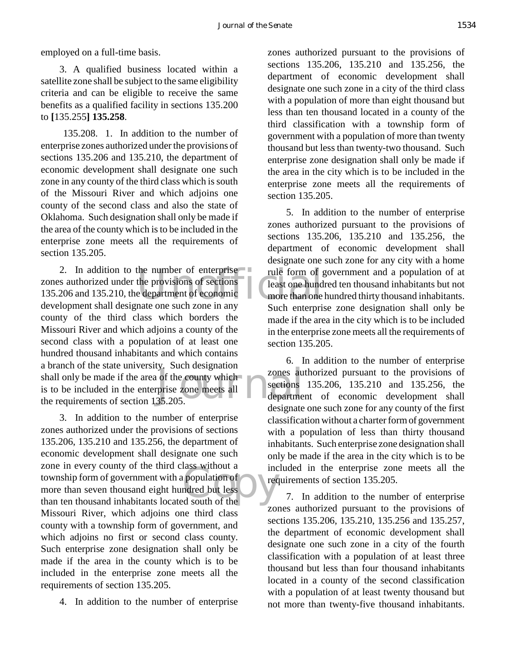employed on a full-time basis.

3. A qualified business located within a satellite zone shall be subject to the same eligibility criteria and can be eligible to receive the same benefits as a qualified facility in sections 135.200 to **[**135.255**] 135.258**.

 135.208. 1. In addition to the number of enterprise zones authorized under the provisions of sections 135.206 and 135.210, the department of economic development shall designate one such zone in any county of the third class which is south of the Missouri River and which adjoins one county of the second class and also the state of Oklahoma. Such designation shall only be made if the area of the county which is to be included in the enterprise zone meets all the requirements of section 135.205.

the number of enterprise<br>the provisions of sections<br>experiment of economic<br>the more than one<br>nate one such zone in any<br>such attenuate gy. Buch designation<br>prise zone meets all<br>35.205. 2. In addition to the number of enterprise zones authorized under the provisions of sections 135.206 and 135.210, the department of economic development shall designate one such zone in any county of the third class which borders the Missouri River and which adjoins a county of the second class with a population of at least one hundred thousand inhabitants and which contains a branch of the state university. Such designation shall only be made if the area of the county which is to be included in the enterprise zone meets all the requirements of section 135.205.

recommended but less<br>
a south of the discussion of the discussion of the discussion of the discussion of the discussion of the discussion of the discussion of the discussion of the discussion of the discussion of the discu 3. In addition to the number of enterprise zones authorized under the provisions of sections 135.206, 135.210 and 135.256, the department of economic development shall designate one such zone in every county of the third class without a township form of government with a population of more than seven thousand eight hundred but less than ten thousand inhabitants located south of the Missouri River, which adjoins one third class county with a township form of government, and which adjoins no first or second class county. Such enterprise zone designation shall only be made if the area in the county which is to be included in the enterprise zone meets all the requirements of section 135.205.

4. In addition to the number of enterprise

zones authorized pursuant to the provisions of sections 135.206, 135.210 and 135.256, the department of economic development shall designate one such zone in a city of the third class with a population of more than eight thousand but less than ten thousand located in a county of the third classification with a township form of government with a population of more than twenty thousand but less than twenty-two thousand. Such enterprise zone designation shall only be made if the area in the city which is to be included in the enterprise zone meets all the requirements of section 135.205.

5. In addition to the number of enterprise zones authorized pursuant to the provisions of sections 135.206, 135.210 and 135.256, the department of economic development shall designate one such zone for any city with a home rule form of government and a population of at least one hundred ten thousand inhabitants but not more than one hundred thirty thousand inhabitants. Such enterprise zone designation shall only be made if the area in the city which is to be included in the enterprise zone meets all the requirements of section 135.205.

6. In addition to the number of enterprise zones authorized pursuant to the provisions of sections 135.206, 135.210 and 135.256, the department of economic development shall designate one such zone for any county of the first classification without a charter form of government with a population of less than thirty thousand inhabitants. Such enterprise zone designation shall only be made if the area in the city which is to be included in the enterprise zone meets all the requirements of section 135.205.

7. In addition to the number of enterprise zones authorized pursuant to the provisions of sections 135.206, 135.210, 135.256 and 135.257, the department of economic development shall designate one such zone in a city of the fourth classification with a population of at least three thousand but less than four thousand inhabitants located in a county of the second classification with a population of at least twenty thousand but not more than twenty-five thousand inhabitants.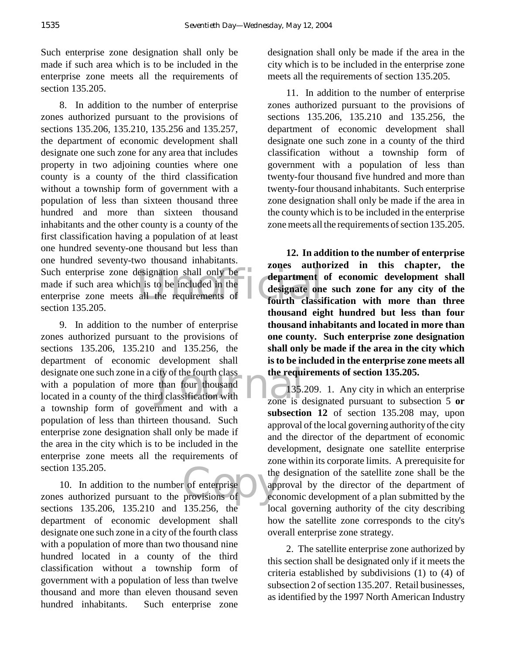Such enterprise zone designation shall only be made if such area which is to be included in the enterprise zone meets all the requirements of section 135.205.

Such enterprise zone designation shall only be<br>
made if such area which is to be included in the<br>
enterprise zone meets all the requirements of<br>
fourth classi 8. In addition to the number of enterprise zones authorized pursuant to the provisions of sections 135.206, 135.210, 135.256 and 135.257, the department of economic development shall designate one such zone for any area that includes property in two adjoining counties where one county is a county of the third classification without a township form of government with a population of less than sixteen thousand three hundred and more than sixteen thousand inhabitants and the other county is a county of the first classification having a population of at least one hundred seventy-one thousand but less than one hundred seventy-two thousand inhabitants. made if such area which is to be included in the enterprise zone meets all the requirements of section 135.205.

ity of the fourth class<br>than four thousand<br>delassification with<br>zone is c 9. In addition to the number of enterprise zones authorized pursuant to the provisions of sections 135.206, 135.210 and 135.256, the department of economic development shall designate one such zone in a city of the fourth class with a population of more than four thousand located in a county of the third classification with a township form of government and with a population of less than thirteen thousand. Such enterprise zone designation shall only be made if the area in the city which is to be included in the enterprise zone meets all the requirements of section 135.205.

the contract of enterprise the depreciation of the contract of the contract of the contract of the contract of the contract of the contract of the contract of the contract of the contract of the contract of the contract of 10. In addition to the number of enterprise zones authorized pursuant to the provisions of sections 135.206, 135.210 and 135.256, the department of economic development shall designate one such zone in a city of the fourth class with a population of more than two thousand nine hundred located in a county of the third classification without a township form of government with a population of less than twelve thousand and more than eleven thousand seven hundred inhabitants. Such enterprise zone

designation shall only be made if the area in the city which is to be included in the enterprise zone meets all the requirements of section 135.205.

11. In addition to the number of enterprise zones authorized pursuant to the provisions of sections 135.206, 135.210 and 135.256, the department of economic development shall designate one such zone in a county of the third classification without a township form of government with a population of less than twenty-four thousand five hundred and more than twenty-four thousand inhabitants. Such enterprise zone designation shall only be made if the area in the county which is to be included in the enterprise zone meets all the requirements of section 135.205.

**12. In addition to the number of enterprise zones authorized in this chapter, the department of economic development shall designate one such zone for any city of the fourth classification with more than three thousand eight hundred but less than four thousand inhabitants and located in more than one county. Such enterprise zone designation shall only be made if the area in the city which is to be included in the enterprise zone meets all the requirements of section 135.205.**

135.209. 1. Any city in which an enterprise zone is designated pursuant to subsection 5 **or subsection 12** of section 135.208 may, upon approval of the local governing authority of the city and the director of the department of economic development, designate one satellite enterprise zone within its corporate limits. A prerequisite for the designation of the satellite zone shall be the approval by the director of the department of economic development of a plan submitted by the local governing authority of the city describing how the satellite zone corresponds to the city's overall enterprise zone strategy.

2. The satellite enterprise zone authorized by this section shall be designated only if it meets the criteria established by subdivisions (1) to (4) of subsection 2 of section 135.207. Retail businesses, as identified by the 1997 North American Industry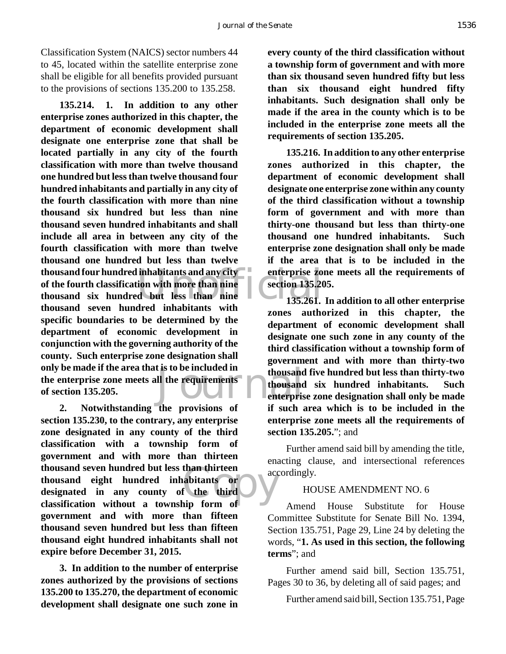Classification System (NAICS) sector numbers 44 to 45, located within the satellite enterprise zone shall be eligible for all benefits provided pursuant to the provisions of sections 135.200 to 135.258.

thousand four hundred inhabitants and any city<br>
of the fourth classification with more than nine<br>
thousand six hundred but less than nine<br>
thousand seven hundred inhabitants with<br>  $\frac{135.261}{135.261}$ It is to be included in<br>
ll the requirements<br>
thousand<br>
enterpris **135.214. 1. In addition to any other enterprise zones authorized in this chapter, the department of economic development shall designate one enterprise zone that shall be located partially in any city of the fourth classification with more than twelve thousand one hundred but less than twelve thousand four hundred inhabitants and partially in any city of the fourth classification with more than nine thousand six hundred but less than nine thousand seven hundred inhabitants and shall include all area in between any city of the fourth classification with more than twelve thousand one hundred but less than twelve of the fourth classification with more than nine thousand six hundred but less than nine thousand seven hundred inhabitants with specific boundaries to be determined by the department of economic development in conjunction with the governing authority of the county. Such enterprise zone designation shall only be made if the area that is to be included in the enterprise zone meets all the requirements of section 135.205.**

than thirteen<br>
abitants or<br>
f the third<br>
in form of **2. Notwithstanding the provisions of section 135.230, to the contrary, any enterprise zone designated in any county of the third classification with a township form of government and with more than thirteen thousand seven hundred but less than thirteen thousand eight hundred inhabitants or designated in any county of the third classification without a township form of government and with more than fifteen thousand seven hundred but less than fifteen thousand eight hundred inhabitants shall not expire before December 31, 2015.**

**3. In addition to the number of enterprise zones authorized by the provisions of sections 135.200 to 135.270, the department of economic development shall designate one such zone in**

**every county of the third classification without a township form of government and with more than six thousand seven hundred fifty but less than six thousand eight hundred fifty inhabitants. Such designation shall only be made if the area in the county which is to be included in the enterprise zone meets all the requirements of section 135.205.**

**135.216. In addition to any other enterprise zones authorized in this chapter, the department of economic development shall designate one enterprise zone within any county of the third classification without a township form of government and with more than thirty-one thousand but less than thirty-one thousand one hundred inhabitants. Such enterprise zone designation shall only be made if the area that is to be included in the enterprise zone meets all the requirements of section 135.205.**

**135.261. In addition to all other enterprise zones authorized in this chapter, the department of economic development shall designate one such zone in any county of the third classification without a township form of government and with more than thirty-two thousand five hundred but less than thirty-two thousand six hundred inhabitants. Such enterprise zone designation shall only be made if such area which is to be included in the enterprise zone meets all the requirements of section 135.205.**"; and

Further amend said bill by amending the title, enacting clause, and intersectional references accordingly.

## HOUSE AMENDMENT NO. 6

Amend House Substitute for House Committee Substitute for Senate Bill No. 1394, Section 135.751, Page 29, Line 24 by deleting the words, "**1. As used in this section, the following terms**"; and

Further amend said bill, Section 135.751, Pages 30 to 36, by deleting all of said pages; and

Further amend said bill, Section 135.751, Page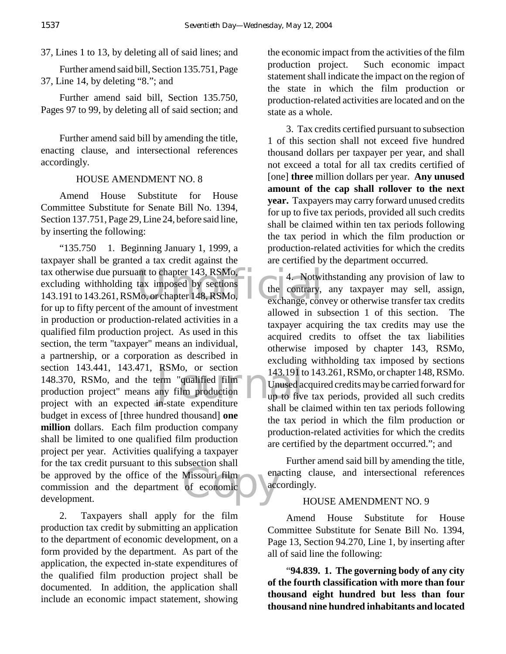37, Lines 1 to 13, by deleting all of said lines; and

Further amend said bill, Section 135.751, Page 37, Line 14, by deleting "8."; and

Further amend said bill, Section 135.750, Pages 97 to 99, by deleting all of said section; and

Further amend said bill by amending the title, enacting clause, and intersectional references accordingly.

## HOUSE AMENDMENT NO. 8

Amend House Substitute for House Committee Substitute for Senate Bill No. 1394, Section 137.751, Page 29, Line 24, before said line, by inserting the following:

tax otherwise due pursuant to chapter 143, RSMo,<br>excluding withholding tax imposed by sections<br>143.191 to 143.261, RSMo, or chapter 148, RSMo,<br>for un to fifty parent of the emount of investment<br>for un to fifty parent of th RSMo, or section 143.191 t<br>
erm "qualified film<br>
any film production up to five<br>
in-state expenditure Missouri film<br>of economic "135.750 1. Beginning January 1, 1999, a taxpayer shall be granted a tax credit against the excluding withholding tax imposed by sections 143.191 to 143.261, RSMo, or chapter 148, RSMo, for up to fifty percent of the amount of investment in production or production-related activities in a qualified film production project. As used in this section, the term "taxpayer" means an individual, a partnership, or a corporation as described in section 143.441, 143.471, RSMo, or section 148.370, RSMo, and the term "qualified film production project" means any film production project with an expected in-state expenditure budget in excess of [three hundred thousand] **one million** dollars. Each film production company shall be limited to one qualified film production project per year. Activities qualifying a taxpayer for the tax credit pursuant to this subsection shall be approved by the office of the Missouri film commission and the department of economic development.

2. Taxpayers shall apply for the film production tax credit by submitting an application to the department of economic development, on a form provided by the department. As part of the application, the expected in-state expenditures of the qualified film production project shall be documented. In addition, the application shall include an economic impact statement, showing

the economic impact from the activities of the film production project. Such economic impact statement shall indicate the impact on the region of the state in which the film production or production-related activities are located and on the state as a whole.

3. Tax credits certified pursuant to subsection 1 of this section shall not exceed five hundred thousand dollars per taxpayer per year, and shall not exceed a total for all tax credits certified of [one] **three** million dollars per year. **Any unused amount of the cap shall rollover to the next year.** Taxpayers may carry forward unused credits for up to five tax periods, provided all such credits shall be claimed within ten tax periods following the tax period in which the film production or production-related activities for which the credits are certified by the department occurred.

4. Notwithstanding any provision of law to the contrary, any taxpayer may sell, assign, exchange, convey or otherwise transfer tax credits allowed in subsection 1 of this section. The taxpayer acquiring the tax credits may use the acquired credits to offset the tax liabilities otherwise imposed by chapter 143, RSMo, excluding withholding tax imposed by sections 143.191 to 143.261, RSMo, or chapter 148, RSMo. Unused acquired credits may be carried forward for up to five tax periods, provided all such credits shall be claimed within ten tax periods following the tax period in which the film production or production-related activities for which the credits are certified by the department occurred."; and

Further amend said bill by amending the title, enacting clause, and intersectional references accordingly.

## HOUSE AMENDMENT NO. 9

Amend House Substitute for House Committee Substitute for Senate Bill No. 1394, Page 13, Section 94.270, Line 1, by inserting after all of said line the following:

"**94.839. 1. The governing body of any city of the fourth classification with more than four thousand eight hundred but less than four thousand nine hundred inhabitants and located**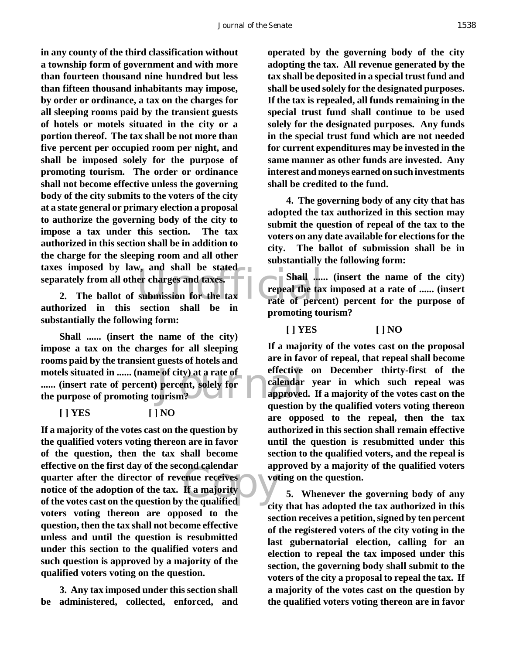taxes imposed by law, and shall be stated<br>separately from all other charges and taxes.<br>2. The ballot of submission for the tax<br>authorized in this section shall be in **in any county of the third classification without a township form of government and with more than fourteen thousand nine hundred but less than fifteen thousand inhabitants may impose, by order or ordinance, a tax on the charges for all sleeping rooms paid by the transient guests of hotels or motels situated in the city or a portion thereof. The tax shall be not more than five percent per occupied room per night, and shall be imposed solely for the purpose of promoting tourism. The order or ordinance shall not become effective unless the governing body of the city submits to the voters of the city at a state general or primary election a proposal to authorize the governing body of the city to impose a tax under this section. The tax authorized in this section shall be in addition to the charge for the sleeping room and all other separately from all other charges and taxes.**

**2. The ballot of submission for the tax authorized in this section shall be in substantially the following form:**

Journal **Shall ...... (insert the name of the city) impose a tax on the charges for all sleeping rooms paid by the transient guests of hotels and motels situated in ...... (name of city) at a rate of ...... (insert rate of percent) percent, solely for the purpose of promoting tourism?**

**[ ] YES [ ] NO**

ond calendar ap<br>
enue receives<br>
If a majority<br>
the qualified **If a majority of the votes cast on the question by the qualified voters voting thereon are in favor of the question, then the tax shall become effective on the first day of the second calendar quarter after the director of revenue receives notice of the adoption of the tax. If a majority of the votes cast on the question by the qualified voters voting thereon are opposed to the question, then the tax shall not become effective unless and until the question is resubmitted under this section to the qualified voters and such question is approved by a majority of the qualified voters voting on the question.**

**3. Any tax imposed under this section shall be administered, collected, enforced, and**

**operated by the governing body of the city adopting the tax. All revenue generated by the tax shall be deposited in a special trust fund and shall be used solely for the designated purposes. If the tax is repealed, all funds remaining in the special trust fund shall continue to be used solely for the designated purposes. Any funds in the special trust fund which are not needed for current expenditures may be invested in the same manner as other funds are invested. Any interest and moneys earned on such investments shall be credited to the fund.**

**4. The governing body of any city that has adopted the tax authorized in this section may submit the question of repeal of the tax to the voters on any date available for elections for the city. The ballot of submission shall be in substantially the following form:**

**Shall ...... (insert the name of the city) repeal the tax imposed at a rate of ...... (insert rate of percent) percent for the purpose of promoting tourism?**

**[ ] YES [ ] NO**

**If a majority of the votes cast on the proposal are in favor of repeal, that repeal shall become effective on December thirty-first of the calendar year in which such repeal was approved. If a majority of the votes cast on the question by the qualified voters voting thereon are opposed to the repeal, then the tax authorized in this section shall remain effective until the question is resubmitted under this section to the qualified voters, and the repeal is approved by a majority of the qualified voters voting on the question.**

**5. Whenever the governing body of any city that has adopted the tax authorized in this section receives a petition, signed by ten percent of the registered voters of the city voting in the last gubernatorial election, calling for an election to repeal the tax imposed under this section, the governing body shall submit to the voters of the city a proposal to repeal the tax. If a majority of the votes cast on the question by the qualified voters voting thereon are in favor**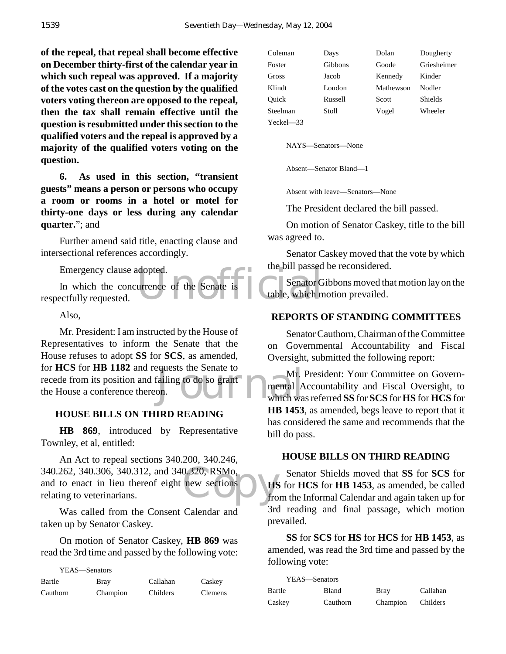**of the repeal, that repeal shall become effective on December thirty-first of the calendar year in which such repeal was approved. If a majority of the votes cast on the question by the qualified voters voting thereon are opposed to the repeal, then the tax shall remain effective until the question is resubmitted under this section to the qualified voters and the repeal is approved by a majority of the qualified voters voting on the question.**

**6. As used in this section, "transient guests" means a person or persons who occupy a room or rooms in a hotel or motel for thirty-one days or less during any calendar quarter.**"; and

Further amend said title, enacting clause and intersectional references accordingly.

Emergency clause adopted.

dopted.<br>urrence of the Senate is table, which m In which the concurrence of the Senate is respectfully requested.

Also,

Equests the Senate to Mr.<br>
Failing to do so grant<br>
on. Mr. President: I am instructed by the House of Representatives to inform the Senate that the House refuses to adopt **SS** for **SCS**, as amended, for **HCS** for **HB 1182** and requests the Senate to recede from its position and failing to do so grant the House a conference thereon.

## **HOUSE BILLS ON THIRD READING**

**HB 869**, introduced by Representative Townley, et al, entitled:

340.262, 340.306, 340.312, and 340.320, RSMo,<br>and to enact in lieu thereof eight new sections<br>relating to veterinarians. from An Act to repeal sections 340.200, 340.246, and to enact in lieu thereof eight new sections relating to veterinarians.

Was called from the Consent Calendar and taken up by Senator Caskey.

On motion of Senator Caskey, **HB 869** was read the 3rd time and passed by the following vote:

YEAS—Senators

| Bartle   | Bray     | Callahan | Caskey         |
|----------|----------|----------|----------------|
| Cauthorn | Champion | Childers | <b>Clemens</b> |

| Coleman        | Days           | Dolan     | Dougherty      |
|----------------|----------------|-----------|----------------|
| Foster         | <b>Gibbons</b> | Goode     | Griesheimer    |
| Gross          | Jacob          | Kennedy   | Kinder         |
| Klindt         | Loudon         | Mathewson | Nodler         |
| Ouick          | Russell        | Scott     | <b>Shields</b> |
| Steelman       | Stoll          | Vogel     | Wheeler        |
| $Yeckel$ $-33$ |                |           |                |

NAYS—Senators—None

Absent—Senator Bland—1

Absent with leave—Senators—None

The President declared the bill passed.

On motion of Senator Caskey, title to the bill was agreed to.

Senator Caskey moved that the vote by which the bill passed be reconsidered.

Senator Gibbons moved that motion lay on the table, which motion prevailed.

#### **REPORTS OF STANDING COMMITTEES**

Senator Cauthorn, Chairman of the Committee on Governmental Accountability and Fiscal Oversight, submitted the following report:

Mr. President: Your Committee on Governmental Accountability and Fiscal Oversight, to which was referred **SS** for **SCS** for **HS** for **HCS** for **HB 1453**, as amended, begs leave to report that it has considered the same and recommends that the bill do pass.

#### **HOUSE BILLS ON THIRD READING**

Senator Shields moved that **SS** for **SCS** for **HS** for **HCS** for **HB 1453**, as amended, be called from the Informal Calendar and again taken up for 3rd reading and final passage, which motion prevailed.

**SS** for **SCS** for **HS** for **HCS** for **HB 1453**, as amended, was read the 3rd time and passed by the following vote:

| YEAS—Senators |          |             |          |
|---------------|----------|-------------|----------|
| Bartle        | Bland    | <b>Bray</b> | Callahan |
| Caskey        | Cauthorn | Champion    | Childers |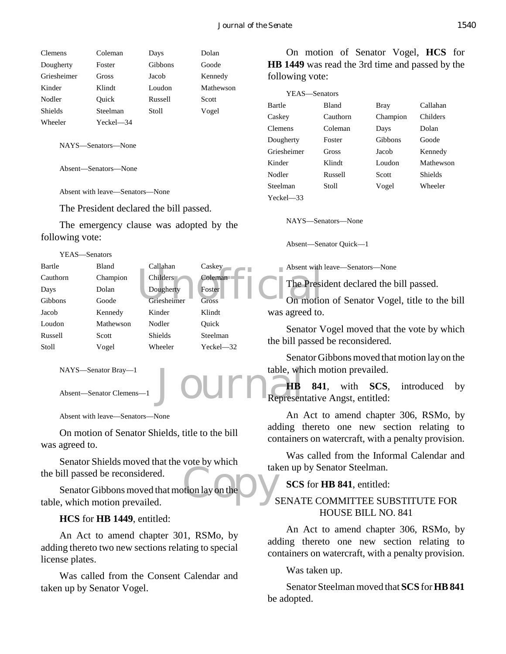| Clemens        | Coleman   | Days    | Dolan     |
|----------------|-----------|---------|-----------|
| Dougherty      | Foster    | Gibbons | Goode     |
| Griesheimer    | Gross     | Jacob   | Kennedy   |
| Kinder         | Klindt    | Loudon  | Mathewson |
| Nodler         | Ouick     | Russell | Scott     |
| <b>Shields</b> | Steelman  | Stoll   | Vogel     |
| Wheeler        | Yeckel—34 |         |           |

NAYS—Senators—None

Absent—Senators—None

Absent with leave—Senators—None

The President declared the bill passed.

The emergency clause was adopted by the following vote:

| YEAS-Senators |           |                |               |                      |
|---------------|-----------|----------------|---------------|----------------------|
| Bartle        | Bland     | Callahan       | Caskey        | Absent with          |
| Cauthorn      | Champion  | Childers       | Coleman       |                      |
| Days          | Dolan     | Dougherty      | Foster        | <b>The Presi</b>     |
| Gibbons       | Goode     | Griesheimer    | <b>Gross</b>  | On motio             |
| Jacob         | Kennedy   | Kinder         | Klindt        | was agreed to.       |
| Loudon        | Mathewson | Nodler         | Ouick         | Senator V            |
| Russell       | Scott     | <b>Shields</b> | Steelman      |                      |
| Stoll         | Vogel     | Wheeler        | $Yeckel - 32$ | the bill passed      |
|               |           |                |               | $\sim$ $\sim$ $\sim$ |

NAYS—Senator Bray—1

Absent—Senator Clemens—1

Absent with leave—Senators—None

On motion of Senator Shields, title to the bill was agreed to.

Senator Shields moved that the vote by which the bill passed be reconsidered.

tak<br>tion lay on the Carl S Senator Gibbons moved that motion lay on the table, which motion prevailed.

#### **HCS** for **HB 1449**, entitled:

An Act to amend chapter 301, RSMo, by adding thereto two new sections relating to special license plates.

Was called from the Consent Calendar and taken up by Senator Vogel.

On motion of Senator Vogel, **HCS** for **HB 1449** was read the 3rd time and passed by the following vote:

| YEAS—Senators  |              |          |           |
|----------------|--------------|----------|-----------|
| <b>Bartle</b>  | <b>Bland</b> | Bray     | Callahan  |
| Caskey         | Cauthorn     | Champion | Childers  |
| <b>Clemens</b> | Coleman      | Days     | Dolan     |
| Dougherty      | Foster       | Gibbons  | Goode     |
| Griesheimer    | Gross        | Jacob    | Kennedy   |
| Kinder         | Klindt       | Loudon   | Mathewson |
| Nodler         | Russell      | Scott    | Shields   |
| Steelman       | Stoll        | Vogel    | Wheeler   |
| $Yeckel = 33$  |              |          |           |

NAYS—Senators—None

Absent—Senator Quick—1

Absent with leave—Senators—None

The President declared the bill passed.

On motion of Senator Vogel, title to the bill was agreed to.

Senator Vogel moved that the vote by which the bill passed be reconsidered.

Senator Gibbons moved that motion lay on the table, which motion prevailed.

table, which motion prevailed.<br> **JOUITE Representative Angst, entitled: HB 841**, with **SCS**, introduced by

> An Act to amend chapter 306, RSMo, by adding thereto one new section relating to containers on watercraft, with a penalty provision.

> Was called from the Informal Calendar and taken up by Senator Steelman.

**SCS** for **HB 841**, entitled:

## SENATE COMMITTEE SUBSTITUTE FOR HOUSE BILL NO. 841

An Act to amend chapter 306, RSMo, by adding thereto one new section relating to containers on watercraft, with a penalty provision.

Was taken up.

Senator Steelman moved that **SCS** for **HB 841** be adopted.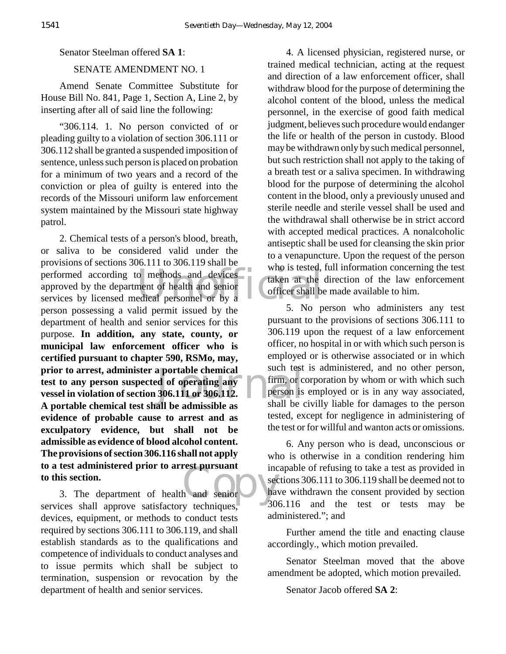#### Senator Steelman offered **SA 1**:

## SENATE AMENDMENT NO. 1

Amend Senate Committee Substitute for House Bill No. 841, Page 1, Section A, Line 2, by inserting after all of said line the following:

"306.114. 1. No person convicted of or pleading guilty to a violation of section 306.111 or 306.112 shall be granted a suspended imposition of sentence, unless such person is placed on probation for a minimum of two years and a record of the conviction or plea of guilty is entered into the records of the Missouri uniform law enforcement system maintained by the Missouri state highway patrol.

performed according to methods and devices<br>approved by the department of health and senior<br>services by licensed medical personnel or by a a portable chemical<br>d of operating any firm, or c<br>306.111 or 306.112.<br>all be admissible as shall be of Exection.<br>
3. The department of health and senior have a section. 2. Chemical tests of a person's blood, breath, or saliva to be considered valid under the provisions of sections 306.111 to 306.119 shall be approved by the department of health and senior services by licensed medical personnel or by a person possessing a valid permit issued by the department of health and senior services for this purpose. **In addition, any state, county, or municipal law enforcement officer who is certified pursuant to chapter 590, RSMo, may, prior to arrest, administer a portable chemical test to any person suspected of operating any vessel in violation of section 306.111 or 306.112. A portable chemical test shall be admissible as evidence of probable cause to arrest and as exculpatory evidence, but shall not be admissible as evidence of blood alcohol content. The provisions of section 306.116 shall not apply to a test administered prior to arrest pursuant to this section.**

services shall approve satisfactory techniques, devices, equipment, or methods to conduct tests required by sections 306.111 to 306.119, and shall establish standards as to the qualifications and competence of individuals to conduct analyses and to issue permits which shall be subject to termination, suspension or revocation by the department of health and senior services.

4. A licensed physician, registered nurse, or trained medical technician, acting at the request and direction of a law enforcement officer, shall withdraw blood for the purpose of determining the alcohol content of the blood, unless the medical personnel, in the exercise of good faith medical judgment, believes such procedure would endanger the life or health of the person in custody. Blood may be withdrawn only by such medical personnel, but such restriction shall not apply to the taking of a breath test or a saliva specimen. In withdrawing blood for the purpose of determining the alcohol content in the blood, only a previously unused and sterile needle and sterile vessel shall be used and the withdrawal shall otherwise be in strict accord with accepted medical practices. A nonalcoholic antiseptic shall be used for cleansing the skin prior to a venapuncture. Upon the request of the person who is tested, full information concerning the test taken at the direction of the law enforcement officer shall be made available to him.

5. No person who administers any test pursuant to the provisions of sections 306.111 to 306.119 upon the request of a law enforcement officer, no hospital in or with which such person is employed or is otherwise associated or in which such test is administered, and no other person, firm, or corporation by whom or with which such person is employed or is in any way associated, shall be civilly liable for damages to the person tested, except for negligence in administering of the test or for willful and wanton acts or omissions.

6. Any person who is dead, unconscious or who is otherwise in a condition rendering him incapable of refusing to take a test as provided in sections 306.111 to 306.119 shall be deemed not to have withdrawn the consent provided by section 306.116 and the test or tests may be administered."; and

Further amend the title and enacting clause accordingly., which motion prevailed.

Senator Steelman moved that the above amendment be adopted, which motion prevailed.

Senator Jacob offered **SA 2**: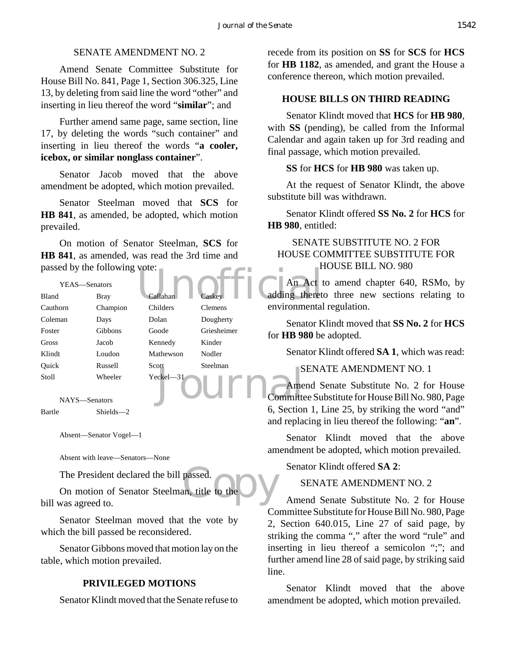## SENATE AMENDMENT NO. 2

Amend Senate Committee Substitute for House Bill No. 841, Page 1, Section 306.325, Line 13, by deleting from said line the word "other" and inserting in lieu thereof the word "**similar**"; and

Further amend same page, same section, line 17, by deleting the words "such container" and inserting in lieu thereof the words "**a cooler, icebox, or similar nonglass container**".

Senator Jacob moved that the above amendment be adopted, which motion prevailed.

Senator Steelman moved that **SCS** for **HB 841**, as amended, be adopted, which motion prevailed.

On motion of Senator Steelman, **SCS** for **HB 841**, as amended, was read the 3rd time and passed by the following vote:

|                        | passed by the following vote: |               |                |                        |
|------------------------|-------------------------------|---------------|----------------|------------------------|
| YEAS—Senators          |                               |               |                | An Act t               |
| Bland                  | <b>Bray</b>                   | Callahan      | Caskey         | adding theret          |
| Cauthorn               | Champion                      | Childers      | <b>Clemens</b> | environmental          |
| Coleman                | Days                          | Dolan         | Dougherty      | Senator K              |
| Foster                 | Gibbons                       | Goode         | Griesheimer    | for HB 980 be          |
| <b>Gross</b>           | Jacob                         | Kennedy       | Kinder         |                        |
| Klindt                 | Loudon                        | Mathewson     | Nodler         | Senator K              |
| Ouick                  | Russell                       | Scott         | Steelman       | <b>SENA</b>            |
| Stoll<br>NAYS-Senators | Wheeler                       | $Yeckel - 31$ |                | Amend S<br>ommittee Su |
|                        |                               |               |                |                        |

Bartle Shields—2

Absent—Senator Vogel—1

Absent with leave—Senators—None

The President declared the bill passed.

passed.<br>an, title to the D On motion of Senator Steelman, title to the bill was agreed to.

Senator Steelman moved that the vote by which the bill passed be reconsidered.

Senator Gibbons moved that motion lay on the table, which motion prevailed.

# **PRIVILEGED MOTIONS**

Senator Klindt moved that the Senate refuse to

recede from its position on **SS** for **SCS** for **HCS** for **HB 1182**, as amended, and grant the House a conference thereon, which motion prevailed.

## **HOUSE BILLS ON THIRD READING**

Senator Klindt moved that **HCS** for **HB 980**, with **SS** (pending), be called from the Informal Calendar and again taken up for 3rd reading and final passage, which motion prevailed.

**SS** for **HCS** for **HB 980** was taken up.

At the request of Senator Klindt, the above substitute bill was withdrawn.

Senator Klindt offered **SS No. 2** for **HCS** for **HB 980**, entitled:

# SENATE SUBSTITUTE NO. 2 FOR HOUSE COMMITTEE SUBSTITUTE FOR HOUSE BILL NO. 980

An Act to amend chapter 640, RSMo, by adding thereto three new sections relating to environmental regulation.

Senator Klindt moved that **SS No. 2** for **HCS** for **HB 980** be adopted.

Senator Klindt offered **SA 1**, which was read:

SENATE AMENDMENT NO. 1

Amend Senate Substitute No. 2 for House Committee Substitute for House Bill No. 980, Page 6, Section 1, Line 25, by striking the word "and" and replacing in lieu thereof the following: "**an**".

Senator Klindt moved that the above amendment be adopted, which motion prevailed.

Senator Klindt offered **SA 2**:

SENATE AMENDMENT NO. 2

Amend Senate Substitute No. 2 for House Committee Substitute for House Bill No. 980, Page 2, Section 640.015, Line 27 of said page, by striking the comma "," after the word "rule" and inserting in lieu thereof a semicolon ";"; and further amend line 28 of said page, by striking said line.

Senator Klindt moved that the above amendment be adopted, which motion prevailed.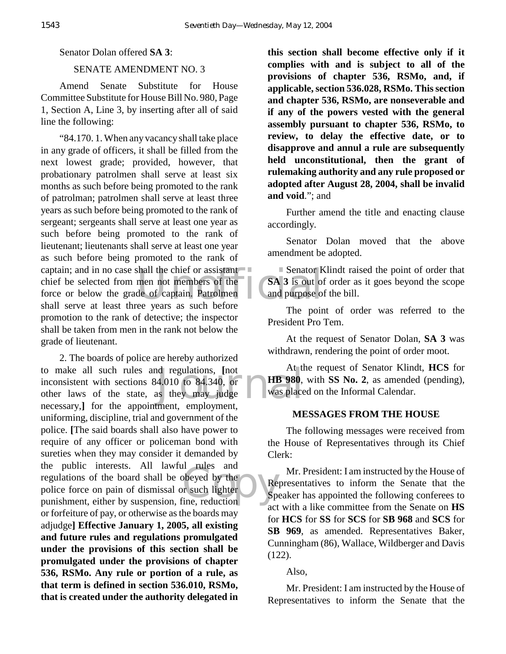#### Senator Dolan offered **SA 3**:

## SENATE AMENDMENT NO. 3

Amend Senate Substitute for House Committee Substitute for House Bill No. 980, Page 1, Section A, Line 3, by inserting after all of said line the following:

Senator K<br>men not members of the<br>de of captain. Patrolmen<br>ee years as such before "84.170. 1. When any vacancy shall take place in any grade of officers, it shall be filled from the next lowest grade; provided, however, that probationary patrolmen shall serve at least six months as such before being promoted to the rank of patrolman; patrolmen shall serve at least three years as such before being promoted to the rank of sergeant; sergeants shall serve at least one year as such before being promoted to the rank of lieutenant; lieutenants shall serve at least one year as such before being promoted to the rank of captain; and in no case shall the chief or assistant chief be selected from men not members of the force or below the grade of captain. Patrolmen shall serve at least three years as such before promotion to the rank of detective; the inspector shall be taken from men in the rank not below the grade of lieutenant.

and regulations, [not all the 4.010 to 84.340, or **HB 980**, as they may judge was place beyed by the<br>
r such lighter<br>
ine, reduction 2. The boards of police are hereby authorized to make all such rules and regulations, **[**not inconsistent with sections 84.010 to 84.340, or other laws of the state, as they may judge necessary,**]** for the appointment, employment, uniforming, discipline, trial and government of the police. **[**The said boards shall also have power to require of any officer or policeman bond with sureties when they may consider it demanded by the public interests. All lawful rules and regulations of the board shall be obeyed by the police force on pain of dismissal or such lighter punishment, either by suspension, fine, reduction or forfeiture of pay, or otherwise as the boards may adjudge**] Effective January 1, 2005, all existing and future rules and regulations promulgated under the provisions of this section shall be promulgated under the provisions of chapter 536, RSMo. Any rule or portion of a rule, as that term is defined in section 536.010, RSMo, that is created under the authority delegated in**

**this section shall become effective only if it complies with and is subject to all of the provisions of chapter 536, RSMo, and, if applicable, section 536.028, RSMo. This section and chapter 536, RSMo, are nonseverable and if any of the powers vested with the general assembly pursuant to chapter 536, RSMo, to review, to delay the effective date, or to disapprove and annul a rule are subsequently held unconstitutional, then the grant of rulemaking authority and any rule proposed or adopted after August 28, 2004, shall be invalid and void**."; and

Further amend the title and enacting clause accordingly.

Senator Dolan moved that the above amendment be adopted.

Senator Klindt raised the point of order that **SA 3** is out of order as it goes beyond the scope and purpose of the bill.

The point of order was referred to the President Pro Tem.

At the request of Senator Dolan, **SA 3** was withdrawn, rendering the point of order moot.

At the request of Senator Klindt, **HCS** for **HB 980**, with **SS No. 2**, as amended (pending), was placed on the Informal Calendar.

#### **MESSAGES FROM THE HOUSE**

The following messages were received from the House of Representatives through its Chief Clerk:

Mr. President: I am instructed by the House of Representatives to inform the Senate that the Speaker has appointed the following conferees to act with a like committee from the Senate on **HS** for **HCS** for **SS** for **SCS** for **SB 968** and **SCS** for **SB 969**, as amended. Representatives Baker, Cunningham (86), Wallace, Wildberger and Davis (122).

Also,

Mr. President: I am instructed by the House of Representatives to inform the Senate that the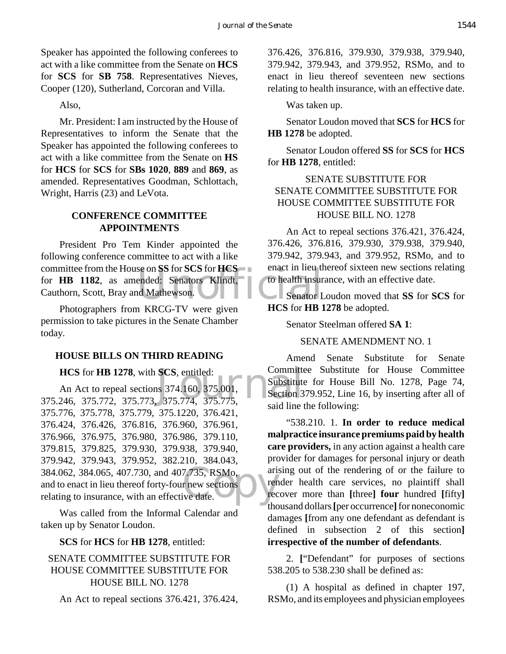Speaker has appointed the following conferees to act with a like committee from the Senate on **HCS** for **SCS** for **SB 758**. Representatives Nieves, Cooper (120), Sutherland, Corcoran and Villa.

Also,

Mr. President: I am instructed by the House of Representatives to inform the Senate that the Speaker has appointed the following conferees to act with a like committee from the Senate on **HS** for **HCS** for **SCS** for **SBs 1020**, **889** and **869**, as amended. Representatives Goodman, Schlottach, Wright, Harris (23) and LeVota.

### **CONFERENCE COMMITTEE APPOINTMENTS**

Senators Scholarship Contract in the tended: Senators Klindt, to health insure<br>
Mathewson. President Pro Tem Kinder appointed the following conference committee to act with a like committee from the House on **SS** for **SCS** for **HCS** for **HB 1182**, as amended: Senators Klindt, Cauthorn, Scott, Bray and Mathewson.

Photographers from KRCG-TV were given permission to take pictures in the Senate Chamber today.

#### **HOUSE BILLS ON THIRD READING**

**HCS** for **HB** 1278, with **SCS**, entitled:

**HCS** for **HB 1278**, with **SCS**, entitled: Committe<br>
An Act to repeal sections 374.160, 375.001, Substitute<br>
375.246, 375.772, 375.773, 375.774, 375.775, 384.062, 384.065, 407.730, and 407.735, RSMo, and to enact in lieu thereof forty-four new sections relating to insurance, with an effective date. An Act to repeal sections 374.160, 375.001, 375.776, 375.778, 375.779, 375.1220, 376.421, 376.424, 376.426, 376.816, 376.960, 376.961, 376.966, 376.975, 376.980, 376.986, 379.110, 379.815, 379.825, 379.930, 379.938, 379.940, 379.942, 379.943, 379.952, 382.210, 384.043, and to enact in lieu thereof forty-four new sections relating to insurance, with an effective date.

Was called from the Informal Calendar and taken up by Senator Loudon.

#### **SCS** for **HCS** for **HB 1278**, entitled:

# SENATE COMMITTEE SUBSTITUTE FOR HOUSE COMMITTEE SUBSTITUTE FOR HOUSE BILL NO. 1278

An Act to repeal sections 376.421, 376.424,

376.426, 376.816, 379.930, 379.938, 379.940, 379.942, 379.943, and 379.952, RSMo, and to enact in lieu thereof seventeen new sections relating to health insurance, with an effective date.

Was taken up.

Senator Loudon moved that **SCS** for **HCS** for **HB 1278** be adopted.

Senator Loudon offered **SS** for **SCS** for **HCS** for **HB 1278**, entitled:

# SENATE SUBSTITUTE FOR SENATE COMMITTEE SUBSTITUTE FOR HOUSE COMMITTEE SUBSTITUTE FOR HOUSE BILL NO. 1278

An Act to repeal sections 376.421, 376.424, 376.426, 376.816, 379.930, 379.938, 379.940, 379.942, 379.943, and 379.952, RSMo, and to enact in lieu thereof sixteen new sections relating to health insurance, with an effective date.

Senator Loudon moved that **SS** for **SCS** for **HCS** for **HB 1278** be adopted.

Senator Steelman offered **SA 1**:

SENATE AMENDMENT NO. 1

Amend Senate Substitute for Senate Committee Substitute for House Committee Substitute for House Bill No. 1278, Page 74, Section 379.952, Line 16, by inserting after all of said line the following:

"538.210. 1. **In order to reduce medical malpractice insurance premiums paid by health care providers,** in any action against a health care provider for damages for personal injury or death arising out of the rendering of or the failure to render health care services, no plaintiff shall recover more than **[**three**] four** hundred **[**fifty**]** thousand dollars **[**per occurrence**]** for noneconomic damages **[**from any one defendant as defendant is defined in subsection 2 of this section**] irrespective of the number of defendants**.

2. **[**"Defendant" for purposes of sections 538.205 to 538.230 shall be defined as:

(1) A hospital as defined in chapter 197, RSMo, and its employees and physician employees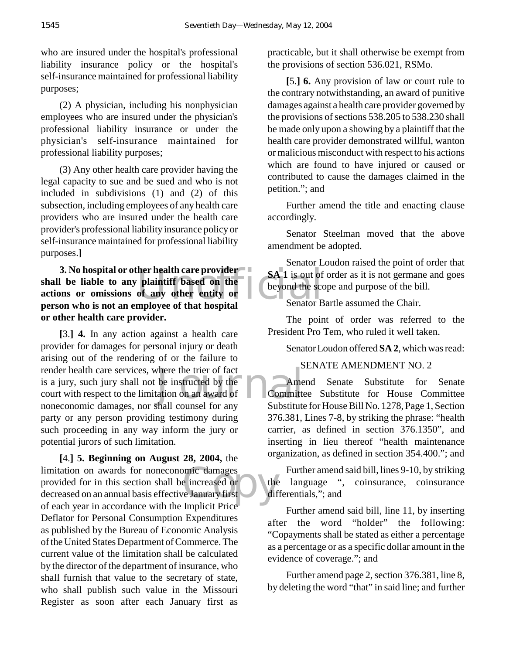who are insured under the hospital's professional liability insurance policy or the hospital's self-insurance maintained for professional liability purposes;

(2) A physician, including his nonphysician employees who are insured under the physician's professional liability insurance or under the physician's self-insurance maintained for professional liability purposes;

(3) Any other health care provider having the legal capacity to sue and be sued and who is not included in subdivisions (1) and (2) of this subsection, including employees of any health care providers who are insured under the health care provider's professional liability insurance policy or self-insurance maintained for professional liability purposes.**]**

**Example 18 SA 1 is out of<br>
plaintiff based on the set of any other entity or the set of that hospital**<br> **Examployee of that hospital** Senator B **3. No hospital or other health care provider shall be liable to any plaintiff based on the actions or omissions of any other entity or person who is not an employee of that hospital or other health care provider.**

where the trier of fact<br>be instructed by the<br>ation on an award of<br>thall counsel for any **[**3.**] 4.** In any action against a health care provider for damages for personal injury or death arising out of the rendering of or the failure to render health care services, where the trier of fact is a jury, such jury shall not be instructed by the court with respect to the limitation on an award of noneconomic damages, nor shall counsel for any party or any person providing testimony during such proceeding in any way inform the jury or potential jurors of such limitation.

omic damages<br>
e increased or<br>
The January first<br>
Limplicit Price **[**4.**] 5. Beginning on August 28, 2004,** the limitation on awards for noneconomic damages provided for in this section shall be increased or decreased on an annual basis effective January first of each year in accordance with the Implicit Price Deflator for Personal Consumption Expenditures as published by the Bureau of Economic Analysis of the United States Department of Commerce. The current value of the limitation shall be calculated by the director of the department of insurance, who shall furnish that value to the secretary of state, who shall publish such value in the Missouri Register as soon after each January first as

practicable, but it shall otherwise be exempt from the provisions of section 536.021, RSMo.

**[**5.**] 6.** Any provision of law or court rule to the contrary notwithstanding, an award of punitive damages against a health care provider governed by the provisions of sections 538.205 to 538.230 shall be made only upon a showing by a plaintiff that the health care provider demonstrated willful, wanton or malicious misconduct with respect to his actions which are found to have injured or caused or contributed to cause the damages claimed in the petition."; and

Further amend the title and enacting clause accordingly.

Senator Steelman moved that the above amendment be adopted.

Senator Loudon raised the point of order that **SA 1** is out of order as it is not germane and goes beyond the scope and purpose of the bill.

Senator Bartle assumed the Chair.

The point of order was referred to the President Pro Tem, who ruled it well taken.

Senator Loudon offered **SA 2**, which was read:

# SENATE AMENDMENT NO. 2

Amend Senate Substitute for Senate Committee Substitute for House Committee Substitute for House Bill No. 1278, Page 1, Section 376.381, Lines 7-8, by striking the phrase: "health carrier, as defined in section 376.1350", and inserting in lieu thereof "health maintenance organization, as defined in section 354.400."; and

Further amend said bill, lines 9-10, by striking the language ", coinsurance, coinsurance differentials,"; and

Further amend said bill, line 11, by inserting after the word "holder" the following: "Copayments shall be stated as either a percentage as a percentage or as a specific dollar amount in the evidence of coverage."; and

Further amend page 2, section 376.381, line 8, by deleting the word "that" in said line; and further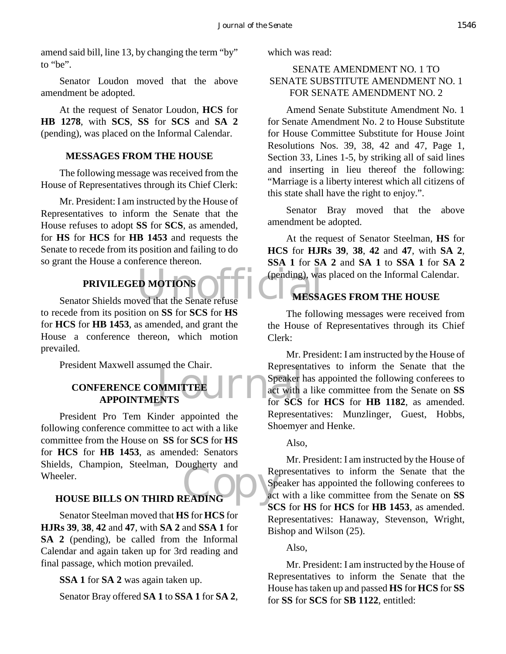amend said bill, line 13, by changing the term "by" to "be".

Senator Loudon moved that the above amendment be adopted.

At the request of Senator Loudon, **HCS** for **HB 1278**, with **SCS**, **SS** for **SCS** and **SA 2** (pending), was placed on the Informal Calendar.

## **MESSAGES FROM THE HOUSE**

The following message was received from the House of Representatives through its Chief Clerk:

Mr. President: I am instructed by the House of Representatives to inform the Senate that the House refuses to adopt **SS** for **SCS**, as amended, for **HS** for **HCS** for **HB 1453** and requests the Senate to recede from its position and failing to do so grant the House a conference thereon.

# **PRIVILEGED MOTIONS**

PRIVILEGED MOTIONS<br>Senator Shields moved that the Senate refuse<br>MESSA to recede from its position on **SS** for **SCS** for **HS** for **HCS** for **HB 1453**, as amended, and grant the House a conference thereon, which motion prevailed.

President Maxwell assumed the Chair.

# **CONFERENCE COMMITTEE APPOINTMENTS**

Re<br>COPY THE COPY SP ACT President Pro Tem Kinder appointed the following conference committee to act with a like committee from the House on **SS** for **SCS** for **HS** for **HCS** for **HB 1453**, as amended: Senators Shields, Champion, Steelman, Dougherty and Wheeler.

## **HOUSE BILLS ON THIRD READING**

Senator Steelman moved that **HS** for **HCS** for **HJRs 39**, **38**, **42** and **47**, with **SA 2** and **SSA 1** for **SA 2** (pending), be called from the Informal Calendar and again taken up for 3rd reading and final passage, which motion prevailed.

**SSA 1** for **SA 2** was again taken up.

Senator Bray offered **SA 1** to **SSA 1** for **SA 2**,

which was read:

# SENATE AMENDMENT NO. 1 TO SENATE SUBSTITUTE AMENDMENT NO. 1 FOR SENATE AMENDMENT NO. 2

Amend Senate Substitute Amendment No. 1 for Senate Amendment No. 2 to House Substitute for House Committee Substitute for House Joint Resolutions Nos. 39, 38, 42 and 47, Page 1, Section 33, Lines 1-5, by striking all of said lines and inserting in lieu thereof the following: "Marriage is a liberty interest which all citizens of this state shall have the right to enjoy.".

Senator Bray moved that the above amendment be adopted.

At the request of Senator Steelman, **HS** for **HCS** for **HJRs 39**, **38**, **42** and **47**, with **SA 2**, **SSA 1** for **SA 2** and **SA 1** to **SSA 1** for **SA 2** (pending), was placed on the Informal Calendar.

## **MESSAGES FROM THE HOUSE**

The following messages were received from the House of Representatives through its Chief Clerk:

ENTS<br>
ENTS<br>
ENTS<br>
For SCS Mr. President: I am instructed by the House of Representatives to inform the Senate that the Speaker has appointed the following conferees to act with a like committee from the Senate on **SS** for **SCS** for **HCS** for **HB 1182**, as amended. Representatives: Munzlinger, Guest, Hobbs, Shoemyer and Henke.

Also,

Mr. President: I am instructed by the House of Representatives to inform the Senate that the Speaker has appointed the following conferees to act with a like committee from the Senate on **SS SCS** for **HS** for **HCS** for **HB 1453**, as amended. Representatives: Hanaway, Stevenson, Wright, Bishop and Wilson (25).

## Also,

Mr. President: I am instructed by the House of Representatives to inform the Senate that the House has taken up and passed **HS** for **HCS** for **SS** for **SS** for **SCS** for **SB 1122**, entitled: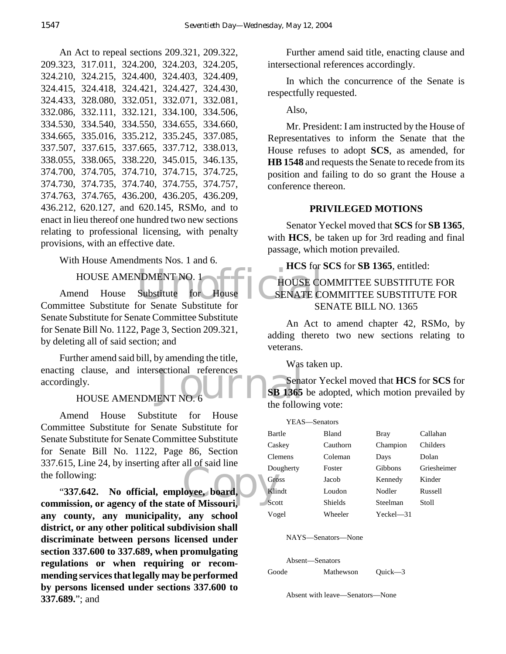An Act to repeal sections 209.321, 209.322, 209.323, 317.011, 324.200, 324.203, 324.205, 324.210, 324.215, 324.400, 324.403, 324.409, 324.415, 324.418, 324.421, 324.427, 324.430, 324.433, 328.080, 332.051, 332.071, 332.081, 332.086, 332.111, 332.121, 334.100, 334.506, 334.530, 334.540, 334.550, 334.655, 334.660, 334.665, 335.016, 335.212, 335.245, 337.085, 337.507, 337.615, 337.665, 337.712, 338.013, 338.055, 338.065, 338.220, 345.015, 346.135, 374.700, 374.705, 374.710, 374.715, 374.725, 374.730, 374.735, 374.740, 374.755, 374.757, 374.763, 374.765, 436.200, 436.205, 436.209, 436.212, 620.127, and 620.145, RSMo, and to enact in lieu thereof one hundred two new sections relating to professional licensing, with penalty provisions, with an effective date.

With House Amendments Nos. 1 and 6.

HOUSE AMENDMENT NO. 1

NDMENT NO. 1<br>Substitute for House LC SENATE CONSERVE CONSERVE CONSERVE CONSERVANCE Amend House Substitute for House Committee Substitute for Senate Substitute for Senate Substitute for Senate Committee Substitute for Senate Bill No. 1122, Page 3, Section 209.321, by deleting all of said section; and

enacting clause, and intersectional references<br>accordingly.<br>HOUSE AMENDMENT NO. 6 Further amend said bill, by amending the title, accordingly.

# HOUSE AMENDMENT NO. 6

Amend House Substitute for House Committee Substitute for Senate Substitute for Senate Substitute for Senate Committee Substitute for Senate Bill No. 1122, Page 86, Section 337.615, Line 24, by inserting after all of said line the following:

Lowee, board, Color<br>
References of Missouri, Sco "**337.642. No official, employee, board, commission, or agency of the state of Missouri, any county, any municipality, any school district, or any other political subdivision shall discriminate between persons licensed under section 337.600 to 337.689, when promulgating regulations or when requiring or recommending services that legally may be performed by persons licensed under sections 337.600 to 337.689.**"; and

Further amend said title, enacting clause and intersectional references accordingly.

In which the concurrence of the Senate is respectfully requested.

Also,

Mr. President: I am instructed by the House of Representatives to inform the Senate that the House refuses to adopt **SCS**, as amended, for **HB 1548** and requests the Senate to recede from its position and failing to do so grant the House a conference thereon.

# **PRIVILEGED MOTIONS**

Senator Yeckel moved that **SCS** for **SB 1365**, with **HCS**, be taken up for 3rd reading and final passage, which motion prevailed.

**HCS** for **SCS** for **SB 1365**, entitled:

# HOUSE COMMITTEE SUBSTITUTE FOR SENATE COMMITTEE SUBSTITUTE FOR SENATE BILL NO. 1365

An Act to amend chapter 42, RSMo, by adding thereto two new sections relating to veterans.

Was taken up.

Senator Yeckel moved that **HCS** for **SCS** for **SB 1365** be adopted, which motion prevailed by the following vote:

| YEAS—Senators  |              |           |             |
|----------------|--------------|-----------|-------------|
| Bartle         | <b>Bland</b> | Bray      | Callahan    |
| Caskey         | Cauthorn     | Champion  | Childers    |
| <b>Clemens</b> | Coleman      | Days      | Dolan       |
| Dougherty      | Foster       | Gibbons   | Griesheimer |
| Gross          | Jacob        | Kennedy   | Kinder      |
| Klindt         | Loudon       | Nodler    | Russell     |
| Scott          | Shields      | Steelman  | Stoll       |
| Vogel          | Wheeler      | Yeckel—31 |             |
|                |              |           |             |

NAYS—Senators—None

Absent—Senators

Goode Mathewson Quick—3

Absent with leave—Senators—None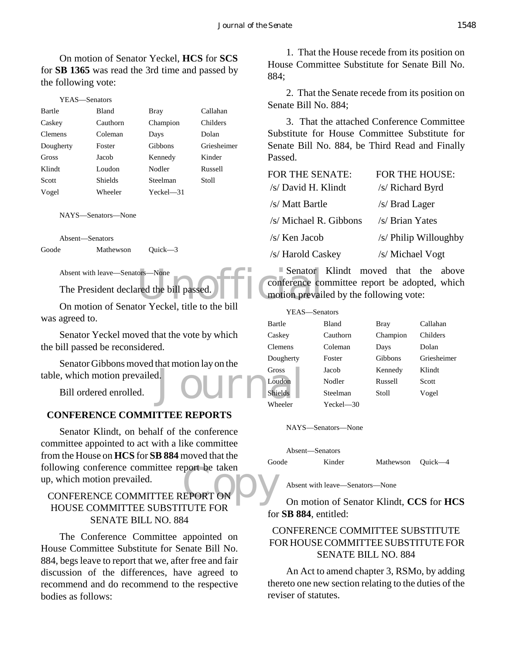On motion of Senator Yeckel, **HCS** for **SCS** for **SB 1365** was read the 3rd time and passed by the following vote:

| YEAS—Senators |           |          |           |             |
|---------------|-----------|----------|-----------|-------------|
|               | Bartle    | Bland    | Bray      | Callahan    |
|               | Caskey    | Cauthorn | Champion  | Childers    |
|               | Clemens   | Coleman  | Days      | Dolan       |
|               | Dougherty | Foster   | Gibbons   | Griesheimer |
|               | Gross     | Jacob    | Kennedy   | Kinder      |
|               | Klindt    | Loudon   | Nodler    | Russell     |
|               | Scott     | Shields  | Steelman  | Stoll       |
|               | Vogel     | Wheeler  | Yeckel—31 |             |
|               |           |          |           |             |

NAYS—Senators—None

Absent—Senators Goode Mathewson Quick—3

Absent with leave—Senators—None

The President declared the bill passed.

On motion of Senator Yeckel, title to the bill was agreed to.

Senator Yeckel moved that the vote by which the bill passed be reconsidered.

Senator Gibbons moved that motion lay on the table, which motion prevailed.

Bill ordered enrolled.

## **CONFERENCE COMMITTEE REPORTS**

EPORT ON Senator Klindt, on behalf of the conference committee appointed to act with a like committee from the House on **HCS** for **SB 884** moved that the following conference committee report be taken up, which motion prevailed.

## CONFERENCE COMMITTEE REPORT ON HOUSE COMMITTEE SUBSTITUTE FOR SENATE BILL NO. 884

The Conference Committee appointed on House Committee Substitute for Senate Bill No. 884, begs leave to report that we, after free and fair discussion of the differences, have agreed to recommend and do recommend to the respective bodies as follows:

1. That the House recede from its position on House Committee Substitute for Senate Bill No. 884;

2. That the Senate recede from its position on Senate Bill No. 884;

3. That the attached Conference Committee Substitute for House Committee Substitute for Senate Bill No. 884, be Third Read and Finally Passed.

| FOR THE SENATE:        | FOR THE HOUSE:        |
|------------------------|-----------------------|
| /s/ David H. Klindt    | /s/ Richard Byrd      |
| /s/ Matt Bartle        | /s/ Brad Lager        |
| /s/ Michael R. Gibbons | /s/ Brian Yates       |
| /s/ Ken Jacob          | /s/ Philip Willoughby |
| /s/ Harold Caskey      | /s/ Michael Vogt      |

ors—None<br>red the bill passed. The conference content conference content and the bill Senator Klindt moved that the above conference committee report be adopted, which motion prevailed by the following vote:

| cenci, three to the olif | YEAS—Senators  |           |             |             |
|--------------------------|----------------|-----------|-------------|-------------|
|                          | Bartle         | Bland     | <b>Bray</b> | Callahan    |
| nat the vote by which    | Caskey         | Cauthorn  | Champion    | Childers    |
| ٠d.                      | <b>Clemens</b> | Coleman   | Days        | Dolan       |
| that motion lay on the   | Dougherty      | Foster    | Gibbons     | Griesheimer |
| 1.                       | Gross          | Jacob     | Kennedy     | Klindt      |
|                          | Loudon         | Nodler    | Russell     | Scott       |
|                          | Shields        | Steelman  | Stoll       | Vogel       |
|                          | Wheeler        | Yeckel—30 |             |             |

NAYS—Senators—None

|       | Absent—Senators |                   |  |
|-------|-----------------|-------------------|--|
| Goode | Kinder          | Mathewson Quick—4 |  |

Absent with leave—Senators—None

On motion of Senator Klindt, **CCS** for **HCS** for **SB 884**, entitled:

## CONFERENCE COMMITTEE SUBSTITUTE FOR HOUSE COMMITTEE SUBSTITUTE FOR SENATE BILL NO. 884

An Act to amend chapter 3, RSMo, by adding thereto one new section relating to the duties of the reviser of statutes.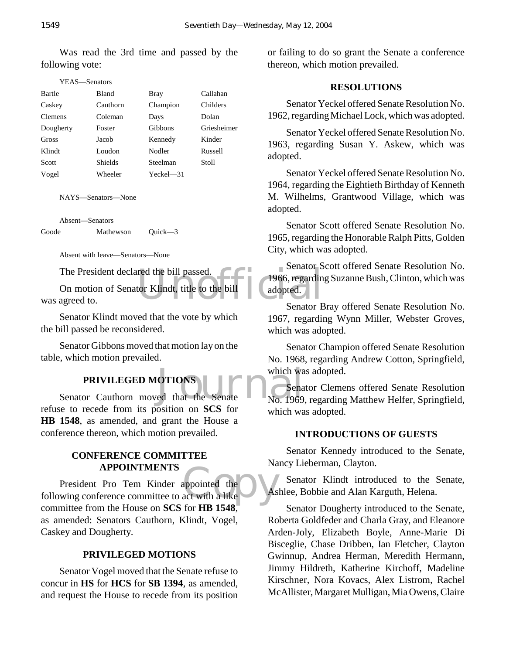Was read the 3rd time and passed by the following vote:

| Y EAS—Senators |                |           |             |
|----------------|----------------|-----------|-------------|
| Bartle         | Bland          | Bray      | Callahan    |
| Caskey         | Cauthorn       | Champion  | Childers    |
| <b>Clemens</b> | Coleman        | Days      | Dolan       |
| Dougherty      | Foster         | Gibbons   | Griesheimer |
| Gross          | Jacob          | Kennedy   | Kinder      |
| Klindt         | Loudon         | Nodler    | Russell     |
| Scott          | <b>Shields</b> | Steelman  | Stoll       |
| Vogel          | Wheeler        | Yeckel—31 |             |

NAYS—Senators—None

Absent—Senators

Goode Mathewson Quick—3

Absent with leave—Senators—None

The President declared the bill passed.

red the bill passed.<br>
tor Klindt, title to the bill<br>
Senator B On motion of Senator Klindt, title to the bill was agreed to.

Senator Klindt moved that the vote by which the bill passed be reconsidered.

Senator Gibbons moved that motion lay on the table, which motion prevailed.

## **PRIVILEGED MOTIONS**

PRIVILEGED MOTIONS<br>
Senator Cauthorn moved that the Senate<br>
No. 1969 refuse to recede from its position on **SCS** for **HB 1548**, as amended, and grant the House a conference thereon, which motion prevailed.

#### **CONFERENCE COMMITTEE APPOINTMENTS**

appointed the As President Pro Tem Kinder appointed the following conference committee to act with a like committee from the House on **SCS** for **HB 1548**, as amended: Senators Cauthorn, Klindt, Vogel, Caskey and Dougherty.

## **PRIVILEGED MOTIONS**

Senator Vogel moved that the Senate refuse to concur in **HS** for **HCS** for **SB 1394**, as amended, and request the House to recede from its position or failing to do so grant the Senate a conference thereon, which motion prevailed.

#### **RESOLUTIONS**

Senator Yeckel offered Senate Resolution No. 1962, regarding Michael Lock, which was adopted.

Senator Yeckel offered Senate Resolution No. 1963, regarding Susan Y. Askew, which was adopted.

Senator Yeckel offered Senate Resolution No. 1964, regarding the Eightieth Birthday of Kenneth M. Wilhelms, Grantwood Village, which was adopted.

Senator Scott offered Senate Resolution No. 1965, regarding the Honorable Ralph Pitts, Golden City, which was adopted.

Senator Scott offered Senate Resolution No. 1966, regarding Suzanne Bush, Clinton, which was adopted.

Senator Bray offered Senate Resolution No. 1967, regarding Wynn Miller, Webster Groves, which was adopted.

Senator Champion offered Senate Resolution No. 1968, regarding Andrew Cotton, Springfield, which was adopted.

Senator Clemens offered Senate Resolution No. 1969, regarding Matthew Helfer, Springfield, which was adopted.

#### **INTRODUCTIONS OF GUESTS**

Senator Kennedy introduced to the Senate, Nancy Lieberman, Clayton.

Senator Klindt introduced to the Senate, Ashlee, Bobbie and Alan Karguth, Helena.

Senator Dougherty introduced to the Senate, Roberta Goldfeder and Charla Gray, and Eleanore Arden-Joly, Elizabeth Boyle, Anne-Marie Di Bisceglie, Chase Dribben, Ian Fletcher, Clayton Gwinnup, Andrea Herman, Meredith Hermann, Jimmy Hildreth, Katherine Kirchoff, Madeline Kirschner, Nora Kovacs, Alex Listrom, Rachel McAllister, Margaret Mulligan, Mia Owens, Claire

## $VFAS = S$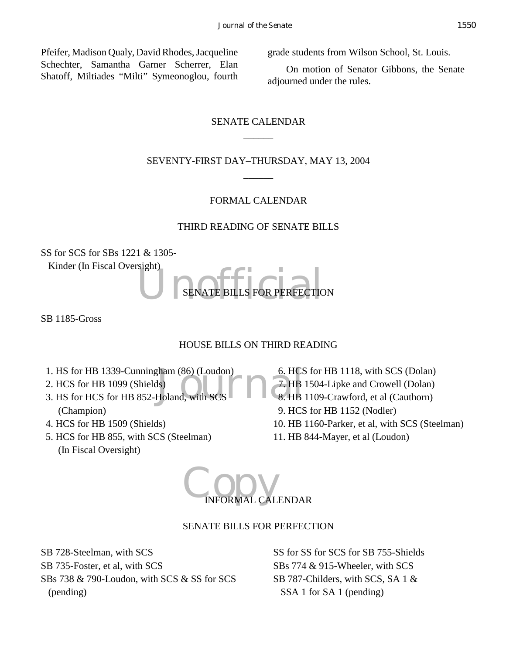Pfeifer, Madison Qualy, David Rhodes, Jacqueline Schechter, Samantha Garner Scherrer, Elan Shatoff, Miltiades "Milti" Symeonoglou, fourth

grade students from Wilson School, St. Louis.

On motion of Senator Gibbons, the Senate adjourned under the rules.

# SENATE CALENDAR  $\overline{\phantom{a}}$

# SEVENTY-FIRST DAY–THURSDAY, MAY 13, 2004  $\overline{\phantom{a}}$

# FORMAL CALENDAR

## THIRD READING OF SENATE BILLS

SS for SCS for SBs 1221 & 1305-

Kinder (In Fiscal Oversight)

SENATE BILLS FOR PERFECTIC SENATE BILLS FOR PERFECTION

SB 1185-Gross

# HOUSE BILLS ON THIRD READING

- 
- 2. HCS for HB 1099 (Shields)
- 1. HS for HB 1339-Cunningham (86) (Loudon) 6. HCS<br>
2. HCS for HB 1099 (Shields)<br>
3. HS for HCS for HB 852-Holand, with SCS 8. HB 3. HS for HCS for HB 852-Holand, with SCS (Champion)
- 4. HCS for HB 1509 (Shields)
- 5. HCS for HB 855, with SCS (Steelman) (In Fiscal Oversight)
- 6. HCS for HB 1118, with SCS (Dolan) 7. HB 1504-Lipke and Crowell (Dolan) 8. HB 1109-Crawford, et al (Cauthorn) 9. HCS for HB 1152 (Nodler) 10. HB 1160-Parker, et al, with SCS (Steelman) 11. HB 844-Mayer, et al (Loudon)



# SENATE BILLS FOR PERFECTION

SB 728-Steelman, with SCS SB 735-Foster, et al, with SCS SBs 738 & 790-Loudon, with SCS & SS for SCS (pending)

SS for SS for SCS for SB 755-Shields SBs 774 & 915-Wheeler, with SCS SB 787-Childers, with SCS, SA 1 & SSA 1 for SA 1 (pending)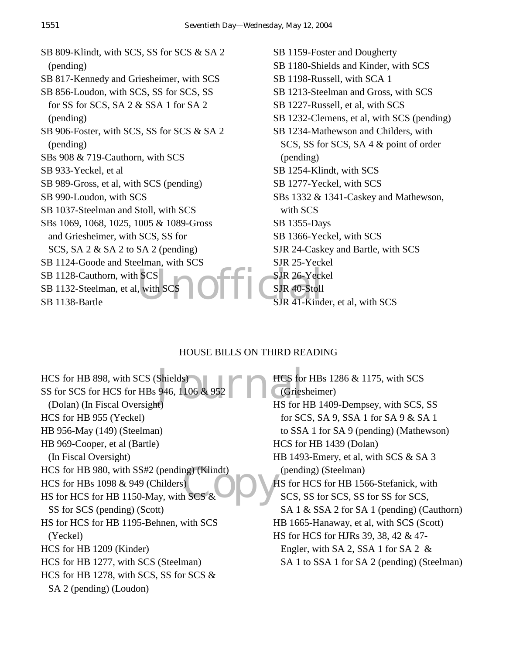SCS<br>with SCS<br>Units CSJR 40-Stoll<br>SJR 41-Kind SB 809-Klindt, with SCS, SS for SCS & SA 2 (pending) SB 817-Kennedy and Griesheimer, with SCS SB 856-Loudon, with SCS, SS for SCS, SS for SS for SCS, SA 2 & SSA 1 for SA 2 (pending) SB 906-Foster, with SCS, SS for SCS & SA 2 (pending) SBs 908 & 719-Cauthorn, with SCS SB 933-Yeckel, et al SB 989-Gross, et al, with SCS (pending) SB 990-Loudon, with SCS SB 1037-Steelman and Stoll, with SCS SBs 1069, 1068, 1025, 1005 & 1089-Gross and Griesheimer, with SCS, SS for SCS, SA 2 & SA 2 to SA 2 (pending) SB 1124-Goode and Steelman, with SCS SB 1128-Cauthorn, with SCS SB 1132-Steelman, et al, with SCS SB 1138-Bartle

SB 1159-Foster and Dougherty SB 1180-Shields and Kinder, with SCS SB 1198-Russell, with SCA 1 SB 1213-Steelman and Gross, with SCS SB 1227-Russell, et al, with SCS SB 1232-Clemens, et al, with SCS (pending) SB 1234-Mathewson and Childers, with SCS, SS for SCS, SA 4 & point of order (pending) SB 1254-Klindt, with SCS SB 1277-Yeckel, with SCS SBs 1332 & 1341-Caskey and Mathewson, with SCS SB 1355-Days SB 1366-Yeckel, with SCS SJR 24-Caskey and Bartle, with SCS SJR 25-Yeckel SJR 26-Yeckel SJR 40-Stoll SJR 41-Kinder, et al, with SCS

# HOUSE BILLS ON THIRD READING

Shields)<br>946, 1106 & 952<br>The Gries<br>HS for I HCS for HB 980, with SS#2 (pending) (Klindt)<br>HCS for HBs 1098 & 949 (Childers)<br>HS for HCS for HB 1150-May, with SCS & HCS for HB 898, with SCS (Shields) SS for SCS for HCS for HBs 946, 1106 & 952 (Dolan) (In Fiscal Oversight) HCS for HB 955 (Yeckel) HB 956-May (149) (Steelman) HB 969-Cooper, et al (Bartle) (In Fiscal Oversight) HCS for HBs 1098 & 949 (Childers) HS for HCS for HB 1150-May, with SCS & SS for SCS (pending) (Scott) HS for HCS for HB 1195-Behnen, with SCS (Yeckel) HCS for HB 1209 (Kinder) HCS for HB 1277, with SCS (Steelman) HCS for HB 1278, with SCS, SS for SCS & SA 2 (pending) (Loudon)

HCS for HBs 1286 & 1175, with SCS (Griesheimer) HS for HB 1409-Dempsey, with SCS, SS for SCS, SA 9, SSA 1 for SA 9 & SA 1 to SSA 1 for SA 9 (pending) (Mathewson) HCS for HB 1439 (Dolan) HB 1493-Emery, et al, with SCS & SA 3 (pending) (Steelman) HS for HCS for HB 1566-Stefanick, with SCS, SS for SCS, SS for SS for SCS, SA 1 & SSA 2 for SA 1 (pending) (Cauthorn) HB 1665-Hanaway, et al, with SCS (Scott) HS for HCS for HJRs 39, 38, 42 & 47- Engler, with SA 2, SSA 1 for SA 2 & SA 1 to SSA 1 for SA 2 (pending) (Steelman)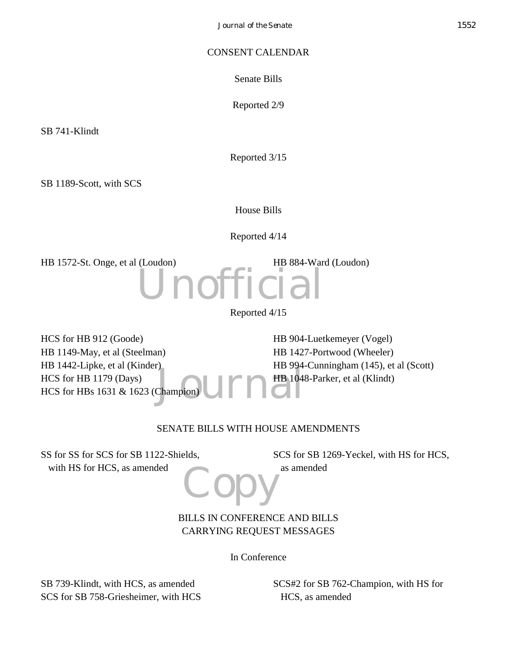## CONSENT CALENDAR

Senate Bills

Reported 2/9

SB 741-Klindt

Reported 3/15

SB 1189-Scott, with SCS

House Bills

Reported 4/14

HB 1572-St. Onge, et al (Loudon) HB 884-Ward (Loudon)



Reported 4/15

Champion UM HB 104 HCS for HB 912 (Goode) HB 1149-May, et al (Steelman) HB 1442-Lipke, et al (Kinder) HCS for HB 1179 (Days) HCS for HBs 1631 & 1623 (Champion) HB 904-Luetkemeyer (Vogel) HB 1427-Portwood (Wheeler) HB 994-Cunningham (145), et al (Scott) HB 1048-Parker, et al (Klindt)

# SENATE BILLS WITH HOUSE AMENDMENTS

Copy SS for SS for SCS for SB 1122-Shields, with HS for HCS, as amended

SCS for SB 1269-Yeckel, with HS for HCS, as amended

BILLS IN CONFERENCE AND BILLS CARRYING REQUEST MESSAGES

In Conference

SB 739-Klindt, with HCS, as amended SCS for SB 758-Griesheimer, with HCS SCS#2 for SB 762-Champion, with HS for HCS, as amended